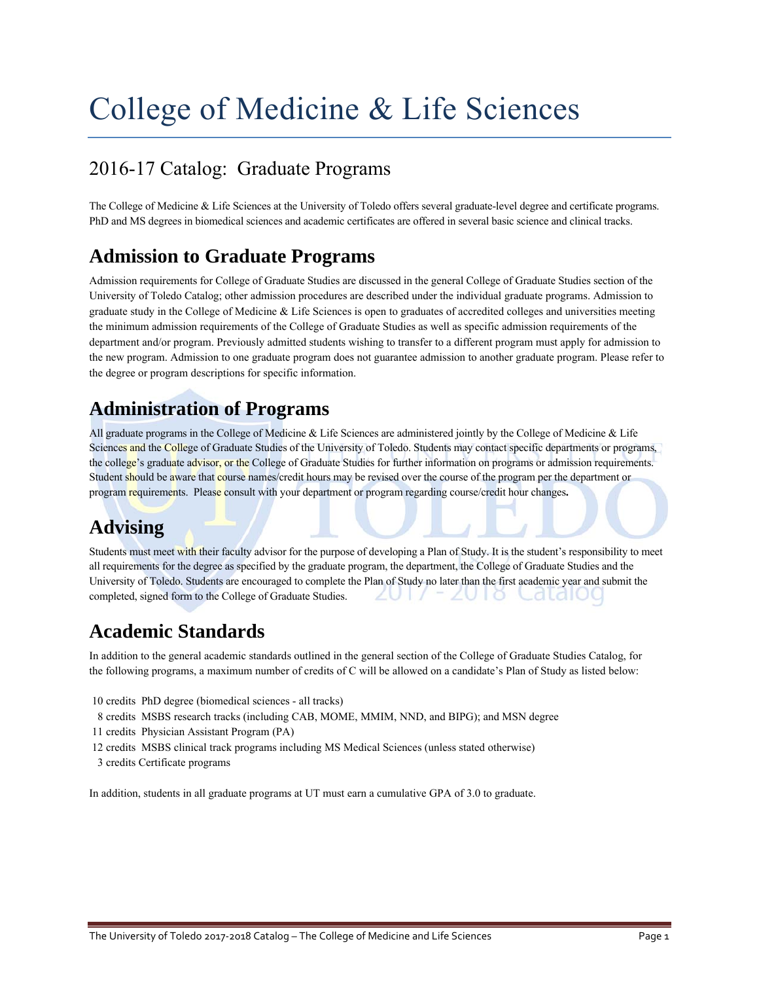# College of Medicine & Life Sciences

# 2016-17 Catalog: Graduate Programs

The College of Medicine & Life Sciences at the University of Toledo offers several graduate-level degree and certificate programs. PhD and MS degrees in biomedical sciences and academic certificates are offered in several basic science and clinical tracks.

# **Admission to Graduate Programs**

Admission requirements for College of Graduate Studies are discussed in the general College of Graduate Studies section of the University of Toledo Catalog; other admission procedures are described under the individual graduate programs. Admission to graduate study in the College of Medicine & Life Sciences is open to graduates of accredited colleges and universities meeting the minimum admission requirements of the College of Graduate Studies as well as specific admission requirements of the department and/or program. Previously admitted students wishing to transfer to a different program must apply for admission to the new program. Admission to one graduate program does not guarantee admission to another graduate program. Please refer to the degree or program descriptions for specific information.

# **Administration of Programs**

All graduate programs in the College of Medicine & Life Sciences are administered jointly by the College of Medicine & Life Sciences and the College of Graduate Studies of the University of Toledo. Students may contact specific departments or programs, the college's graduate advisor, or the College of Graduate Studies for further information on programs or admission requirements. Student should be aware that course names/credit hours may be revised over the course of the program per the department or program requirements. Please consult with your department or program regarding course/credit hour changes**.**

# **Advising**

Students must meet with their faculty advisor for the purpose of developing a Plan of Study. It is the student's responsibility to meet all requirements for the degree as specified by the graduate program, the department, the College of Graduate Studies and the University of Toledo. Students are encouraged to complete the Plan of Study no later than the first academic year and submit the completed, signed form to the College of Graduate Studies.  $2011$ -ZUTO Catalou

# **Academic Standards**

In addition to the general academic standards outlined in the general section of the College of Graduate Studies Catalog, for the following programs, a maximum number of credits of C will be allowed on a candidate's Plan of Study as listed below:

- 10 credits PhD degree (biomedical sciences all tracks)
- 8 credits MSBS research tracks (including CAB, MOME, MMIM, NND, and BIPG); and MSN degree
- 11 credits Physician Assistant Program (PA)
- 12 credits MSBS clinical track programs including MS Medical Sciences (unless stated otherwise)
- 3 credits Certificate programs

In addition, students in all graduate programs at UT must earn a cumulative GPA of 3.0 to graduate.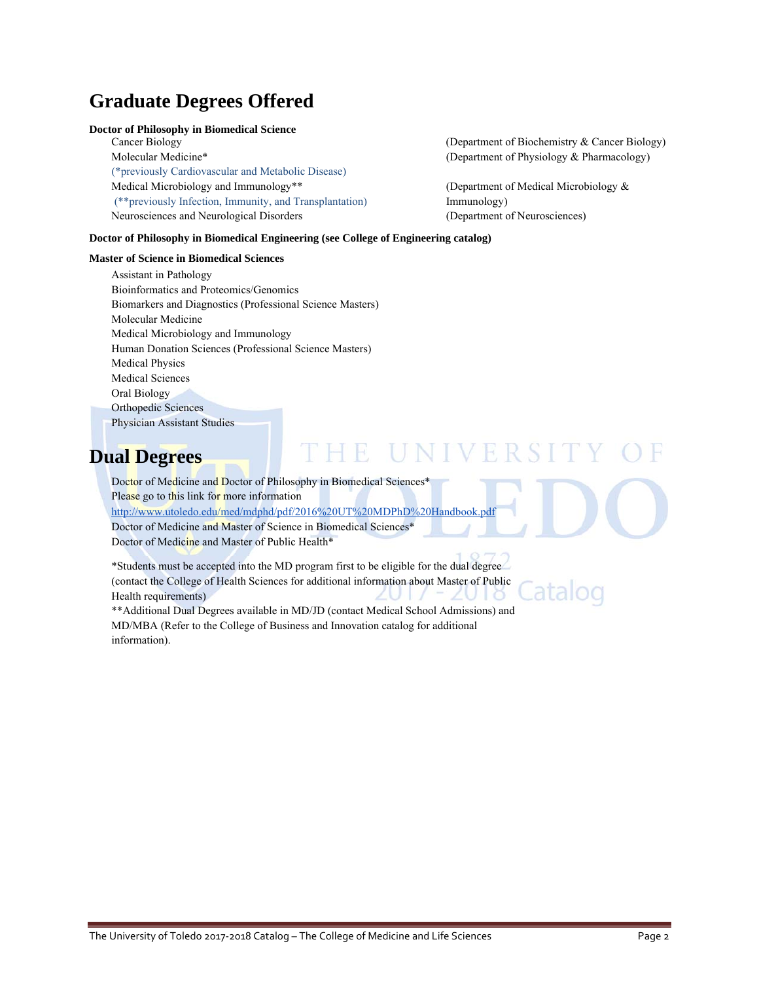# **Graduate Degrees Offered**

### **Doctor of Philosophy in Biomedical Science**

Cancer Biology (Department of Biochemistry & Cancer Biology) Molecular Medicine\* The Contract of Physiology & Pharmacology and Molecular Medicine\* The Contract of Physiology & Pharmacology and Molecular Medicine \* (\*previously Cardiovascular and Metabolic Disease) Medical Microbiology and Immunology<sup>\*\*</sup> (Department of Medical Microbiology & (\*\*previously Infection, Immunity, and Transplantation) Immunology) Neurosciences and Neurological Disorders (Department of Neurosciences)

atalog

### **Doctor of Philosophy in Biomedical Engineering (see College of Engineering catalog)**

#### **Master of Science in Biomedical Sciences**

Assistant in Pathology Bioinformatics and Proteomics/Genomics Biomarkers and Diagnostics (Professional Science Masters) Molecular Medicine Medical Microbiology and Immunology Human Donation Sciences (Professional Science Masters) Medical Physics Medical Sciences Oral Biology Orthopedic Sciences Physician Assistant Studies

### **Dual Degrees**

# THE UNIVERSI

Doctor of Medicine and Doctor of Philosophy in Biomedical Sciences<sup>\*</sup> Please go to this link for more information http://www.utoledo.edu/med/mdphd/pdf/2016%20UT%20MDPhD%20Handbook.pdf Doctor of Medicine and Master of Science in Biomedical Sciences\*

Doctor of Medicine and Master of Public Health\*

\*Students must be accepted into the MD program first to be eligible for the dual degree (contact the College of Health Sciences for additional information about Master of Public Health requirements)

\*\*Additional Dual Degrees available in MD/JD (contact Medical School Admissions) and MD/MBA (Refer to the College of Business and Innovation catalog for additional information).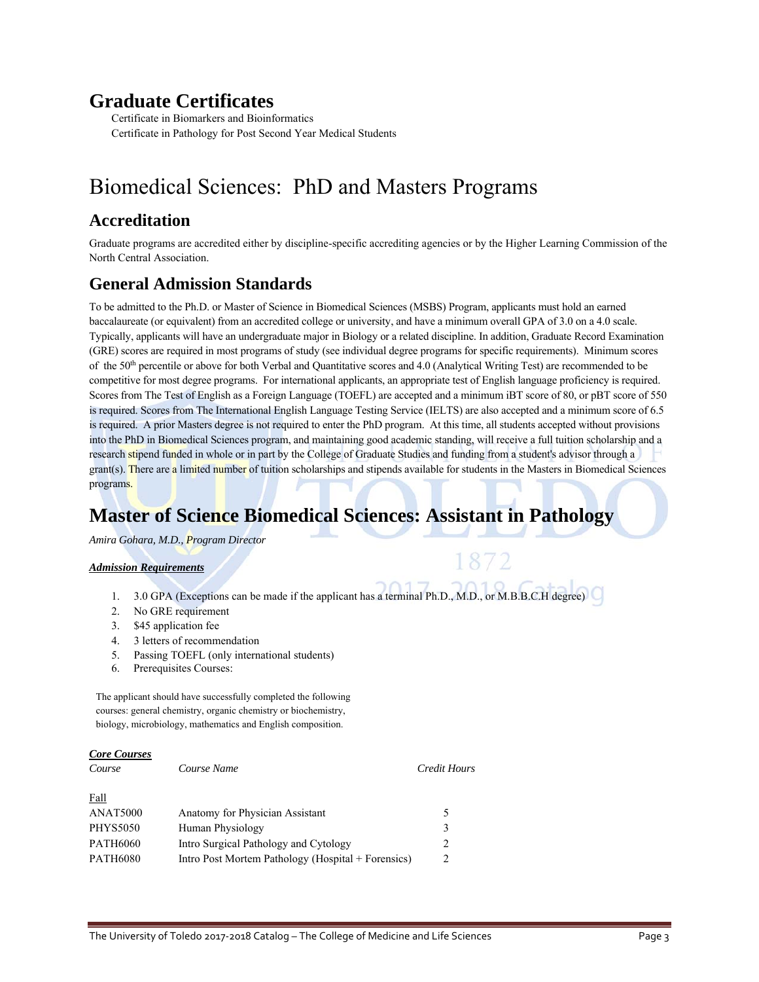## **Graduate Certificates**

Certificate in Biomarkers and Bioinformatics Certificate in Pathology for Post Second Year Medical Students

# Biomedical Sciences: PhD and Masters Programs

### **Accreditation**

Graduate programs are accredited either by discipline-specific accrediting agencies or by the Higher Learning Commission of the North Central Association.

### **General Admission Standards**

To be admitted to the Ph.D. or Master of Science in Biomedical Sciences (MSBS) Program, applicants must hold an earned baccalaureate (or equivalent) from an accredited college or university, and have a minimum overall GPA of 3.0 on a 4.0 scale. Typically, applicants will have an undergraduate major in Biology or a related discipline. In addition, Graduate Record Examination (GRE) scores are required in most programs of study (see individual degree programs for specific requirements). Minimum scores of the 50th percentile or above for both Verbal and Quantitative scores and 4.0 (Analytical Writing Test) are recommended to be competitive for most degree programs. For international applicants, an appropriate test of English language proficiency is required. Scores from The Test of English as a Foreign Language (TOEFL) are accepted and a minimum iBT score of 80, or pBT score of 550 is required. Scores from The International English Language Testing Service (IELTS) are also accepted and a minimum score of 6.5 is required. A prior Masters degree is not required to enter the PhD program. At this time, all students accepted without provisions into the PhD in Biomedical Sciences program, and maintaining good academic standing, will receive a full tuition scholarship and a research stipend funded in whole or in part by the College of Graduate Studies and funding from a student's advisor through a grant(s). There are a limited number of tuition scholarships and stipends available for students in the Masters in Biomedical Sciences programs.

# **Master of Science Biomedical Sciences: Assistant in Pathology**

*Amira Gohara, M.D., Program Director*

### *Admission Requirements*

- 1. 3.0 GPA (Exceptions can be made if the applicant has a terminal Ph.D., M.D., or M.B.B.C.H degree)
- 2. No GRE requirement
- 3. \$45 application fee
- 4. 3 letters of recommendation
- 5. Passing TOEFL (only international students)
- 6. Prerequisites Courses:

The applicant should have successfully completed the following courses: general chemistry, organic chemistry or biochemistry, biology, microbiology, mathematics and English composition.

| <b>Core Courses</b> |                                                    |                               |
|---------------------|----------------------------------------------------|-------------------------------|
| Course              | Course Name                                        | Credit Hours                  |
| <u>Fall</u>         |                                                    |                               |
| ANAT5000            | Anatomy for Physician Assistant                    | 5                             |
| <b>PHYS5050</b>     | Human Physiology                                   | 3                             |
| <b>PATH6060</b>     | Intro Surgical Pathology and Cytology              | 2                             |
| <b>PATH6080</b>     | Intro Post Mortem Pathology (Hospital + Forensics) | $\mathfrak{D}_{\mathfrak{p}}$ |
|                     |                                                    |                               |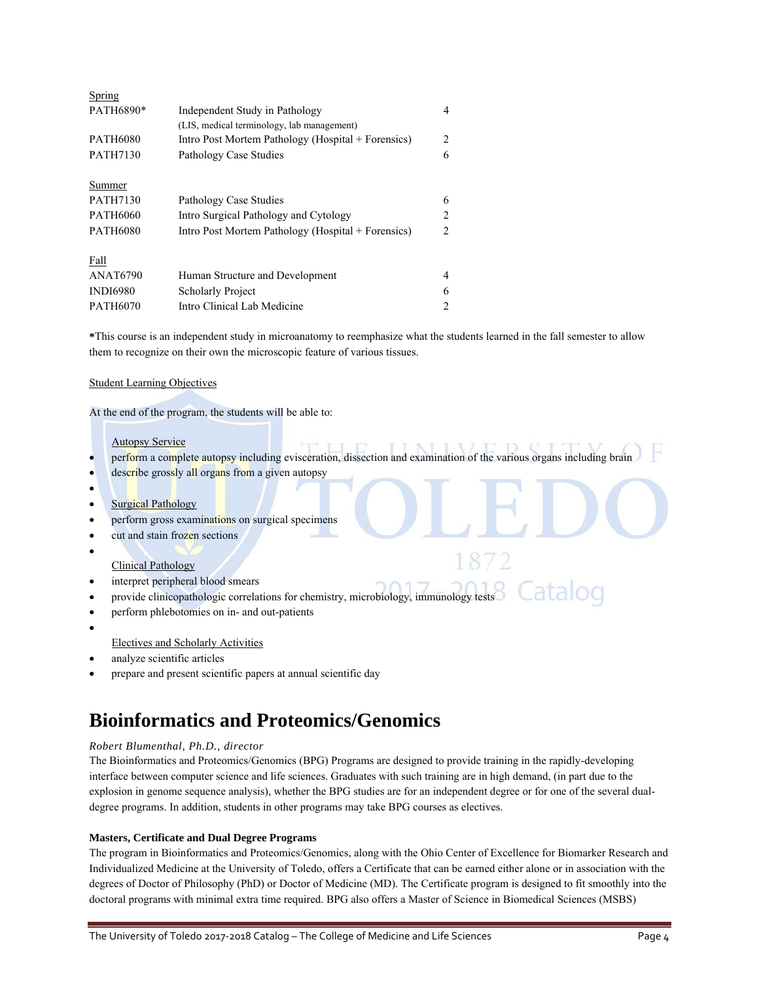| Spring          |                                                    |                |
|-----------------|----------------------------------------------------|----------------|
| PATH6890*       | Independent Study in Pathology                     | 4              |
|                 | (LIS, medical terminology, lab management)         |                |
| <b>PATH6080</b> | Intro Post Mortem Pathology (Hospital + Forensics) | 2              |
| <b>PATH7130</b> | Pathology Case Studies                             | 6              |
| Summer          |                                                    |                |
| <b>PATH7130</b> | Pathology Case Studies                             | 6              |
| <b>PATH6060</b> | Intro Surgical Pathology and Cytology              | $\mathfrak{D}$ |
| <b>PATH6080</b> | Intro Post Mortem Pathology (Hospital + Forensics) | $\mathfrak{D}$ |
| Fall            |                                                    |                |
| <b>ANAT6790</b> | Human Structure and Development                    | 4              |
| <b>INDI6980</b> | <b>Scholarly Project</b>                           | 6              |
| <b>PATH6070</b> | Intro Clinical Lab Medicine                        | $\overline{c}$ |

**\***This course is an independent study in microanatomy to reemphasize what the students learned in the fall semester to allow them to recognize on their own the microscopic feature of various tissues.

#### Student Learning Objectives

At the end of the program, the students will be able to:

#### Autopsy Service

- perform a complete autopsy including evisceration, dissection and examination of the various organs including brain
- describe grossly all organs from a given autopsy
- $\bullet$
- **Surgical Pathology**
- perform gross examinations on surgical specimens
- cut and stain frozen sections
- $\bullet$

### Clinical Pathology

- interpret peripheral blood smears
- Catalog provide clinicopathologic correlations for chemistry, microbiology, immunology tests
- perform phlebotomies on in- and out-patients
- $\bullet$

### Electives and Scholarly Activities

- analyze scientific articles
- prepare and present scientific papers at annual scientific day

# **Bioinformatics and Proteomics/Genomics**

### *Robert Blumenthal, Ph.D., director*

The Bioinformatics and Proteomics/Genomics (BPG) Programs are designed to provide training in the rapidly-developing interface between computer science and life sciences. Graduates with such training are in high demand, (in part due to the explosion in genome sequence analysis), whether the BPG studies are for an independent degree or for one of the several dualdegree programs. In addition, students in other programs may take BPG courses as electives.

### **Masters, Certificate and Dual Degree Programs**

The program in Bioinformatics and Proteomics/Genomics, along with the Ohio Center of Excellence for Biomarker Research and Individualized Medicine at the University of Toledo, offers a Certificate that can be earned either alone or in association with the degrees of Doctor of Philosophy (PhD) or Doctor of Medicine (MD). The Certificate program is designed to fit smoothly into the doctoral programs with minimal extra time required. BPG also offers a Master of Science in Biomedical Sciences (MSBS)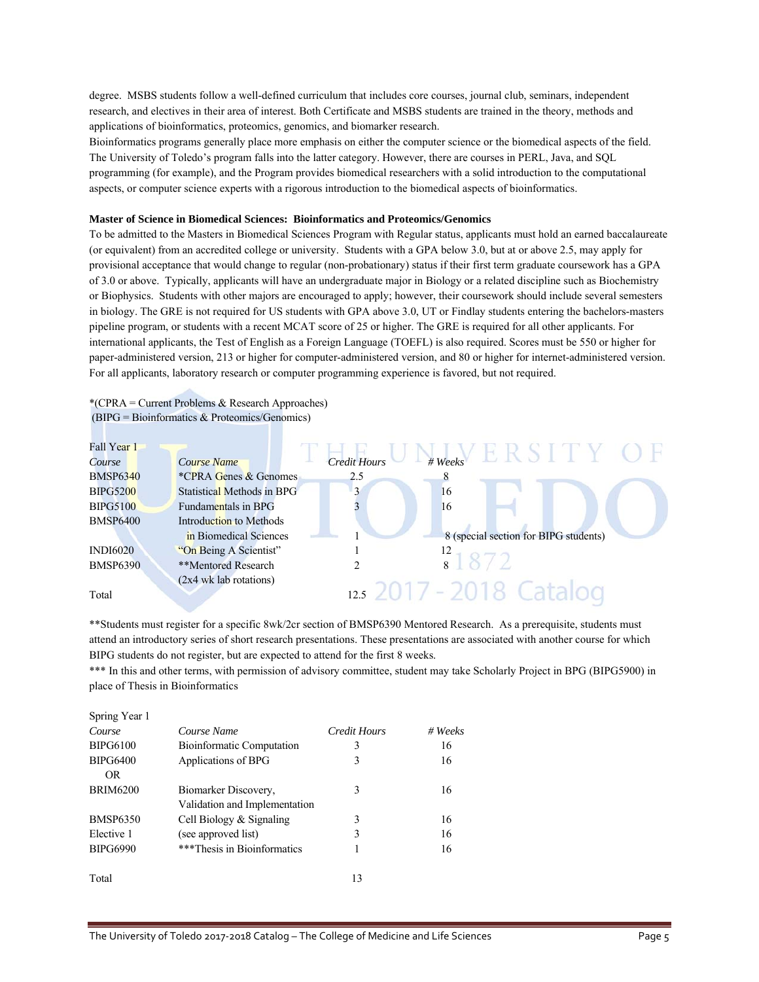degree. MSBS students follow a well-defined curriculum that includes core courses, journal club, seminars, independent research, and electives in their area of interest. Both Certificate and MSBS students are trained in the theory, methods and applications of bioinformatics, proteomics, genomics, and biomarker research.

Bioinformatics programs generally place more emphasis on either the computer science or the biomedical aspects of the field. The University of Toledo's program falls into the latter category. However, there are courses in PERL, Java, and SQL programming (for example), and the Program provides biomedical researchers with a solid introduction to the computational aspects, or computer science experts with a rigorous introduction to the biomedical aspects of bioinformatics.

#### **Master of Science in Biomedical Sciences: Bioinformatics and Proteomics/Genomics**

To be admitted to the Masters in Biomedical Sciences Program with Regular status, applicants must hold an earned baccalaureate (or equivalent) from an accredited college or university. Students with a GPA below 3.0, but at or above 2.5, may apply for provisional acceptance that would change to regular (non-probationary) status if their first term graduate coursework has a GPA of 3.0 or above. Typically, applicants will have an undergraduate major in Biology or a related discipline such as Biochemistry or Biophysics. Students with other majors are encouraged to apply; however, their coursework should include several semesters in biology. The GRE is not required for US students with GPA above 3.0, UT or Findlay students entering the bachelors-masters pipeline program, or students with a recent MCAT score of 25 or higher. The GRE is required for all other applicants. For international applicants, the Test of English as a Foreign Language (TOEFL) is also required. Scores must be 550 or higher for paper-administered version, 213 or higher for computer-administered version, and 80 or higher for internet-administered version. For all applicants, laboratory research or computer programming experience is favored, but not required.

### \*(CPRA = Current Problems & Research Approaches) (BIPG = Bioinformatics & Proteomics/Genomics)

| Fall Year 1     |                                  |                     |         |                                       |  |
|-----------------|----------------------------------|---------------------|---------|---------------------------------------|--|
| Course          | Course Name                      | <b>Credit Hours</b> | # Weeks |                                       |  |
| <b>BMSP6340</b> | <i>*CPRA Genes &amp; Genomes</i> | 2.5                 |         |                                       |  |
| <b>BIPG5200</b> | Statistical Methods in BPG       | $\mathbf{a}$        | 16      |                                       |  |
| <b>BIPG5100</b> | Fundamentals in BPG              |                     | 16      |                                       |  |
| <b>BMSP6400</b> | Introduction to Methods          |                     |         |                                       |  |
|                 | in Biomedical Sciences           |                     |         | 8 (special section for BIPG students) |  |
| <b>INDI6020</b> | "On Being A Scientist"           |                     | 12      |                                       |  |
| <b>BMSP6390</b> | **Mentored Research              |                     | 8       |                                       |  |
|                 | (2x4 wk lab rotations)           |                     |         |                                       |  |
| Total           |                                  | 12.5                | $\sim$  |                                       |  |

\*\*Students must register for a specific 8wk/2cr section of BMSP6390 Mentored Research. As a prerequisite, students must attend an introductory series of short research presentations. These presentations are associated with another course for which BIPG students do not register, but are expected to attend for the first 8 weeks.

\*\*\* In this and other terms, with permission of advisory committee, student may take Scholarly Project in BPG (BIPG5900) in place of Thesis in Bioinformatics

| Spring Year 1   |                                  |              |         |
|-----------------|----------------------------------|--------------|---------|
| Course          | Course Name                      | Credit Hours | # Weeks |
| <b>BIPG6100</b> | <b>Bioinformatic Computation</b> | 3            | 16      |
| <b>BIPG6400</b> | Applications of BPG              | 3            | 16      |
| OR.             |                                  |              |         |
| <b>BRIM6200</b> | Biomarker Discovery,             | 3            | 16      |
|                 | Validation and Implementation    |              |         |
| <b>BMSP6350</b> | Cell Biology $&$ Signaling       | 3            | 16      |
| Elective 1      | (see approved list)              | 3            | 16      |
| <b>BIPG6990</b> | ***Thesis in Bioinformatics      |              | 16      |
| Total           |                                  | 13           |         |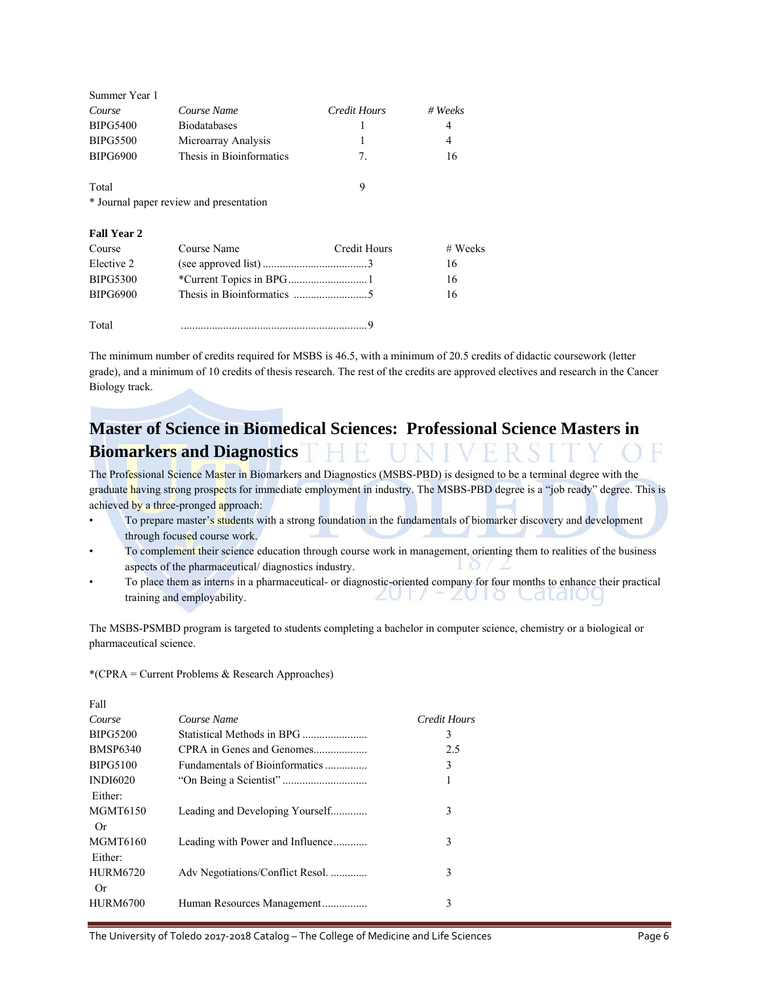| Summer Year 1                           |                          |                |         |
|-----------------------------------------|--------------------------|----------------|---------|
| Course                                  | Course Name              | Credit Hours   | # Weeks |
| <b>BIPG5400</b>                         | <b>Biodatabases</b>      |                | 4       |
| <b>BIPG5500</b>                         | Microarray Analysis      |                | 4       |
| <b>BIPG6900</b>                         | Thesis in Bioinformatics | 7 <sub>1</sub> | 16      |
| Total                                   |                          | 9              |         |
|                                         |                          |                |         |
| * Journal paper review and presentation |                          |                |         |

| Course          | Course Name | Credit Hours | # Weeks |
|-----------------|-------------|--------------|---------|
| Elective 2      |             |              | 16      |
| <b>BIPG5300</b> |             |              | 16      |
| <b>BIPG6900</b> |             |              | 16      |
| Total           |             |              |         |

The minimum number of credits required for MSBS is 46.5, with a minimum of 20.5 credits of didactic coursework (letter grade), and a minimum of 10 credits of thesis research. The rest of the credits are approved electives and research in the Cancer Biology track.

## **Master of Science in Biomedical Sciences: Professional Science Masters in Biomarkers and Diagnostics**

The Professional Science Master in Biomarkers and Diagnostics (MSBS-PBD) is designed to be a terminal degree with the graduate having strong prospects for immediate employment in industry. The MSBS-PBD degree is a "job ready" degree. This is achieved by a three-pronged approach:

- To prepare master's students with a strong foundation in the fundamentals of biomarker discovery and development through focused course work.
- To complement their science education through course work in management, orienting them to realities of the business aspects of the pharmaceutical/ diagnostics industry.
- To place them as interns in a pharmaceutical- or diagnostic-oriented company for four months to enhance their practical ZUT/FZUTO CaldIOG training and employability.

The MSBS-PSMBD program is targeted to students completing a bachelor in computer science, chemistry or a biological or pharmaceutical science.

\*(CPRA = Current Problems & Research Approaches)

| Fall                       |                                  |              |
|----------------------------|----------------------------------|--------------|
| Course                     | Course Name                      | Credit Hours |
| <b>BIPG5200</b>            | Statistical Methods in BPG       | 3            |
| <b>BMSP6340</b>            | CPRA in Genes and Genomes        | 2.5          |
| <b>BIPG5100</b>            | Fundamentals of Bioinformatics   | 3            |
| <b>INDI6020</b><br>Either: |                                  | 1            |
| <b>MGMT6150</b><br>0r      | Leading and Developing Yourself  | 3            |
| MGMT6160<br>Either:        | Leading with Power and Influence | 3            |
| <b>HURM6720</b><br>Or      | Adv Negotiations/Conflict Resol. | 3            |
| <b>HURM6700</b>            | Human Resources Management       | 3            |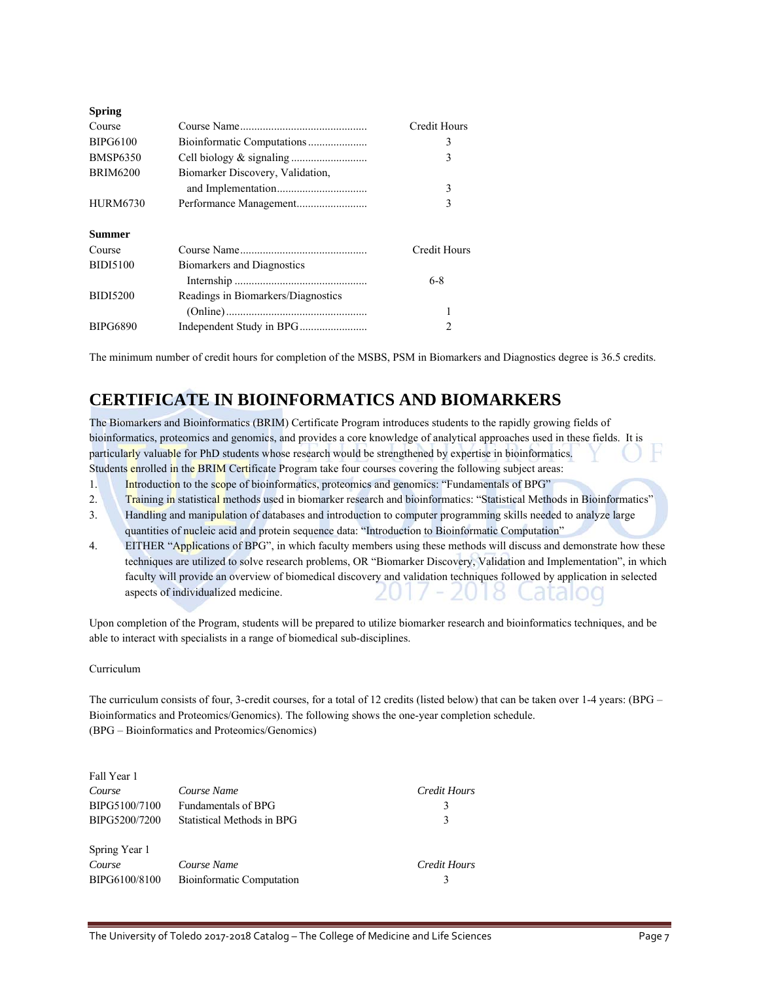|                                    | Credit Hours |
|------------------------------------|--------------|
|                                    | 3            |
|                                    | 3            |
| Biomarker Discovery, Validation,   |              |
|                                    | 3            |
|                                    | 3            |
|                                    |              |
|                                    | Credit Hours |
| Biomarkers and Diagnostics         |              |
|                                    |              |
|                                    | $6 - 8$      |
| Readings in Biomarkers/Diagnostics |              |
|                                    |              |
|                                    |              |

The minimum number of credit hours for completion of the MSBS, PSM in Biomarkers and Diagnostics degree is 36.5 credits.

### **CERTIFICATE IN BIOINFORMATICS AND BIOMARKERS**

The Biomarkers and Bioinformatics (BRIM) Certificate Program introduces students to the rapidly growing fields of bioinformatics, proteomics and genomics, and provides a core knowledge of analytical approaches used in these fields. It is particularly valuable for PhD students whose research would be strengthened by expertise in bioinformatics. Students enrolled in the BRIM Certificate Program take four courses covering the following subject areas:

1. Introduction to the scope of bioinformatics, proteomics and genomics: "Fundamentals of BPG"

2. Training in statistical methods used in biomarker research and bioinformatics: "Statistical Methods in Bioinformatics"

- 3. Handling and manipulation of databases and introduction to computer programming skills needed to analyze large quantities of nucleic acid and protein sequence data: "Introduction to Bioinformatic Computation"
- 4. EITHER "Applications of BPG", in which faculty members using these methods will discuss and demonstrate how these techniques are utilized to solve research problems, OR "Biomarker Discovery, Validation and Implementation", in which faculty will provide an overview of biomedical discovery and validation techniques followed by application in selected aspects of individualized medicine. ZU. didio

Upon completion of the Program, students will be prepared to utilize biomarker research and bioinformatics techniques, and be able to interact with specialists in a range of biomedical sub-disciplines.

### Curriculum

The curriculum consists of four, 3-credit courses, for a total of 12 credits (listed below) that can be taken over 1-4 years: (BPG – Bioinformatics and Proteomics/Genomics). The following shows the one-year completion schedule. (BPG – Bioinformatics and Proteomics/Genomics)

| Fall Year 1   |                                  |              |
|---------------|----------------------------------|--------------|
| Course        | Course Name                      | Credit Hours |
| BIPG5100/7100 | <b>Fundamentals of BPG</b>       | 3            |
| BIPG5200/7200 | Statistical Methods in BPG       | 3            |
|               |                                  |              |
| Spring Year 1 |                                  |              |
| Course        | Course Name                      | Credit Hours |
| BIPG6100/8100 | <b>Bioinformatic Computation</b> |              |
|               |                                  |              |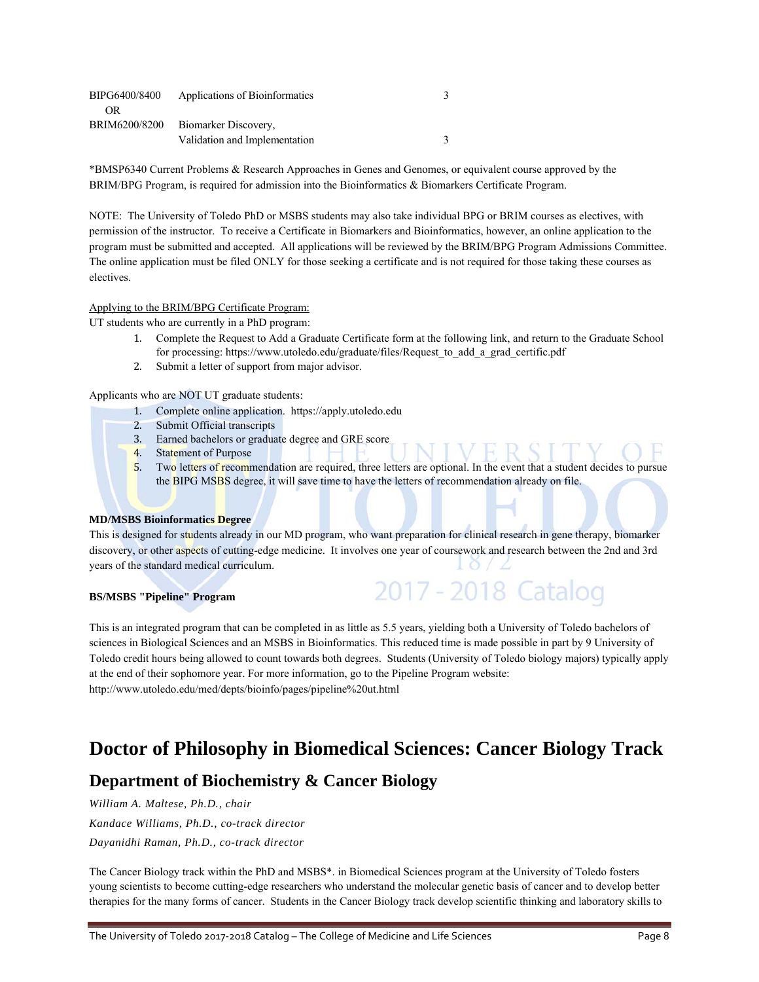| BIPG6400/8400 | Applications of Bioinformatics |  |
|---------------|--------------------------------|--|
| <b>OR</b>     |                                |  |
| BRIM6200/8200 | Biomarker Discovery.           |  |
|               | Validation and Implementation  |  |

\*BMSP6340 Current Problems & Research Approaches in Genes and Genomes, or equivalent course approved by the BRIM/BPG Program, is required for admission into the Bioinformatics & Biomarkers Certificate Program.

NOTE: The University of Toledo PhD or MSBS students may also take individual BPG or BRIM courses as electives, with permission of the instructor. To receive a Certificate in Biomarkers and Bioinformatics, however, an online application to the program must be submitted and accepted. All applications will be reviewed by the BRIM/BPG Program Admissions Committee. The online application must be filed ONLY for those seeking a certificate and is not required for those taking these courses as electives.

### Applying to the BRIM/BPG Certificate Program:

UT students who are currently in a PhD program:

- 1. Complete the Request to Add a Graduate Certificate form at the following link, and return to the Graduate School for processing: https://www.utoledo.edu/graduate/files/Request\_to\_add\_a\_grad\_certific.pdf
- 2. Submit a letter of support from major advisor.

Applicants who are NOT UT graduate students:

- 1. Complete online application. https://apply.utoledo.edu
- 2. Submit Official transcripts
- 3. Earned bachelors or graduate degree and GRE score
- 4. Statement of Purpose

5. Two letters of recommendation are required, three letters are optional. In the event that a student decides to pursue the BIPG MSBS degree, it will save time to have the letters of recommendation already on file.

2017 - 2018 Catalog

#### **MD/MSBS Bioinformatics Degree**

This is designed for students already in our MD program, who want preparation for clinical research in gene therapy, biomarker discovery, or other aspects of cutting-edge medicine. It involves one year of coursework and research between the 2nd and 3rd years of the standard medical curriculum.

#### **BS/MSBS "Pipeline" Program**

This is an integrated program that can be completed in as little as 5.5 years, yielding both a University of Toledo bachelors of sciences in Biological Sciences and an MSBS in Bioinformatics. This reduced time is made possible in part by 9 University of Toledo credit hours being allowed to count towards both degrees. Students (University of Toledo biology majors) typically apply at the end of their sophomore year. For more information, go to the Pipeline Program website: http://www.utoledo.edu/med/depts/bioinfo/pages/pipeline%20ut.html

### **Doctor of Philosophy in Biomedical Sciences: Cancer Biology Track**

### **Department of Biochemistry & Cancer Biology**

*William A. Maltese, Ph.D., chair Kandace Williams, Ph.D., co-track director Dayanidhi Raman, Ph.D., co-track director* 

The Cancer Biology track within the PhD and MSBS\*. in Biomedical Sciences program at the University of Toledo fosters young scientists to become cutting-edge researchers who understand the molecular genetic basis of cancer and to develop better therapies for the many forms of cancer. Students in the Cancer Biology track develop scientific thinking and laboratory skills to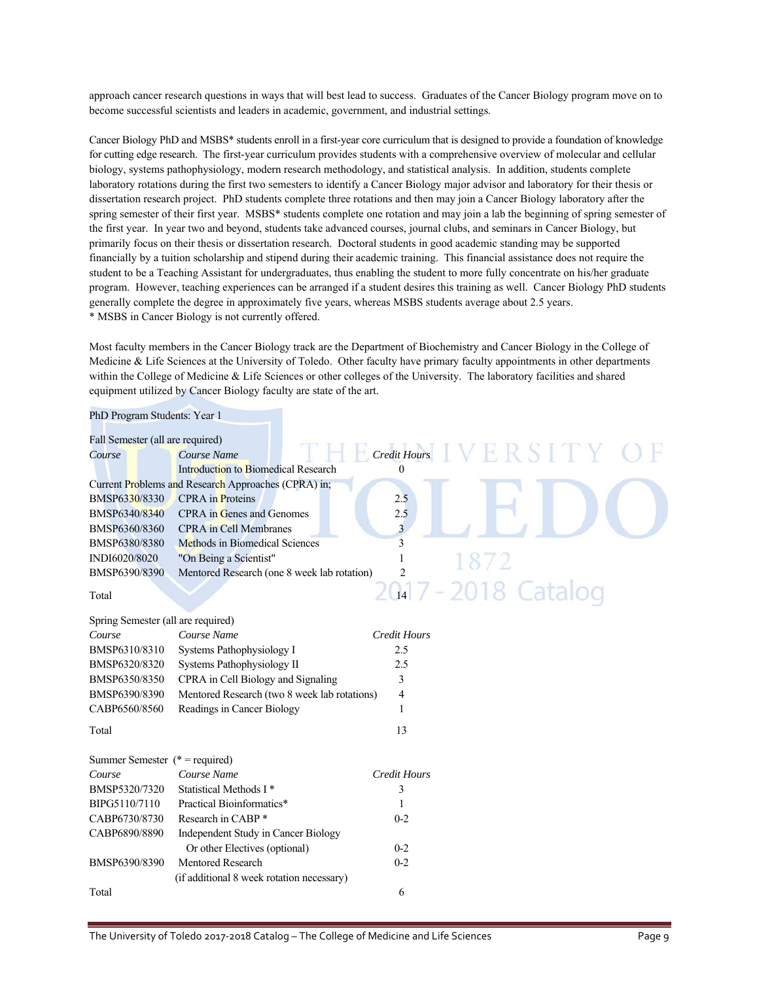approach cancer research questions in ways that will best lead to success. Graduates of the Cancer Biology program move on to become successful scientists and leaders in academic, government, and industrial settings.

Cancer Biology PhD and MSBS\* students enroll in a first-year core curriculum that is designed to provide a foundation of knowledge for cutting edge research. The first-year curriculum provides students with a comprehensive overview of molecular and cellular biology, systems pathophysiology, modern research methodology, and statistical analysis. In addition, students complete laboratory rotations during the first two semesters to identify a Cancer Biology major advisor and laboratory for their thesis or dissertation research project. PhD students complete three rotations and then may join a Cancer Biology laboratory after the spring semester of their first year. MSBS\* students complete one rotation and may join a lab the beginning of spring semester of the first year. In year two and beyond, students take advanced courses, journal clubs, and seminars in Cancer Biology, but primarily focus on their thesis or dissertation research. Doctoral students in good academic standing may be supported financially by a tuition scholarship and stipend during their academic training. This financial assistance does not require the student to be a Teaching Assistant for undergraduates, thus enabling the student to more fully concentrate on his/her graduate program. However, teaching experiences can be arranged if a student desires this training as well. Cancer Biology PhD students generally complete the degree in approximately five years, whereas MSBS students average about 2.5 years. \* MSBS in Cancer Biology is not currently offered.

Most faculty members in the Cancer Biology track are the Department of Biochemistry and Cancer Biology in the College of Medicine & Life Sciences at the University of Toledo. Other faculty have primary faculty appointments in other departments within the College of Medicine & Life Sciences or other colleges of the University. The laboratory facilities and shared equipment utilized by Cancer Biology faculty are state of the art.

| PhD Program Students: Year 1       |                                                     |                         |                     |
|------------------------------------|-----------------------------------------------------|-------------------------|---------------------|
| Fall Semester (all are required)   |                                                     |                         |                     |
| Course                             | Course Name                                         | Credit Hours            | ERSITY              |
|                                    | <b>Introduction to Biomedical Research</b>          | $\theta$                |                     |
|                                    | Current Problems and Research Approaches (CPRA) in; |                         |                     |
| BMSP6330/8330                      | <b>CPRA</b> in Proteins                             | 2.5                     |                     |
| BMSP6340/8340                      | <b>CPRA</b> in Genes and Genomes                    | 2.5                     |                     |
| BMSP6360/8360                      | <b>CPRA</b> in Cell Membranes                       | $\overline{\mathbf{3}}$ |                     |
| BMSP6380/8380                      | Methods in Biomedical Sciences                      | 3                       |                     |
| INDI6020/8020                      | "On Being a Scientist"                              | 1                       |                     |
| BMSP6390/8390                      | Mentored Research (one 8 week lab rotation)         | $\overline{c}$          |                     |
| Total                              |                                                     |                         | 2017 - 2018 Catalog |
| Spring Semester (all are required) |                                                     |                         |                     |
| Course                             | Course Name                                         | <b>Credit Hours</b>     |                     |
| BMSP6310/8310                      | Systems Pathophysiology I                           | 2.5                     |                     |
| BMSP6320/8320                      | Systems Pathophysiology II                          | 2.5                     |                     |
| BMSP6350/8350                      | CPRA in Cell Biology and Signaling                  | 3                       |                     |
| BMSP6390/8390                      | Mentored Research (two 8 week lab rotations)        | 4                       |                     |
| CABP6560/8560                      | Readings in Cancer Biology                          | 1                       |                     |
| Total                              |                                                     | 13                      |                     |
| Summer Semester $(* = required)$   |                                                     |                         |                     |
| Course                             | Course Name                                         | <b>Credit Hours</b>     |                     |
| BMSP5320/7320                      | Statistical Methods I*                              | 3                       |                     |
| BIPG5110/7110                      | Practical Bioinformatics*                           | 1                       |                     |
| CABP6730/8730                      | Research in CABP*                                   | $0 - 2$                 |                     |
| CABP6890/8890                      | Independent Study in Cancer Biology                 |                         |                     |
|                                    | Or other Electives (optional)                       | $0 - 2$                 |                     |
| BMSP6390/8390                      | <b>Mentored Research</b>                            | $0 - 2$                 |                     |
|                                    | (if additional 8 week rotation necessary)           |                         |                     |
| Total                              |                                                     | 6                       |                     |

The University of Toledo 2017-2018 Catalog – The College of Medicine and Life Sciences Page 9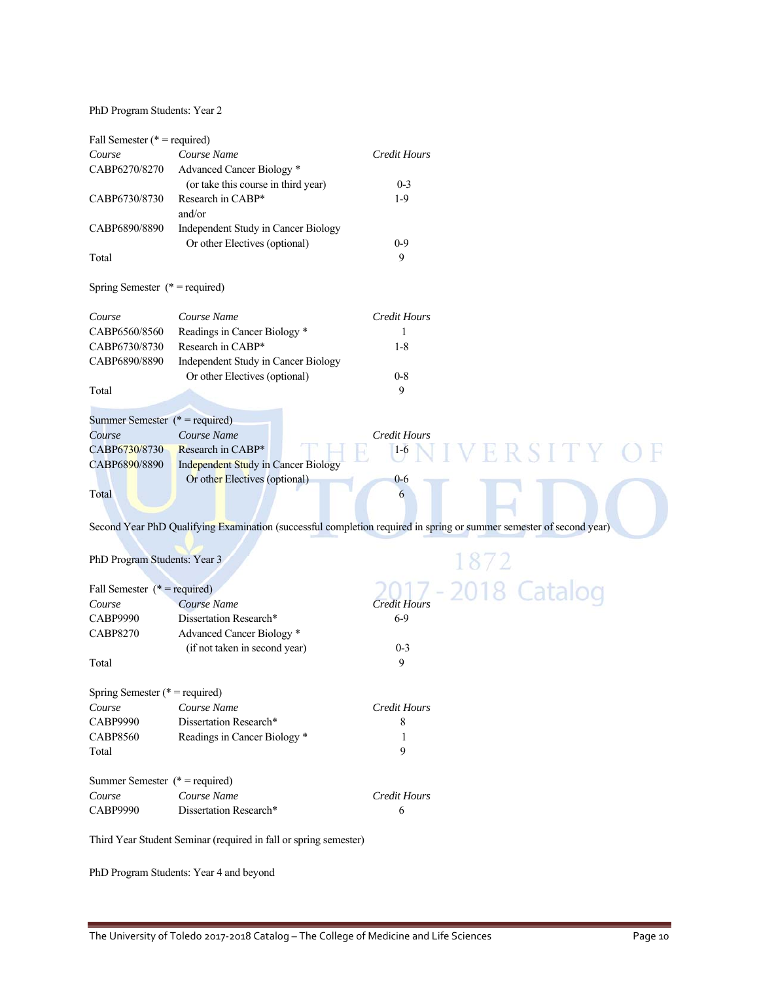PhD Program Students: Year 2

| Fall Semester ( $*$ = required)   |                                                                  |                                                                                                                     |
|-----------------------------------|------------------------------------------------------------------|---------------------------------------------------------------------------------------------------------------------|
| Course                            | Course Name                                                      | <b>Credit Hours</b>                                                                                                 |
| CABP6270/8270                     | Advanced Cancer Biology*                                         |                                                                                                                     |
|                                   | (or take this course in third year)                              | $0 - 3$                                                                                                             |
| CABP6730/8730                     | Research in CABP*                                                | $1-9$                                                                                                               |
|                                   | and/or                                                           |                                                                                                                     |
| CABP6890/8890                     | Independent Study in Cancer Biology                              |                                                                                                                     |
|                                   | Or other Electives (optional)                                    | $0-9$                                                                                                               |
| Total                             |                                                                  | 9                                                                                                                   |
| Spring Semester $(* = required)$  |                                                                  |                                                                                                                     |
| Course                            | Course Name                                                      | <b>Credit Hours</b>                                                                                                 |
| CABP6560/8560                     | Readings in Cancer Biology *                                     | 1                                                                                                                   |
| CABP6730/8730                     | Research in CABP*                                                | $1 - 8$                                                                                                             |
| CABP6890/8890                     | Independent Study in Cancer Biology                              |                                                                                                                     |
|                                   | Or other Electives (optional)                                    | $0 - 8$                                                                                                             |
| Total                             |                                                                  | 9                                                                                                                   |
| Summer Semester $(* = required)$  |                                                                  |                                                                                                                     |
| Course                            | Course Name                                                      | <b>Credit Hours</b>                                                                                                 |
| CABP6730/8730                     | Research in CABP*                                                | $1-6$                                                                                                               |
| CABP6890/8890                     | Independent Study in Cancer Biology                              | ERSITY                                                                                                              |
|                                   | Or other Electives (optional)                                    | $0-6$                                                                                                               |
| Total                             |                                                                  | 6                                                                                                                   |
|                                   |                                                                  | Second Year PhD Qualifying Examination (successful completion required in spring or summer semester of second year) |
| PhD Program Students: Year 3      |                                                                  |                                                                                                                     |
|                                   |                                                                  | 1872                                                                                                                |
| Fall Semester $(* = required)$    |                                                                  | 2018 Catalog                                                                                                        |
| Course                            | Course Name                                                      | Credit Hours                                                                                                        |
| <b>CABP9990</b>                   | Dissertation Research*                                           | $6 - 9$                                                                                                             |
| <b>CABP8270</b>                   | Advanced Cancer Biology <sup>*</sup>                             |                                                                                                                     |
|                                   | (if not taken in second year)                                    | $0 - 3$                                                                                                             |
| Total                             |                                                                  | 9                                                                                                                   |
| Spring Semester ( $*$ = required) |                                                                  |                                                                                                                     |
| Course                            | Course Name                                                      | <b>Credit Hours</b>                                                                                                 |
| <b>CABP9990</b>                   | Dissertation Research*                                           | 8                                                                                                                   |
| <b>CABP8560</b>                   | Readings in Cancer Biology *                                     | 1                                                                                                                   |
| Total                             |                                                                  | 9                                                                                                                   |
| Summer Semester $(* = required)$  |                                                                  |                                                                                                                     |
| Course                            | Course Name                                                      | <b>Credit Hours</b>                                                                                                 |
| <b>CABP9990</b>                   | Dissertation Research*                                           | 6                                                                                                                   |
|                                   | Third Veer Student Seminar (required in fall or enring semester) |                                                                                                                     |

Third Year Student Seminar (required in fall or spring semester)

PhD Program Students: Year 4 and beyond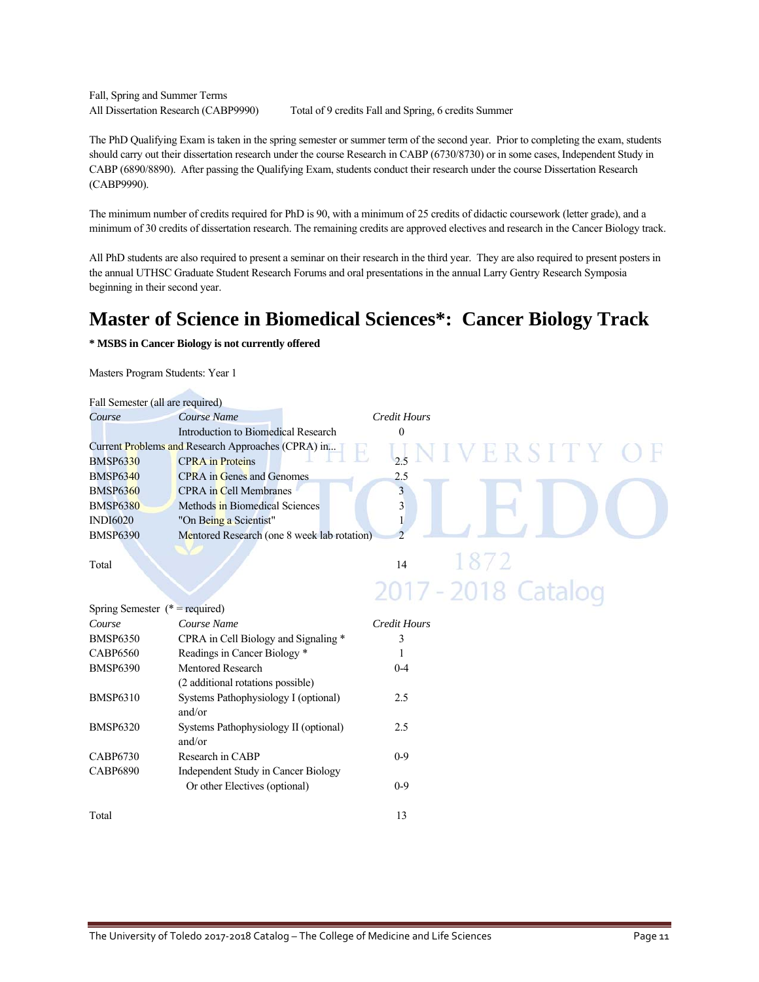Fall, Spring and Summer Terms

All Dissertation Research (CABP9990) Total of 9 credits Fall and Spring, 6 credits Summer

The PhD Qualifying Exam is taken in the spring semester or summer term of the second year. Prior to completing the exam, students should carry out their dissertation research under the course Research in CABP (6730/8730) or in some cases, Independent Study in CABP (6890/8890). After passing the Qualifying Exam, students conduct their research under the course Dissertation Research (CABP9990).

The minimum number of credits required for PhD is 90, with a minimum of 25 credits of didactic coursework (letter grade), and a minimum of 30 credits of dissertation research. The remaining credits are approved electives and research in the Cancer Biology track.

All PhD students are also required to present a seminar on their research in the third year. They are also required to present posters in the annual UTHSC Graduate Student Research Forums and oral presentations in the annual Larry Gentry Research Symposia beginning in their second year.

# **Master of Science in Biomedical Sciences\*: Cancer Biology Track**

**\* MSBS in Cancer Biology is not currently offered** 

Masters Program Students: Year 1

| Fall Semester (all are required) |                                                    |                          |
|----------------------------------|----------------------------------------------------|--------------------------|
| Course                           | Course Name                                        | <b>Credit Hours</b>      |
|                                  | Introduction to Biomedical Research                | $\theta$                 |
|                                  | Current Problems and Research Approaches (CPRA) in | VERSITY C                |
| <b>BMSP6330</b>                  | <b>CPRA</b> in Proteins                            | 2.5                      |
| <b>BMSP6340</b>                  | <b>CPRA</b> in Genes and Genomes                   | 2.5                      |
| <b>BMSP6360</b>                  | <b>CPRA</b> in Cell Membranes                      | $\overline{\mathbf{3}}$  |
| <b>BMSP6380</b>                  | Methods in Biomedical Sciences                     | 3                        |
| <b>INDI6020</b>                  | "On Being a Scientist"                             |                          |
| <b>BMSP6390</b>                  | Mentored Research (one 8 week lab rotation)        | $\overline{\phantom{a}}$ |
|                                  |                                                    |                          |
| Total                            |                                                    | 1872<br>14               |
|                                  |                                                    | 2017 - 2018 Catalog      |
| Spring Semester $(* = required)$ |                                                    |                          |
| Course                           | Course Name                                        | <b>Credit Hours</b>      |
| <b>BMSP6350</b>                  | CPRA in Cell Biology and Signaling *               | 3                        |
| <b>CABP6560</b>                  | Readings in Cancer Biology *                       |                          |
| <b>BMSP6390</b>                  | <b>Mentored Research</b>                           | $0 - 4$                  |
|                                  | (2 additional rotations possible)                  |                          |
| <b>BMSP6310</b>                  | Systems Pathophysiology I (optional)               | 2.5                      |
|                                  | and/or                                             |                          |
| <b>BMSP6320</b>                  | Systems Pathophysiology II (optional)              | 2.5                      |
|                                  | and/or                                             |                          |
| <b>CABP6730</b>                  | Research in CABP                                   | $0 - 9$                  |
| <b>CABP6890</b>                  | Independent Study in Cancer Biology                |                          |
|                                  | Or other Electives (optional)                      | $0-9$                    |

Total 13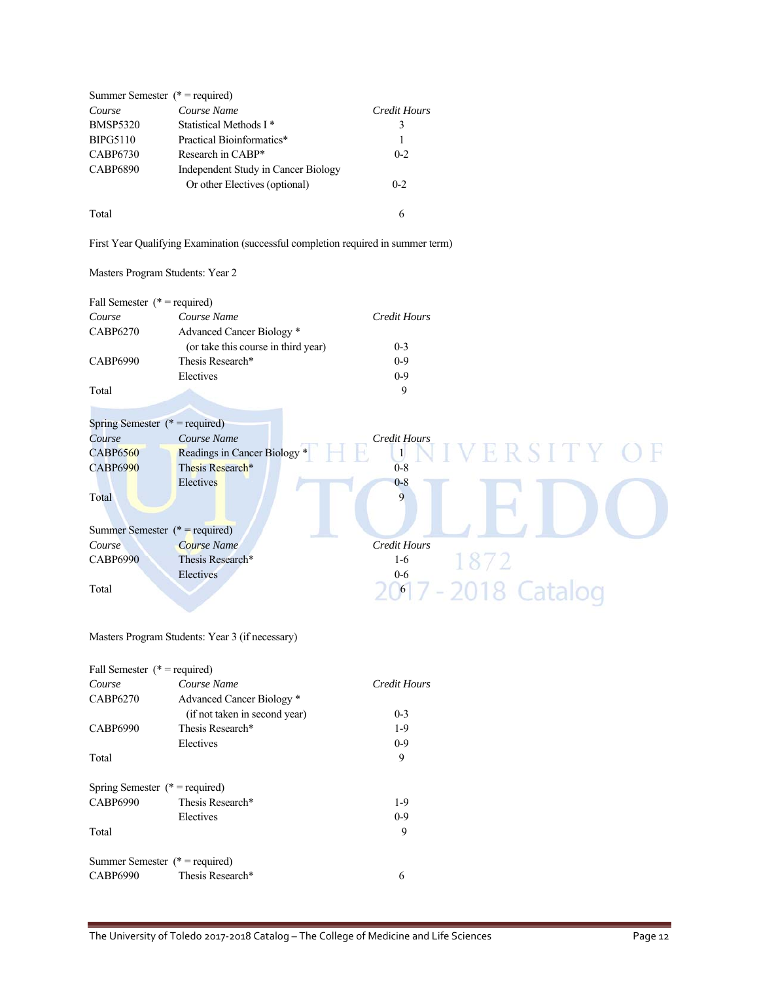|                 | Summer Semester ( $*$ = required)   |              |
|-----------------|-------------------------------------|--------------|
| Course          | Course Name                         | Credit Hours |
| <b>BMSP5320</b> | Statistical Methods I <sup>*</sup>  | 3            |
| <b>BIPG5110</b> | Practical Bioinformatics*           | 1            |
| <b>CABP6730</b> | Research in CABP*                   | $0 - 2$      |
| <b>CABP6890</b> | Independent Study in Cancer Biology |              |
|                 | Or other Electives (optional)       | $0 - 2$      |
| Total           |                                     | 6            |

First Year Qualifying Examination (successful completion required in summer term)

### Masters Program Students: Year 2

| Fall Semester $(* = required)$   |                                                 |                           |
|----------------------------------|-------------------------------------------------|---------------------------|
| Course                           | Course Name                                     | <b>Credit Hours</b>       |
| <b>CABP6270</b>                  | Advanced Cancer Biology *                       |                           |
|                                  | (or take this course in third year)             | $0 - 3$                   |
| <b>CABP6990</b>                  | Thesis Research*                                | $0-9$                     |
|                                  | Electives                                       | $0-9$                     |
| Total                            |                                                 | 9                         |
|                                  |                                                 |                           |
| Spring Semester $(* = required)$ |                                                 |                           |
| Course                           | Course Name                                     | Credit Hours              |
| <b>CABP6560</b>                  | Readings in Cancer Biology *                    | ERSITY OF<br>$\mathbf{1}$ |
| <b>CABP6990</b>                  | Thesis Research*                                | $0 - 8$                   |
|                                  | Electives                                       | $0 - 8$                   |
| Total                            |                                                 | 9                         |
|                                  |                                                 |                           |
| Summer Semester $(* = required)$ |                                                 |                           |
| Course                           | Course Name                                     | <b>Credit Hours</b>       |
|                                  |                                                 | $1-6$                     |
| <b>CABP6990</b>                  | Thesis Research*                                | 1872                      |
|                                  | Electives                                       | $0-6$                     |
| Total                            |                                                 | 2017 - 2018 Catalog       |
|                                  |                                                 |                           |
|                                  |                                                 |                           |
|                                  | Masters Program Students: Year 3 (if necessary) |                           |
|                                  |                                                 |                           |

| Fall Semester $(* = required)$    |                               |              |
|-----------------------------------|-------------------------------|--------------|
| Course                            | Course Name                   | Credit Hours |
| CABP6270                          | Advanced Cancer Biology *     |              |
|                                   | (if not taken in second year) | $0 - 3$      |
| CABP6990                          | Thesis Research*              | $1-9$        |
|                                   | Electives                     | $0 - 9$      |
| Total                             |                               | 9            |
| Spring Semester ( $*$ = required) |                               |              |
| CABP6990                          | Thesis Research*              | $1-9$        |
|                                   | Electives                     | $0-9$        |
| Total                             |                               | 9            |
| Summer Semester ( $*$ = required) |                               |              |
| <b>CABP6990</b>                   | Thesis Research*              | 6            |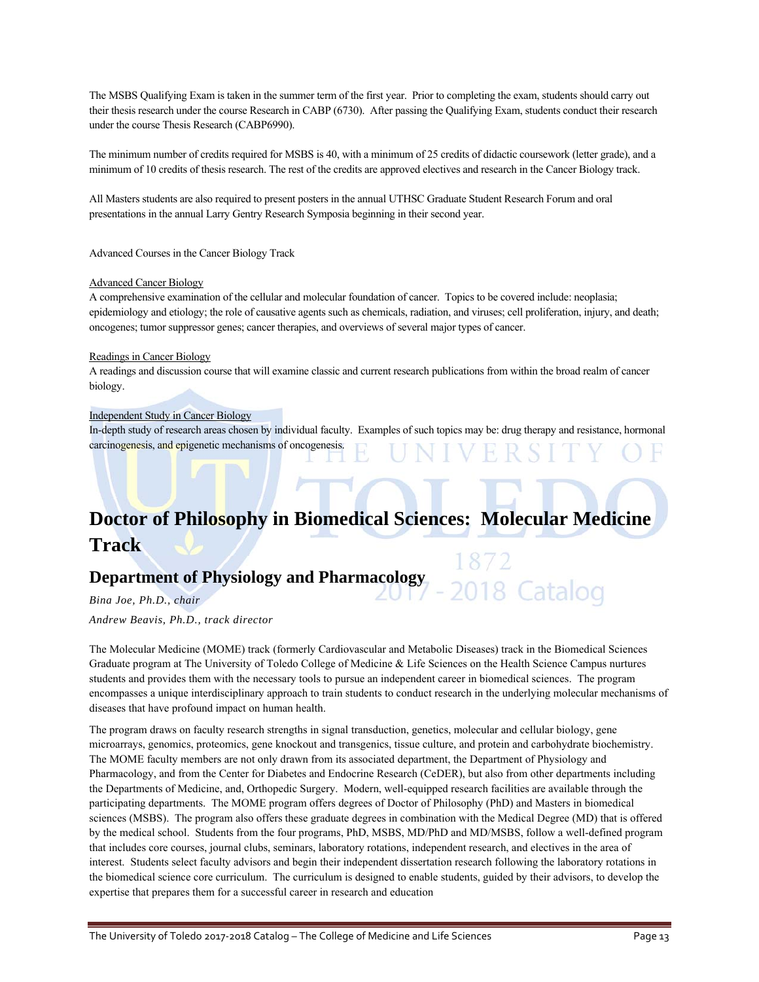The MSBS Qualifying Exam is taken in the summer term of the first year. Prior to completing the exam, students should carry out their thesis research under the course Research in CABP (6730). After passing the Qualifying Exam, students conduct their research under the course Thesis Research (CABP6990).

The minimum number of credits required for MSBS is 40, with a minimum of 25 credits of didactic coursework (letter grade), and a minimum of 10 credits of thesis research. The rest of the credits are approved electives and research in the Cancer Biology track.

All Masters students are also required to present posters in the annual UTHSC Graduate Student Research Forum and oral presentations in the annual Larry Gentry Research Symposia beginning in their second year.

Advanced Courses in the Cancer Biology Track

### Advanced Cancer Biology

A comprehensive examination of the cellular and molecular foundation of cancer. Topics to be covered include: neoplasia; epidemiology and etiology; the role of causative agents such as chemicals, radiation, and viruses; cell proliferation, injury, and death; oncogenes; tumor suppressor genes; cancer therapies, and overviews of several major types of cancer.

#### Readings in Cancer Biology

A readings and discussion course that will examine classic and current research publications from within the broad realm of cancer biology.

#### Independent Study in Cancer Biology

In-depth study of research areas chosen by individual faculty. Examples of such topics may be: drug therapy and resistance, hormonal carcinogenesis, and epigenetic mechanisms of oncogenesis.

# **Doctor of Philosophy in Biomedical Sciences: Molecular Medicine Track**

### **Department of Physiology and Pharmacology**

*Bina Joe, Ph.D., chair Andrew Beavis, Ph.D., track director* 

The Molecular Medicine (MOME) track (formerly Cardiovascular and Metabolic Diseases) track in the Biomedical Sciences Graduate program at The University of Toledo College of Medicine & Life Sciences on the Health Science Campus nurtures students and provides them with the necessary tools to pursue an independent career in biomedical sciences. The program encompasses a unique interdisciplinary approach to train students to conduct research in the underlying molecular mechanisms of diseases that have profound impact on human health.

2018 Catalog

The program draws on faculty research strengths in signal transduction, genetics, molecular and cellular biology, gene microarrays, genomics, proteomics, gene knockout and transgenics, tissue culture, and protein and carbohydrate biochemistry. The MOME faculty members are not only drawn from its associated department, the Department of Physiology and Pharmacology, and from the Center for Diabetes and Endocrine Research (CeDER), but also from other departments including the Departments of Medicine, and, Orthopedic Surgery. Modern, well-equipped research facilities are available through the participating departments. The MOME program offers degrees of Doctor of Philosophy (PhD) and Masters in biomedical sciences (MSBS). The program also offers these graduate degrees in combination with the Medical Degree (MD) that is offered by the medical school. Students from the four programs, PhD, MSBS, MD/PhD and MD/MSBS, follow a well-defined program that includes core courses, journal clubs, seminars, laboratory rotations, independent research, and electives in the area of interest. Students select faculty advisors and begin their independent dissertation research following the laboratory rotations in the biomedical science core curriculum. The curriculum is designed to enable students, guided by their advisors, to develop the expertise that prepares them for a successful career in research and education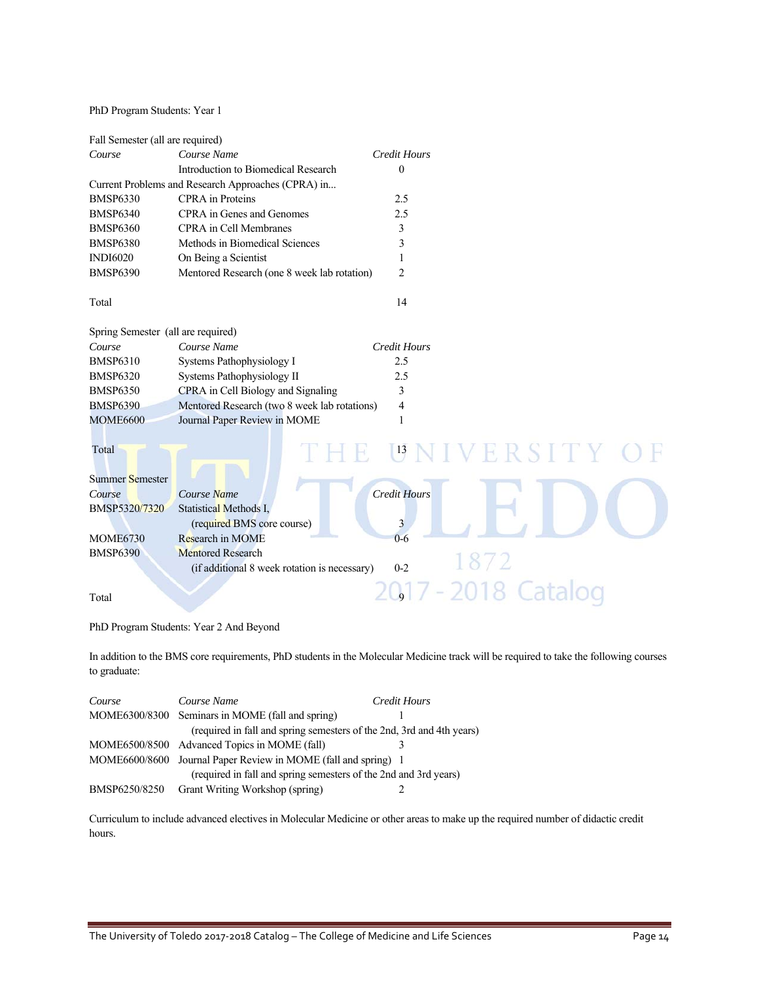PhD Program Students: Year 1

| Fall Semester (all are required)   |                                                    |                     |
|------------------------------------|----------------------------------------------------|---------------------|
| Course                             | Course Name                                        | <b>Credit Hours</b> |
|                                    | Introduction to Biomedical Research                | $\mathbf{0}$        |
|                                    | Current Problems and Research Approaches (CPRA) in |                     |
| <b>BMSP6330</b>                    | <b>CPRA</b> in Proteins                            | 2.5                 |
| <b>BMSP6340</b>                    | CPRA in Genes and Genomes                          | 2.5                 |
| <b>BMSP6360</b>                    | <b>CPRA</b> in Cell Membranes                      | 3                   |
| <b>BMSP6380</b>                    | Methods in Biomedical Sciences                     | 3                   |
| <b>INDI6020</b>                    | On Being a Scientist                               | 1                   |
| <b>BMSP6390</b>                    | Mentored Research (one 8 week lab rotation)        | $\overline{2}$      |
| Total                              |                                                    | 14                  |
| Spring Semester (all are required) |                                                    |                     |
| Course                             | Course Name                                        | <b>Credit Hours</b> |
| <b>BMSP6310</b>                    | Systems Pathophysiology I                          | 2.5                 |
| <b>BMSP6320</b>                    | Systems Pathophysiology II                         | 2.5                 |
| <b>BMSP6350</b>                    | CPRA in Cell Biology and Signaling                 | 3                   |
| <b>BMSP6390</b>                    | Mentored Research (two 8 week lab rotations)       | 4                   |
| <b>MOME6600</b>                    | Journal Paper Review in MOME                       | $\mathbf{1}$        |
| Total                              |                                                    | IVERSITY<br> 13     |
| <b>Summer Semester</b>             |                                                    |                     |
| Course                             | Course Name                                        | <b>Credit Hours</b> |
| BMSP5320/7320                      | Statistical Methods I,                             |                     |
|                                    | (required BMS core course)                         | 3                   |
| <b>MOME6730</b>                    | Research in MOME                                   | $0 - 6$             |
| <b>BMSP6390</b>                    | <b>Mentored Research</b>                           |                     |
|                                    | (if additional 8 week rotation is necessary)       | $0 - 2$             |
|                                    |                                                    |                     |
| Total                              |                                                    | 2018                |
|                                    |                                                    |                     |

PhD Program Students: Year 2 And Beyond

In addition to the BMS core requirements, PhD students in the Molecular Medicine track will be required to take the following courses to graduate:

| Course        | Course Name                                                           | Credit Hours |
|---------------|-----------------------------------------------------------------------|--------------|
|               | MOME6300/8300 Seminars in MOME (fall and spring)                      |              |
|               | (required in fall and spring semesters of the 2nd, 3rd and 4th years) |              |
|               | MOME6500/8500 Advanced Topics in MOME (fall)                          |              |
|               | MOME6600/8600 Journal Paper Review in MOME (fall and spring) 1        |              |
|               | (required in fall and spring semesters of the 2nd and 3rd years)      |              |
| BMSP6250/8250 | Grant Writing Workshop (spring)                                       |              |

Curriculum to include advanced electives in Molecular Medicine or other areas to make up the required number of didactic credit hours.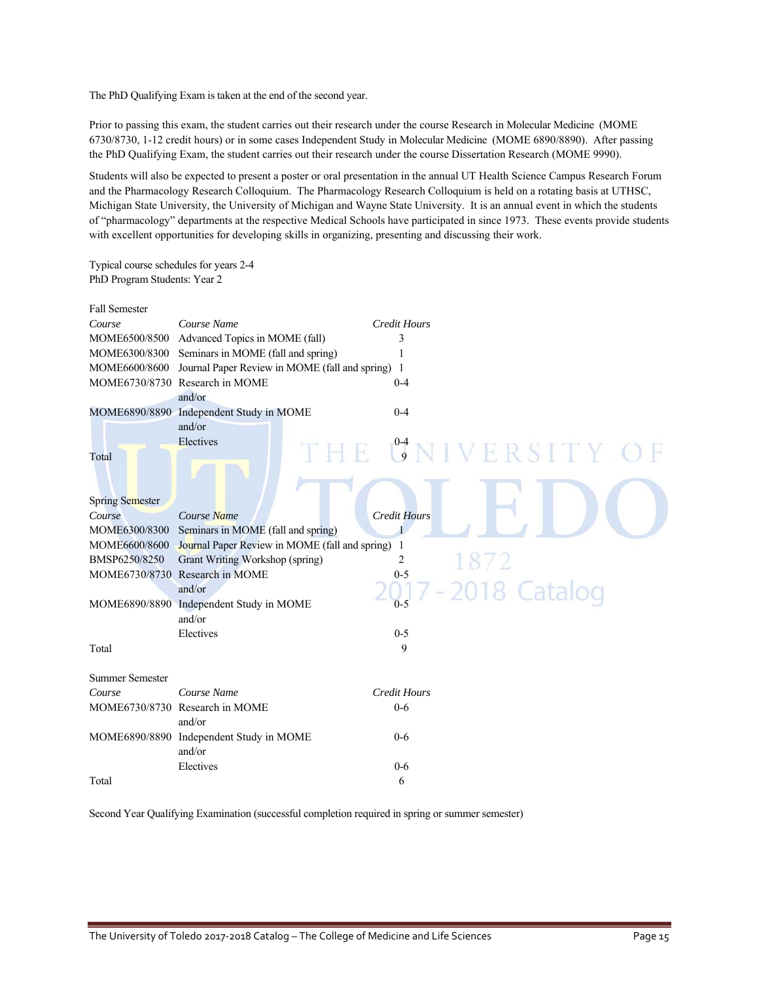The PhD Qualifying Exam is taken at the end of the second year.

Prior to passing this exam, the student carries out their research under the course Research in Molecular Medicine (MOME 6730/8730, 1-12 credit hours) or in some cases Independent Study in Molecular Medicine (MOME 6890/8890). After passing the PhD Qualifying Exam, the student carries out their research under the course Dissertation Research (MOME 9990).

Students will also be expected to present a poster or oral presentation in the annual UT Health Science Campus Research Forum and the Pharmacology Research Colloquium. The Pharmacology Research Colloquium is held on a rotating basis at UTHSC, Michigan State University, the University of Michigan and Wayne State University. It is an annual event in which the students of "pharmacology" departments at the respective Medical Schools have participated in since 1973. These events provide students with excellent opportunities for developing skills in organizing, presenting and discussing their work.

Typical course schedules for years 2-4 PhD Program Students: Year 2

| <b>Fall Semester</b>   |                                                  |                        |
|------------------------|--------------------------------------------------|------------------------|
| Course                 | Course Name                                      | <b>Credit Hours</b>    |
| MOME6500/8500          | Advanced Topics in MOME (fall)                   | 3                      |
| MOME6300/8300          | Seminars in MOME (fall and spring)               | 1                      |
| MOME6600/8600          | Journal Paper Review in MOME (fall and spring) 1 |                        |
|                        | MOME6730/8730 Research in MOME                   | $0 - 4$                |
|                        | and/or                                           |                        |
|                        | MOME6890/8890 Independent Study in MOME          | $0 - 4$                |
|                        | and/or                                           |                        |
|                        | Electives                                        | THE UNIVERSITY O       |
| Total                  |                                                  |                        |
|                        |                                                  |                        |
|                        |                                                  |                        |
| <b>Spring Semester</b> |                                                  |                        |
| Course                 | Course Name                                      | <b>Credit Hours</b>    |
| MOME6300/8300          | Seminars in MOME (fall and spring)               | 1                      |
| MOME6600/8600          | Journal Paper Review in MOME (fall and spring)   | 1                      |
| BMSP6250/8250          | Grant Writing Workshop (spring)                  | 1872<br>$\overline{2}$ |
|                        | MOME6730/8730 Research in MOME                   | $0 - 5$                |
|                        | and/or                                           | Catalog                |
|                        | MOME6890/8890 Independent Study in MOME          | $0 - 5$                |
|                        | and/or                                           |                        |
|                        | Electives                                        | $0 - 5$                |
| Total                  |                                                  | 9                      |
|                        |                                                  |                        |
| <b>Summer Semester</b> |                                                  |                        |
| Course                 | Course Name                                      | <b>Credit Hours</b>    |
|                        | MOME6730/8730 Research in MOME                   | $0 - 6$                |
|                        | and/or                                           |                        |
|                        | MOME6890/8890 Independent Study in MOME          | $0 - 6$                |
|                        | and/or                                           |                        |
|                        | Electives                                        | $0 - 6$                |
| Total                  |                                                  | 6                      |
|                        |                                                  |                        |

Second Year Qualifying Examination (successful completion required in spring or summer semester)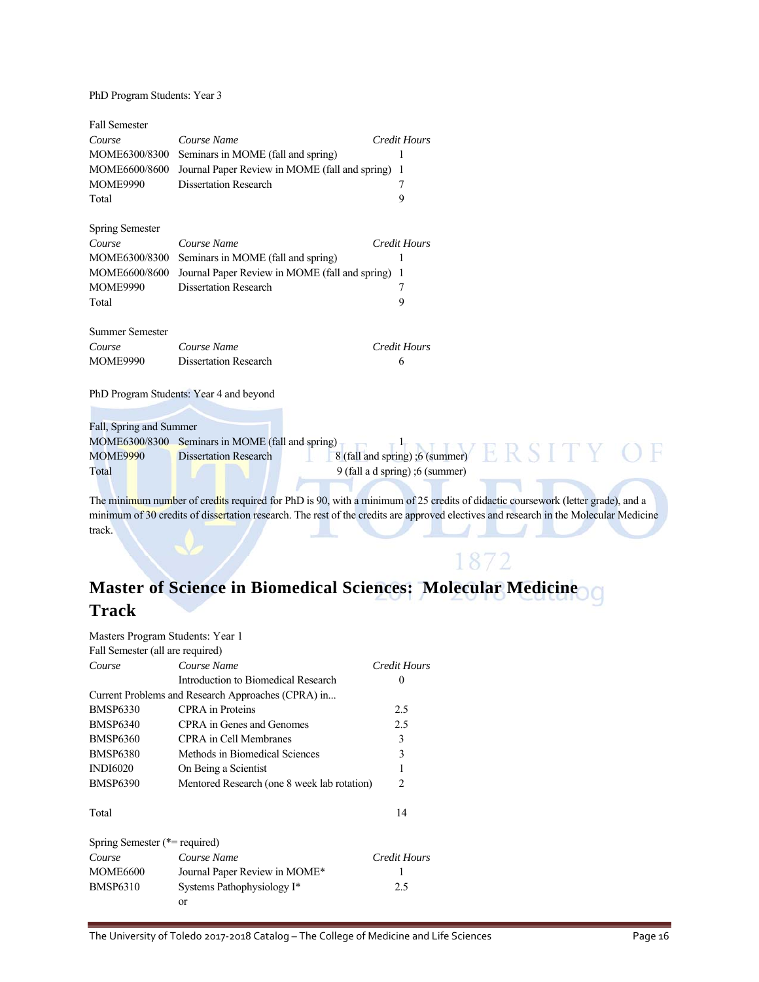PhD Program Students: Year 3

| <b>Fall Semester</b>    |                                                |                                                                                                                                       |
|-------------------------|------------------------------------------------|---------------------------------------------------------------------------------------------------------------------------------------|
| Course                  | Course Name                                    | <b>Credit Hours</b>                                                                                                                   |
| MOME6300/8300           | Seminars in MOME (fall and spring)             |                                                                                                                                       |
| MOME6600/8600           | Journal Paper Review in MOME (fall and spring) | -1                                                                                                                                    |
| <b>MOME9990</b>         | <b>Dissertation Research</b>                   | 7                                                                                                                                     |
| Total                   |                                                | 9                                                                                                                                     |
| Spring Semester         |                                                |                                                                                                                                       |
| Course                  | Course Name                                    | <b>Credit Hours</b>                                                                                                                   |
| MOME6300/8300           | Seminars in MOME (fall and spring)             | 1                                                                                                                                     |
| MOME6600/8600           | Journal Paper Review in MOME (fall and spring) |                                                                                                                                       |
| <b>MOME9990</b>         | <b>Dissertation Research</b>                   | 7                                                                                                                                     |
| Total                   |                                                | 9                                                                                                                                     |
| <b>Summer Semester</b>  |                                                |                                                                                                                                       |
| Course                  | Course Name                                    | <b>Credit Hours</b>                                                                                                                   |
| <b>MOME9990</b>         | <b>Dissertation Research</b>                   | 6                                                                                                                                     |
|                         | PhD Program Students: Year 4 and beyond        |                                                                                                                                       |
|                         |                                                |                                                                                                                                       |
| Fall, Spring and Summer |                                                |                                                                                                                                       |
| MOME6300/8300           | Seminars in MOME (fall and spring)             |                                                                                                                                       |
| <b>MOME9990</b>         | <b>Dissertation Research</b>                   | ERSIIY<br>8 (fall and spring); 6 (summer)                                                                                             |
| Total                   |                                                | 9 (fall a d spring) ;6 (summer)                                                                                                       |
|                         |                                                | The minimum number of credits required for PhD is 90, with a minimum of 25 credits of didactic coursework (letter grade), and a       |
|                         |                                                | minimum of 30 credits of dissertation research. The rest of the credits are approved electives and research in the Molecular Medicine |
| track.                  |                                                |                                                                                                                                       |
|                         |                                                |                                                                                                                                       |
|                         |                                                |                                                                                                                                       |

# **Master of Science in Biomedical Sciences: Molecular Medicine Track**

|                                  | Masters Program Students: Year 1                   |              |
|----------------------------------|----------------------------------------------------|--------------|
| Fall Semester (all are required) |                                                    |              |
| Course                           | Course Name                                        | Credit Hours |
|                                  | Introduction to Biomedical Research                | 0            |
|                                  | Current Problems and Research Approaches (CPRA) in |              |
| <b>BMSP6330</b>                  | <b>CPRA</b> in Proteins                            | 2.5          |
| <b>BMSP6340</b>                  | CPRA in Genes and Genomes                          | 2.5          |
| <b>BMSP6360</b>                  | CPRA in Cell Membranes                             | 3            |
| <b>BMSP6380</b>                  | Methods in Biomedical Sciences                     | 3            |
| <b>INDI6020</b>                  | On Being a Scientist                               | 1            |
| <b>BMSP6390</b>                  | Mentored Research (one 8 week lab rotation)        | 2            |
| Total                            |                                                    | 14           |
| Spring Semester $(*=$ required)  |                                                    |              |
| Course                           | Course Name                                        | Credit Hours |
| MOME6600                         | Journal Paper Review in MOME*                      | 1            |
| <b>BMSP6310</b>                  | Systems Pathophysiology I*                         | 2.5          |
|                                  | or                                                 |              |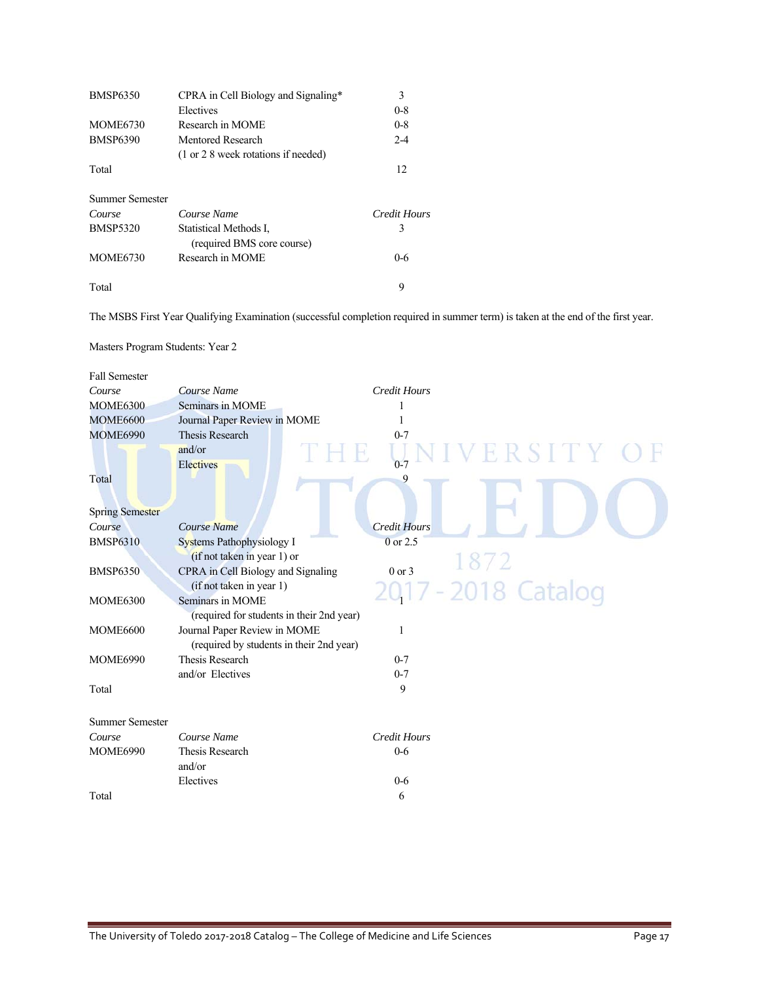| <b>BMSP6350</b> | CPRA in Cell Biology and Signaling*                             | 3            |
|-----------------|-----------------------------------------------------------------|--------------|
|                 | Electives                                                       | $0 - 8$      |
| <b>MOME6730</b> | Research in MOME                                                | $0 - 8$      |
| <b>BMSP6390</b> | Mentored Research                                               | $2 - 4$      |
|                 | $(1 \text{ or } 2 \text{ } 8 \text{ week rotations if needed})$ |              |
| Total           |                                                                 | 12           |
| Summer Semester |                                                                 |              |
| Course          | Course Name                                                     | Credit Hours |
| <b>BMSP5320</b> | Statistical Methods I.<br>(required BMS core course)            | 3            |
| <b>MOME6730</b> | Research in MOME                                                | $0 - 6$      |
| Total           |                                                                 | 9            |

The MSBS First Year Qualifying Examination (successful completion required in summer term) is taken at the end of the first year.

| Masters Program Students: Year 2 |  |
|----------------------------------|--|
|                                  |  |

| <b>Fall Semester</b>                                                |                     |
|---------------------------------------------------------------------|---------------------|
| Course Name<br><b>Credit Hours</b><br>Course                        |                     |
| Seminars in MOME<br><b>MOME6300</b><br>1                            |                     |
| <b>MOME6600</b><br>Journal Paper Review in MOME                     |                     |
| <b>Thesis Research</b><br><b>MOME6990</b><br>$0 - 7$                |                     |
| and/or<br>Electives<br>$0 - 7$                                      | ERSITY OF           |
| Total<br>9                                                          |                     |
| <b>Spring Semester</b>                                              |                     |
| <b>Credit Hours</b><br>Course Name<br>Course                        |                     |
| 0 or 2.5<br><b>BMSP6310</b><br><b>Systems Pathophysiology I</b>     |                     |
| (if not taken in year 1) or                                         |                     |
| CPRA in Cell Biology and Signaling<br>$0$ or $3$<br><b>BMSP6350</b> |                     |
| (if not taken in year 1)                                            | 2017 - 2018 Catalog |
| Seminars in MOME<br><b>MOME6300</b>                                 |                     |
| (required for students in their 2nd year)                           |                     |
| Journal Paper Review in MOME<br><b>MOME6600</b><br>1                |                     |
| (required by students in their 2nd year)                            |                     |
| Thesis Research<br>$0 - 7$<br><b>MOME6990</b>                       |                     |
| and/or Electives<br>$0 - 7$                                         |                     |
| 9<br>Total                                                          |                     |
| <b>Summer Semester</b>                                              |                     |
| Course Name<br><b>Credit Hours</b><br>Course                        |                     |
| <b>Thesis Research</b><br><b>MOME6990</b><br>$0 - 6$                |                     |
| and/or                                                              |                     |
| Electives<br>$0 - 6$                                                |                     |
| Total<br>6                                                          |                     |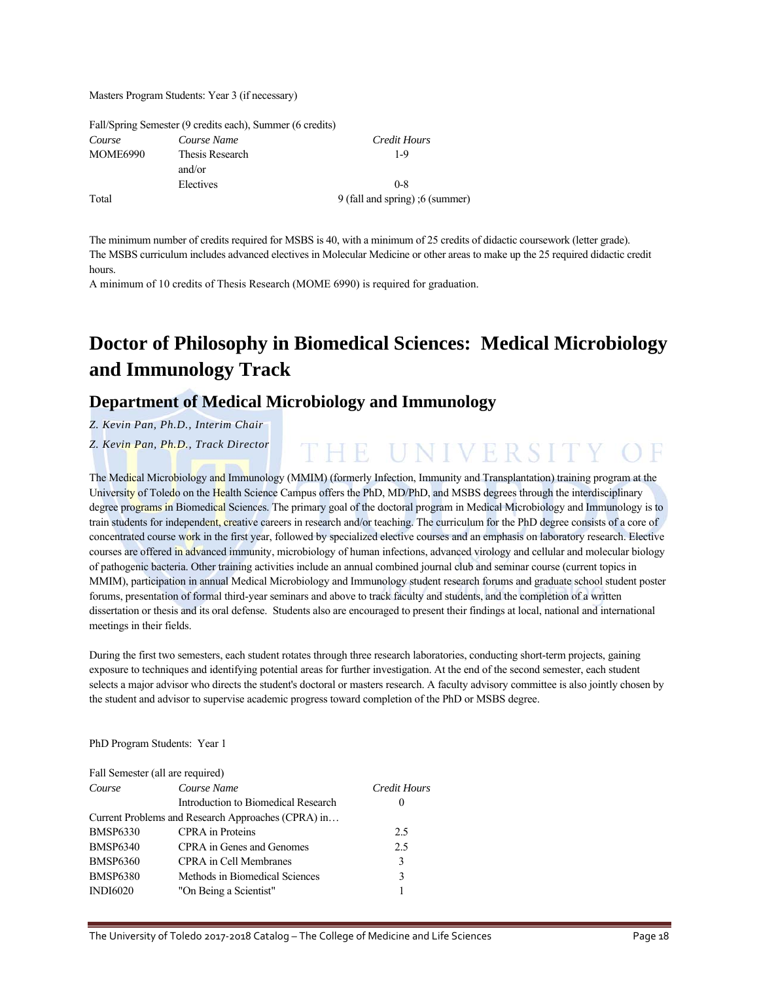Masters Program Students: Year 3 (if necessary)

|          | Fall/Spring Semester (9 credits each), Summer (6 credits) |                                 |
|----------|-----------------------------------------------------------|---------------------------------|
| Course   | Course Name                                               | Credit Hours                    |
| MOME6990 | Thesis Research                                           | 1-9                             |
|          | and/or                                                    |                                 |
|          | Electives                                                 | $0 - 8$                         |
| Total    |                                                           | 9 (fall and spring) ;6 (summer) |

The minimum number of credits required for MSBS is 40, with a minimum of 25 credits of didactic coursework (letter grade). The MSBS curriculum includes advanced electives in Molecular Medicine or other areas to make up the 25 required didactic credit hours.

A minimum of 10 credits of Thesis Research (MOME 6990) is required for graduation.

# **Doctor of Philosophy in Biomedical Sciences: Medical Microbiology and Immunology Track**

THE UNIVERSITY OF

### **Department of Medical Microbiology and Immunology**

*Z. Kevin Pan, Ph.D., Interim Chair* 

*Z. Kevin Pan, Ph.D., Track Director* 

The Medical Microbiology and Immunology (MMIM) (formerly Infection, Immunity and Transplantation) training program at the University of Toledo on the Health Science Campus offers the PhD, MD/PhD, and MSBS degrees through the interdisciplinary degree programs in Biomedical Sciences. The primary goal of the doctoral program in Medical Microbiology and Immunology is to train students for independent, creative careers in research and/or teaching. The curriculum for the PhD degree consists of a core of concentrated course work in the first year, followed by specialized elective courses and an emphasis on laboratory research. Elective courses are offered in advanced immunity, microbiology of human infections, advanced virology and cellular and molecular biology of pathogenic bacteria. Other training activities include an annual combined journal club and seminar course (current topics in MMIM), participation in annual Medical Microbiology and Immunology student research forums and graduate school student poster forums, presentation of formal third-year seminars and above to track faculty and students, and the completion of a written dissertation or thesis and its oral defense. Students also are encouraged to present their findings at local, national and international meetings in their fields.

During the first two semesters, each student rotates through three research laboratories, conducting short-term projects, gaining exposure to techniques and identifying potential areas for further investigation. At the end of the second semester, each student selects a major advisor who directs the student's doctoral or masters research. A faculty advisory committee is also jointly chosen by the student and advisor to supervise academic progress toward completion of the PhD or MSBS degree.

### PhD Program Students: Year 1

| Fall Semester (all are required) |                                                    |              |
|----------------------------------|----------------------------------------------------|--------------|
| Course                           | Course Name                                        | Credit Hours |
|                                  | Introduction to Biomedical Research                | $\theta$     |
|                                  | Current Problems and Research Approaches (CPRA) in |              |
| <b>BMSP6330</b>                  | <b>CPRA</b> in Proteins                            | 2.5          |
| <b>BMSP6340</b>                  | CPRA in Genes and Genomes                          | 2.5          |
| <b>BMSP6360</b>                  | <b>CPRA</b> in Cell Membranes                      | 3            |
| <b>BMSP6380</b>                  | Methods in Biomedical Sciences                     | 3            |
| <b>INDI6020</b>                  | "On Being a Scientist"                             |              |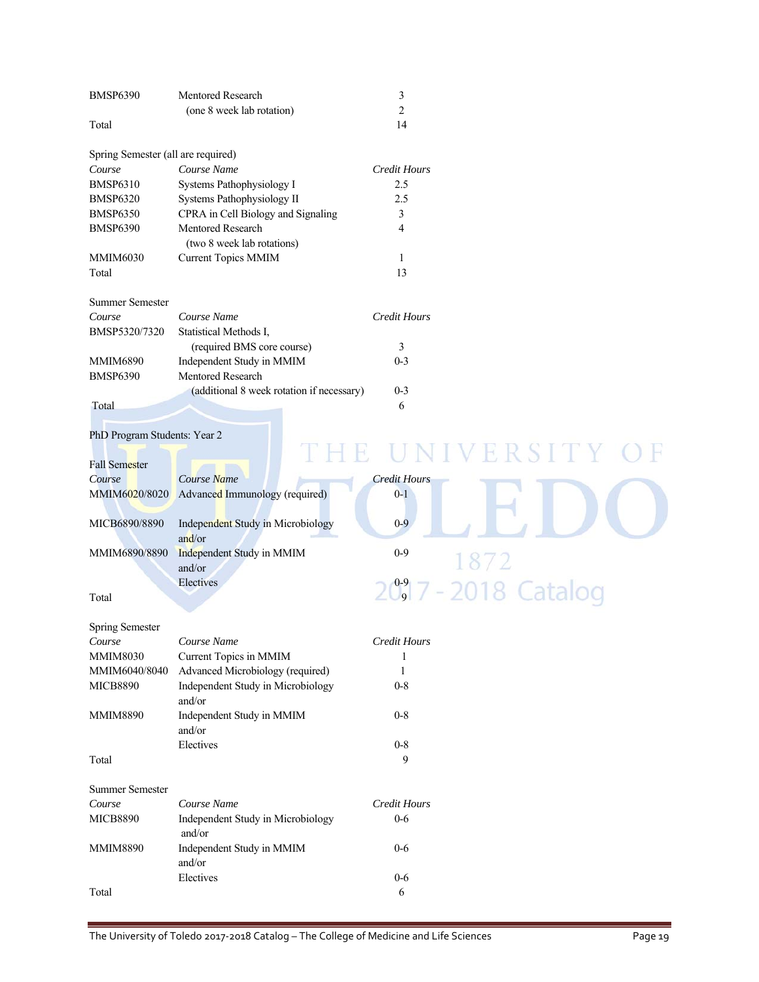| <b>BMSP6390</b>                    | Mentored Research                         | 3                   |                                  |
|------------------------------------|-------------------------------------------|---------------------|----------------------------------|
|                                    | (one 8 week lab rotation)                 | $\overline{2}$      |                                  |
| Total                              |                                           | 14                  |                                  |
| Spring Semester (all are required) |                                           |                     |                                  |
| Course                             | Course Name                               | <b>Credit Hours</b> |                                  |
| <b>BMSP6310</b>                    | Systems Pathophysiology I                 | 2.5                 |                                  |
| <b>BMSP6320</b>                    | Systems Pathophysiology II                | 2.5                 |                                  |
| <b>BMSP6350</b>                    | CPRA in Cell Biology and Signaling        | 3                   |                                  |
| <b>BMSP6390</b>                    | Mentored Research                         | 4                   |                                  |
|                                    | (two 8 week lab rotations)                |                     |                                  |
| MMIM6030                           | <b>Current Topics MMIM</b>                | 1                   |                                  |
| Total                              |                                           | 13                  |                                  |
| <b>Summer Semester</b>             |                                           |                     |                                  |
| Course                             | Course Name                               | Credit Hours        |                                  |
| BMSP5320/7320                      | Statistical Methods I,                    |                     |                                  |
|                                    | (required BMS core course)                | 3                   |                                  |
| MMIM6890                           | Independent Study in MMIM                 | $0 - 3$             |                                  |
| <b>BMSP6390</b>                    | Mentored Research                         |                     |                                  |
|                                    | (additional 8 week rotation if necessary) | $0 - 3$             |                                  |
| Total                              |                                           | 6                   |                                  |
|                                    |                                           |                     |                                  |
| PhD Program Students: Year 2       |                                           |                     |                                  |
|                                    |                                           |                     | UNIVERSIT                        |
| Fall Semester                      |                                           |                     |                                  |
| Course                             | Course Name                               | <b>Credit Hours</b> |                                  |
| MMIM6 <mark>02</mark> 0/8020       | Advanced Immunology (required)            | $0-1$               |                                  |
|                                    |                                           |                     |                                  |
| MICB6890/8890                      | Independent Study in Microbiology         | $0 - 9$             |                                  |
|                                    | and/or                                    |                     |                                  |
| MMIM6890/8890                      | Independent Study in MMIM                 | $0 - 9$             |                                  |
|                                    | and/or                                    |                     | 1872                             |
|                                    | Electives                                 |                     |                                  |
| Total                              |                                           |                     | 20 <sup>9</sup> 7 - 2018 Catalog |
|                                    |                                           |                     |                                  |
| <b>Spring Semester</b>             |                                           |                     |                                  |
| Course                             | Course Name                               | Credit Hours        |                                  |
| MMIM8030                           | Current Topics in MMIM                    | 1                   |                                  |
| MMIM6040/8040                      | Advanced Microbiology (required)          | 1                   |                                  |
| MICB8890                           | Independent Study in Microbiology         | $0 - 8$             |                                  |
|                                    | and/or                                    |                     |                                  |
| <b>MMIM8890</b>                    | Independent Study in MMIM                 | $0 - 8$             |                                  |
|                                    | and/or                                    |                     |                                  |
|                                    | Electives                                 | $0 - 8$             |                                  |
| Total                              |                                           | 9                   |                                  |
| <b>Summer Semester</b>             |                                           |                     |                                  |
| Course                             | Course Name                               | Credit Hours        |                                  |
| MICB8890                           | Independent Study in Microbiology         | $0-6$               |                                  |
|                                    | and/or                                    |                     |                                  |
| MMIM8890                           | Independent Study in MMIM                 | $0 - 6$             |                                  |
|                                    | and/or                                    |                     |                                  |
|                                    | Electives                                 | $0-6$               |                                  |
| Total                              |                                           | 6                   |                                  |
|                                    |                                           |                     |                                  |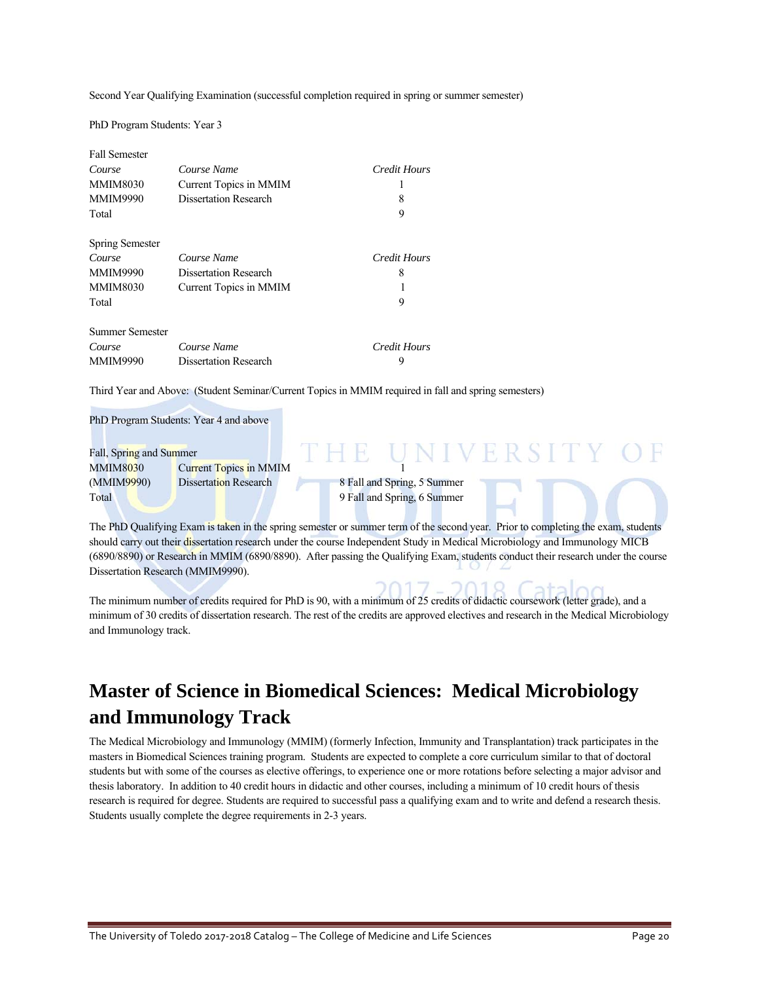Second Year Qualifying Examination (successful completion required in spring or summer semester)

PhD Program Students: Year 3

| <b>Fall Semester</b> |                              |                     |
|----------------------|------------------------------|---------------------|
| Course               | Course Name                  | Credit Hours        |
| <b>MMIM8030</b>      | Current Topics in MMIM       |                     |
| <b>MMIM9990</b>      | <b>Dissertation Research</b> | 8                   |
| Total                |                              | 9                   |
| Spring Semester      |                              |                     |
| Course               | Course Name                  | <b>Credit Hours</b> |
| <b>MMIM9990</b>      | <b>Dissertation Research</b> | 8                   |
| <b>MMIM8030</b>      | Current Topics in MMIM       |                     |
| Total                |                              | 9                   |
| Summer Semester      |                              |                     |
| Course               | Course Name                  | Credit Hours        |
| <b>MMIM9990</b>      | <b>Dissertation Research</b> | 9                   |

Third Year and Above: (Student Seminar/Current Topics in MMIM required in fall and spring semesters)

PhD Program Students: Year 4 and above

| Fall, Spring and Summer |                               |                             |  |
|-------------------------|-------------------------------|-----------------------------|--|
| MMIM8030                | <b>Current Topics in MMIM</b> |                             |  |
| (MMIM9990)              | <b>Dissertation Research</b>  | 8 Fall and Spring, 5 Summer |  |
| Total                   |                               | 9 Fall and Spring, 6 Summer |  |

The PhD Qualifying Exam is taken in the spring semester or summer term of the second year. Prior to completing the exam, students should carry out their dissertation research under the course Independent Study in Medical Microbiology and Immunology MICB (6890/8890) or Research in MMIM (6890/8890). After passing the Qualifying Exam, students conduct their research under the course Dissertation Research (MMIM9990).

The minimum number of credits required for PhD is 90, with a minimum of 25 credits of didactic coursework (letter grade), and a minimum of 30 credits of dissertation research. The rest of the credits are approved electives and research in the Medical Microbiology and Immunology track.

# **Master of Science in Biomedical Sciences: Medical Microbiology and Immunology Track**

The Medical Microbiology and Immunology (MMIM) (formerly Infection, Immunity and Transplantation) track participates in the masters in Biomedical Sciences training program. Students are expected to complete a core curriculum similar to that of doctoral students but with some of the courses as elective offerings, to experience one or more rotations before selecting a major advisor and thesis laboratory. In addition to 40 credit hours in didactic and other courses, including a minimum of 10 credit hours of thesis research is required for degree. Students are required to successful pass a qualifying exam and to write and defend a research thesis. Students usually complete the degree requirements in 2-3 years.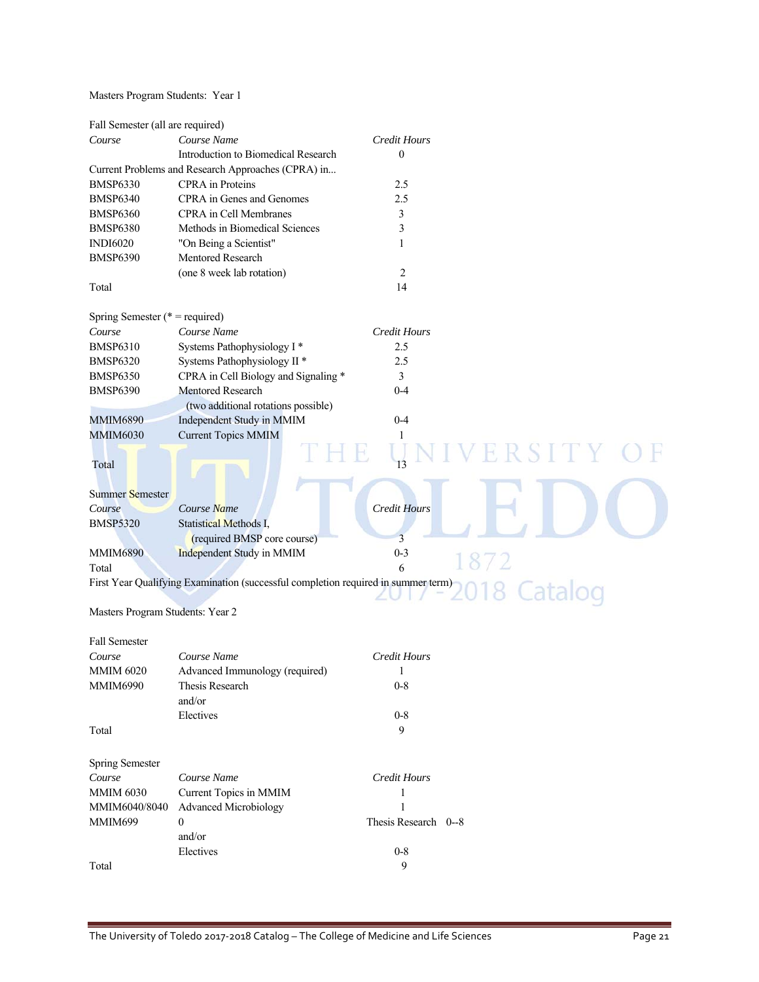### Masters Program Students: Year 1

| Fall Semester (all are required)  |                                                                                                            |                      |        |
|-----------------------------------|------------------------------------------------------------------------------------------------------------|----------------------|--------|
| Course                            | Course Name                                                                                                | <b>Credit Hours</b>  |        |
|                                   | Introduction to Biomedical Research                                                                        | $\boldsymbol{0}$     |        |
|                                   | Current Problems and Research Approaches (CPRA) in                                                         |                      |        |
| <b>BMSP6330</b>                   | CPRA in Proteins                                                                                           | 2.5                  |        |
| <b>BMSP6340</b>                   | CPRA in Genes and Genomes                                                                                  | 2.5                  |        |
| <b>BMSP6360</b>                   | CPRA in Cell Membranes                                                                                     | 3                    |        |
| <b>BMSP6380</b>                   | Methods in Biomedical Sciences                                                                             | 3                    |        |
| <b>INDI6020</b>                   | "On Being a Scientist"                                                                                     | 1                    |        |
| <b>BMSP6390</b>                   | Mentored Research                                                                                          |                      |        |
|                                   | (one 8 week lab rotation)                                                                                  | $\sqrt{2}$           |        |
| Total                             |                                                                                                            | 14                   |        |
|                                   |                                                                                                            |                      |        |
| Spring Semester ( $*$ = required) |                                                                                                            |                      |        |
| Course                            | Course Name                                                                                                | Credit Hours         |        |
| <b>BMSP6310</b>                   | Systems Pathophysiology I*                                                                                 | 2.5                  |        |
| <b>BMSP6320</b>                   | Systems Pathophysiology II *                                                                               | 2.5                  |        |
| <b>BMSP6350</b>                   | CPRA in Cell Biology and Signaling *                                                                       | 3                    |        |
| <b>BMSP6390</b>                   | Mentored Research                                                                                          | $0 - 4$              |        |
|                                   | (two additional rotations possible)                                                                        |                      |        |
| <b>MMIM6890</b>                   | Independent Study in MMIM                                                                                  | $0 - 4$              |        |
| <b>MMIM6030</b>                   | <b>Current Topics MMIM</b>                                                                                 | 1                    |        |
|                                   |                                                                                                            |                      |        |
| Total                             |                                                                                                            |                      | ERSITY |
|                                   |                                                                                                            |                      |        |
| Summer Semester                   |                                                                                                            |                      |        |
| Course                            | Course Name                                                                                                | <b>Credit Hours</b>  |        |
| <b>BMSP5320</b>                   | Statistical Methods I.                                                                                     |                      |        |
|                                   | (required BMSP core course)                                                                                | 3                    |        |
| <b>MMIM6890</b>                   | Independent Study in MMIM                                                                                  | $0 - 3$              |        |
| Total                             |                                                                                                            | 6                    | 1872   |
|                                   | Total<br>First Year Qualifying Examination (successful completion required in summer term)<br>2018 Catalog |                      |        |
|                                   |                                                                                                            |                      |        |
| Masters Program Students: Year 2  |                                                                                                            |                      |        |
|                                   |                                                                                                            |                      |        |
| <b>Fall Semester</b>              |                                                                                                            |                      |        |
| Course                            | Course Name                                                                                                | <b>Credit Hours</b>  |        |
| <b>MMIM 6020</b>                  | Advanced Immunology (required)                                                                             | -1                   |        |
| <b>MMIM6990</b>                   | Thesis Research                                                                                            | $0 - 8$              |        |
|                                   | and/or                                                                                                     |                      |        |
|                                   | Electives                                                                                                  | $0 - 8$              |        |
| Total                             |                                                                                                            | 9                    |        |
|                                   |                                                                                                            |                      |        |
| <b>Spring Semester</b>            |                                                                                                            |                      |        |
|                                   | Course Name                                                                                                |                      |        |
| Course<br><b>MMIM 6030</b>        |                                                                                                            | Credit Hours         |        |
|                                   | Current Topics in MMIM                                                                                     | 1<br>1               |        |
| MMIM6040/8040                     | <b>Advanced Microbiology</b>                                                                               |                      |        |
| MMIM699                           | $\boldsymbol{0}$                                                                                           | Thesis Research 0--8 |        |
|                                   | and/or                                                                                                     |                      |        |

Electives 0-8

Total 9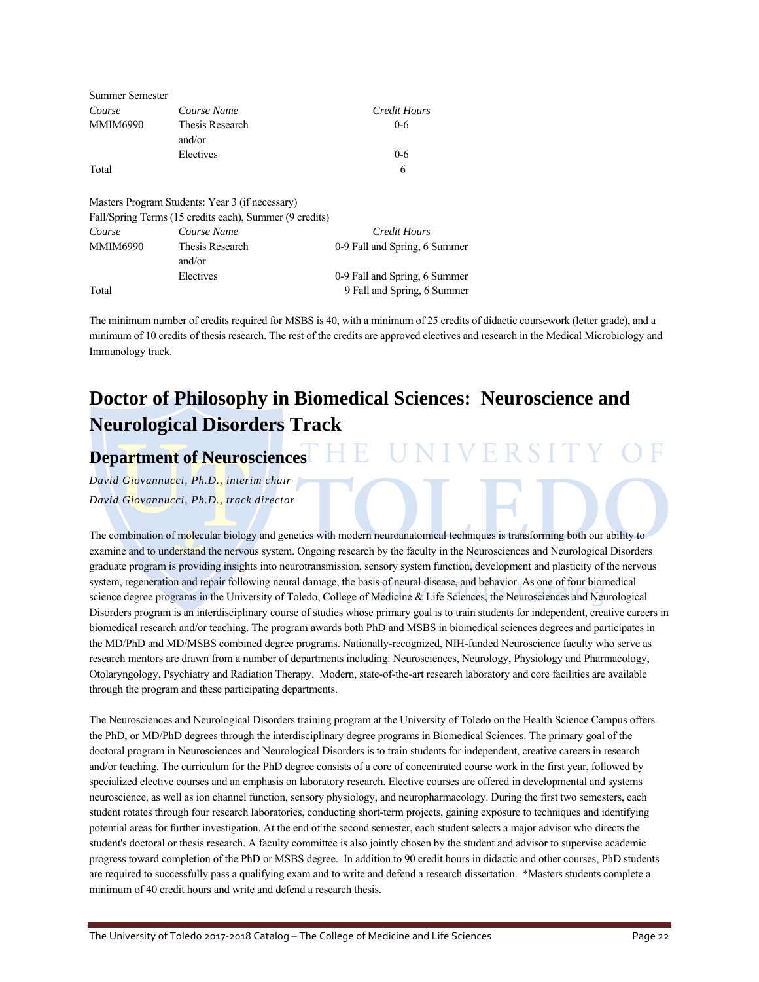| <b>Summer Semester</b> |                                                         |                               |
|------------------------|---------------------------------------------------------|-------------------------------|
| Course                 | Course Name                                             | Credit Hours                  |
| <b>MMIM6990</b>        | Thesis Research                                         | $0 - 6$                       |
|                        | and/or                                                  |                               |
|                        | Electives                                               | $0 - 6$                       |
| Total                  |                                                         | 6                             |
|                        | Masters Program Students: Year 3 (if necessary)         |                               |
|                        | Fall/Spring Terms (15 credits each), Summer (9 credits) |                               |
| Course                 | Course Name                                             | Credit Hours                  |
| <b>MMIM6990</b>        | Thesis Research                                         | 0-9 Fall and Spring, 6 Summer |
|                        | and/or                                                  |                               |
|                        | Electives                                               | 0-9 Fall and Spring, 6 Summer |
| Total                  |                                                         | 9 Fall and Spring, 6 Summer   |

The minimum number of credits required for MSBS is 40, with a minimum of 25 credits of didactic coursework (letter grade), and a minimum of 10 credits of thesis research. The rest of the credits are approved electives and research in the Medical Microbiology and Immunology track.

# **Doctor of Philosophy in Biomedical Sciences: Neuroscience and Neurological Disorders Track**

# **Department of Neurosciences HE UNIVERSITY OF**

*David Giovannucci, Ph.D., interim chair David Giovannucci, Ph.D., track director* 

The combination of molecular biology and genetics with modern neuroanatomical techniques is transforming both our ability to examine and to understand the nervous system. Ongoing research by the faculty in the Neurosciences and Neurological Disorders graduate program is providing insights into neurotransmission, sensory system function, development and plasticity of the nervous system, regeneration and repair following neural damage, the basis of neural disease, and behavior. As one of four biomedical science degree programs in the University of Toledo, College of Medicine & Life Sciences, the Neurosciences and Neurological Disorders program is an interdisciplinary course of studies whose primary goal is to train students for independent, creative careers in biomedical research and/or teaching. The program awards both PhD and MSBS in biomedical sciences degrees and participates in the MD/PhD and MD/MSBS combined degree programs. Nationally-recognized, NIH-funded Neuroscience faculty who serve as research mentors are drawn from a number of departments including: Neurosciences, Neurology, Physiology and Pharmacology, Otolaryngology, Psychiatry and Radiation Therapy. Modern, state-of-the-art research laboratory and core facilities are available through the program and these participating departments.

The Neurosciences and Neurological Disorders training program at the University of Toledo on the Health Science Campus offers the PhD, or MD/PhD degrees through the interdisciplinary degree programs in Biomedical Sciences. The primary goal of the doctoral program in Neurosciences and Neurological Disorders is to train students for independent, creative careers in research and/or teaching. The curriculum for the PhD degree consists of a core of concentrated course work in the first year, followed by specialized elective courses and an emphasis on laboratory research. Elective courses are offered in developmental and systems neuroscience, as well as ion channel function, sensory physiology, and neuropharmacology. During the first two semesters, each student rotates through four research laboratories, conducting short-term projects, gaining exposure to techniques and identifying potential areas for further investigation. At the end of the second semester, each student selects a major advisor who directs the student's doctoral or thesis research. A faculty committee is also jointly chosen by the student and advisor to supervise academic progress toward completion of the PhD or MSBS degree. In addition to 90 credit hours in didactic and other courses, PhD students are required to successfully pass a qualifying exam and to write and defend a research dissertation. \*Masters students complete a minimum of 40 credit hours and write and defend a research thesis.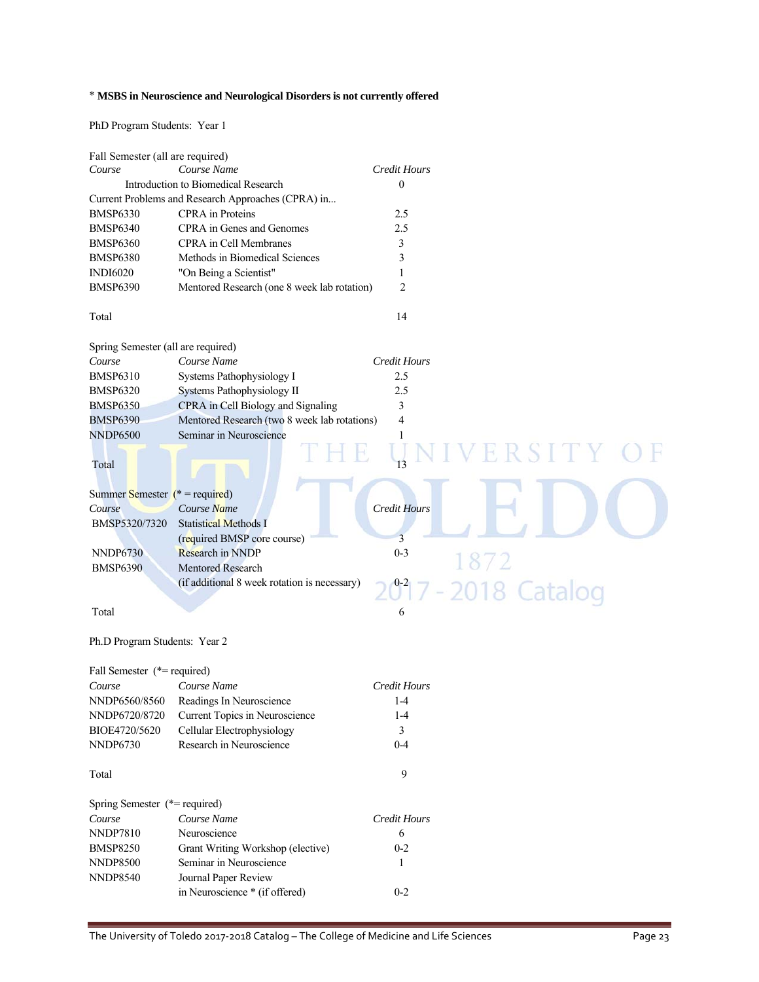### \* **MSBS in Neuroscience and Neurological Disorders is not currently offered**

PhD Program Students: Year 1

| Fall Semester (all are required)   |                                                    |                     |
|------------------------------------|----------------------------------------------------|---------------------|
| Course                             | Course Name                                        | <b>Credit Hours</b> |
|                                    | Introduction to Biomedical Research                | $\boldsymbol{0}$    |
|                                    | Current Problems and Research Approaches (CPRA) in |                     |
| <b>BMSP6330</b>                    | CPRA in Proteins                                   | 2.5                 |
| <b>BMSP6340</b>                    | CPRA in Genes and Genomes                          | 2.5                 |
| <b>BMSP6360</b>                    | CPRA in Cell Membranes                             | 3                   |
| <b>BMSP6380</b>                    | Methods in Biomedical Sciences                     | 3                   |
| <b>INDI6020</b>                    | "On Being a Scientist"                             | 1                   |
| <b>BMSP6390</b>                    | Mentored Research (one 8 week lab rotation)        | $\overline{2}$      |
| Total                              |                                                    | 14                  |
| Spring Semester (all are required) |                                                    |                     |
| Course                             | Course Name                                        | <b>Credit Hours</b> |
| <b>BMSP6310</b>                    | Systems Pathophysiology I                          | 2.5                 |
| <b>BMSP6320</b>                    | Systems Pathophysiology II                         | 2.5                 |
| <b>BMSP6350</b>                    | CPRA in Cell Biology and Signaling                 | 3                   |
| <b>BMSP6390</b>                    | Mentored Research (two 8 week lab rotations)       | 4                   |
| <b>NNDP6500</b>                    | Seminar in Neuroscience                            | 1                   |
|                                    |                                                    |                     |
| Total                              |                                                    | VERSITY O           |
| Summer Semester $(* = required)$   |                                                    |                     |
| Course                             | Course Name                                        | <b>Credit Hours</b> |
| BMSP5320/7320                      | <b>Statistical Methods I</b>                       |                     |
|                                    | (required BMSP core course)                        | 3                   |
| <b>NNDP6730</b>                    | <b>Research in NNDP</b>                            | $0 - 3$             |
| <b>BMSP6390</b>                    | <b>Mentored Research</b>                           | 1872                |
|                                    | (if additional 8 week rotation is necessary)       |                     |
|                                    |                                                    | 2017 - 2018 Catalog |
| Total                              |                                                    | 6                   |
|                                    |                                                    |                     |
| Ph.D Program Students: Year 2      |                                                    |                     |
| Fall Semester (*= required)        |                                                    |                     |
| Course                             | Course Name                                        | <b>Credit Hours</b> |
| NNDP6560/8560                      | Readings In Neuroscience                           | $1 - 4$             |
| NNDP6720/8720                      | Current Topics in Neuroscience                     | $1-4$               |
| BIOE4720/5620                      | Cellular Electrophysiology                         | 3                   |
| <b>NNDP6730</b>                    | Research in Neuroscience                           | $0 - 4$             |
| Total                              |                                                    | 9                   |
| Spring Semester (*= required)      |                                                    |                     |
| Course                             | Course Name                                        | <b>Credit Hours</b> |
| <b>NNDP7810</b>                    | Neuroscience                                       | 6                   |
| <b>BMSP8250</b>                    | Grant Writing Workshop (elective)                  | $0 - 2$             |
| <b>NNDP8500</b>                    | Seminar in Neuroscience                            | 1                   |
| <b>NNDP8540</b>                    | Journal Paper Review                               |                     |

in Neuroscience \* (if offered) 0-2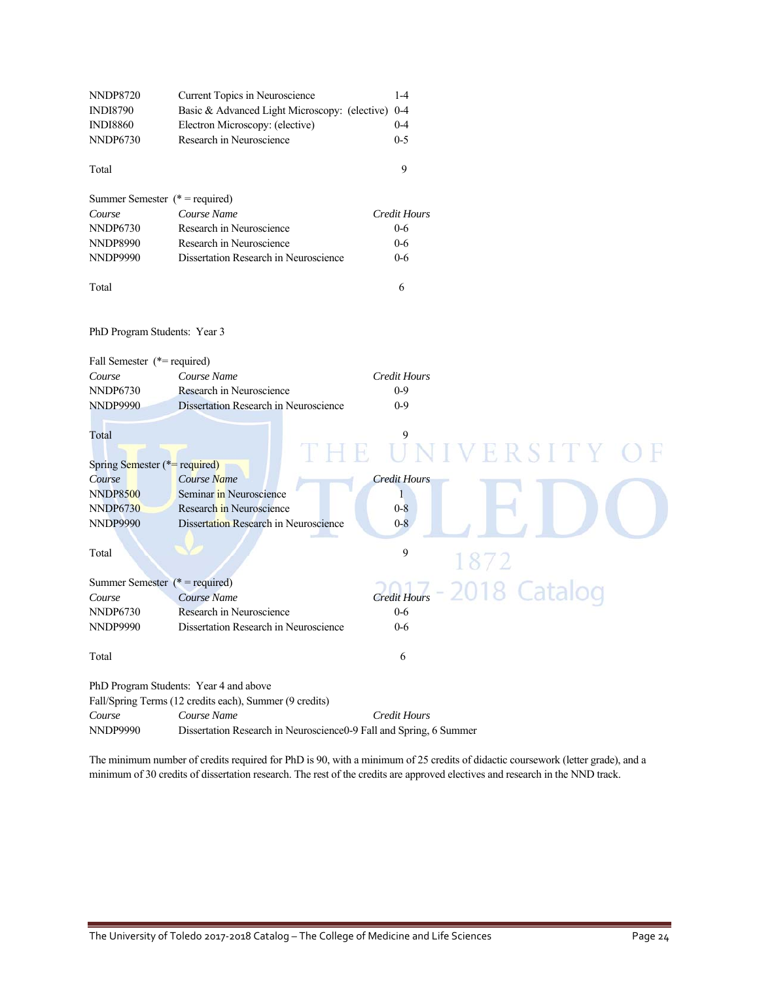| NNDP8720                               | Current Topics in Neuroscience                                     | $1 - 4$                             |
|----------------------------------------|--------------------------------------------------------------------|-------------------------------------|
| <b>INDI8790</b>                        | Basic & Advanced Light Microscopy: (elective) 0-4                  |                                     |
| <b>INDI8860</b>                        | Electron Microscopy: (elective)                                    | $0 - 4$                             |
| NNDP6730                               | Research in Neuroscience                                           | $0 - 5$                             |
| Total                                  |                                                                    | 9                                   |
|                                        |                                                                    |                                     |
| Summer Semester $(* = required)$       |                                                                    |                                     |
| Course                                 | Course Name                                                        | <b>Credit Hours</b>                 |
| NNDP6730                               | Research in Neuroscience                                           | $0-6$                               |
| NNDP8990                               | Research in Neuroscience                                           | $0-6$                               |
| NNDP9990                               | Dissertation Research in Neuroscience                              | $0-6$                               |
| Total                                  |                                                                    | 6                                   |
| PhD Program Students: Year 3           |                                                                    |                                     |
| Fall Semester (*= required)            |                                                                    |                                     |
| Course                                 | Course Name                                                        | <b>Credit Hours</b>                 |
| NNDP6730                               | Research in Neuroscience                                           | $0 - 9$                             |
| <b>NNDP9990</b>                        | Dissertation Research in Neuroscience                              | $0 - 9$                             |
| Total<br>Spring Semester (*= required) | Ħ.                                                                 | 9<br>IVERSITY                       |
| Course                                 | Course Name                                                        | <b>Credit Hours</b>                 |
| NNDP8500                               | Seminar in Neuroscience                                            | 1                                   |
| <b>NNDP6730</b>                        | Research in Neuroscience                                           | $0 - 8$                             |
| <b>NNDP9990</b>                        | Dissertation Research in Neuroscience                              | $0 - 8$                             |
|                                        |                                                                    |                                     |
| Total                                  |                                                                    | 9<br>1872                           |
| Summer Semester ( $*$ = required)      |                                                                    |                                     |
| Course                                 | Course Name                                                        | 2018 Catalog<br><b>Credit Hours</b> |
| NNDP6730                               | Research in Neuroscience                                           | $0 - 6$                             |
| NNDP9990                               | Dissertation Research in Neuroscience                              | $0 - 6$                             |
| Total                                  |                                                                    | 6                                   |
|                                        | PhD Program Students: Year 4 and above                             |                                     |
|                                        | Fall/Spring Terms (12 credits each), Summer (9 credits)            |                                     |
| Course                                 | Course Name                                                        | <b>Credit Hours</b>                 |
| NNDP9990                               | Dissertation Research in Neuroscience0-9 Fall and Spring, 6 Summer |                                     |
|                                        |                                                                    |                                     |

The minimum number of credits required for PhD is 90, with a minimum of 25 credits of didactic coursework (letter grade), and a minimum of 30 credits of dissertation research. The rest of the credits are approved electives and research in the NND track.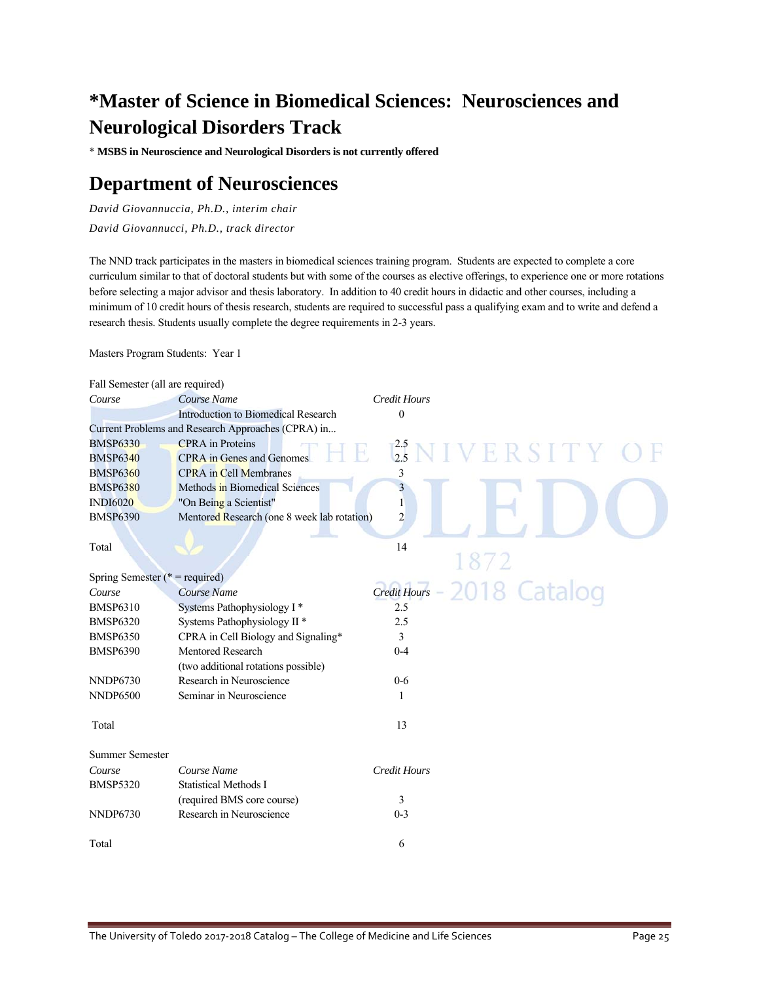# **\*Master of Science in Biomedical Sciences: Neurosciences and Neurological Disorders Track**

\* **MSBS in Neuroscience and Neurological Disorders is not currently offered**

# **Department of Neurosciences**

*David Giovannuccia, Ph.D., interim chair David Giovannucci, Ph.D., track director* 

The NND track participates in the masters in biomedical sciences training program. Students are expected to complete a core curriculum similar to that of doctoral students but with some of the courses as elective offerings, to experience one or more rotations before selecting a major advisor and thesis laboratory. In addition to 40 credit hours in didactic and other courses, including a minimum of 10 credit hours of thesis research, students are required to successful pass a qualifying exam and to write and defend a research thesis. Students usually complete the degree requirements in 2-3 years.

Masters Program Students: Year 1

| Fall Semester (all are required)  |                                                    |                         |                          |
|-----------------------------------|----------------------------------------------------|-------------------------|--------------------------|
| Course                            | Course Name                                        | <b>Credit Hours</b>     |                          |
|                                   | Introduction to Biomedical Research                | $\boldsymbol{0}$        |                          |
|                                   | Current Problems and Research Approaches (CPRA) in |                         |                          |
| <b>BMSP6330</b>                   | <b>CPRA</b> in Proteins                            |                         |                          |
| <b>BMSP6340</b>                   | <b>CPRA</b> in Genes and Genomes                   |                         | $^{2.5}_{2.5}$ NIVERSITY |
| <b>BMSP6360</b>                   | <b>CPRA</b> in Cell Membranes                      | 3                       |                          |
| <b>BMSP6380</b>                   | Methods in Biomedical Sciences                     | $\overline{\mathbf{3}}$ |                          |
| <b>INDI6020</b>                   | "On Being a Scientist"                             | $\mathbf{1}$            |                          |
| <b>BMSP6390</b>                   | Mentored Research (one 8 week lab rotation)        | $\overline{c}$          |                          |
|                                   |                                                    |                         |                          |
| Total                             |                                                    | 14                      |                          |
|                                   |                                                    |                         | 1872                     |
| Spring Semester ( $*$ = required) |                                                    |                         |                          |
| Course                            | Course Name                                        | <b>Credit Hours</b>     | 2018 Catalog             |
| <b>BMSP6310</b>                   | Systems Pathophysiology I*                         | 2.5                     |                          |
| <b>BMSP6320</b>                   | Systems Pathophysiology II <sup>*</sup>            | 2.5                     |                          |
| <b>BMSP6350</b>                   | CPRA in Cell Biology and Signaling*                | 3                       |                          |
| <b>BMSP6390</b>                   | <b>Mentored Research</b>                           | $0 - 4$                 |                          |
|                                   | (two additional rotations possible)                |                         |                          |
| <b>NNDP6730</b>                   | Research in Neuroscience                           | $0-6$                   |                          |
| <b>NNDP6500</b>                   | Seminar in Neuroscience                            | 1                       |                          |
| Total                             |                                                    | 13                      |                          |
| <b>Summer Semester</b>            |                                                    |                         |                          |
| Course                            | Course Name                                        | <b>Credit Hours</b>     |                          |
| <b>BMSP5320</b>                   | <b>Statistical Methods I</b>                       |                         |                          |
|                                   | (required BMS core course)                         | 3                       |                          |
| <b>NNDP6730</b>                   | Research in Neuroscience                           | $0 - 3$                 |                          |
| Total                             |                                                    | 6                       |                          |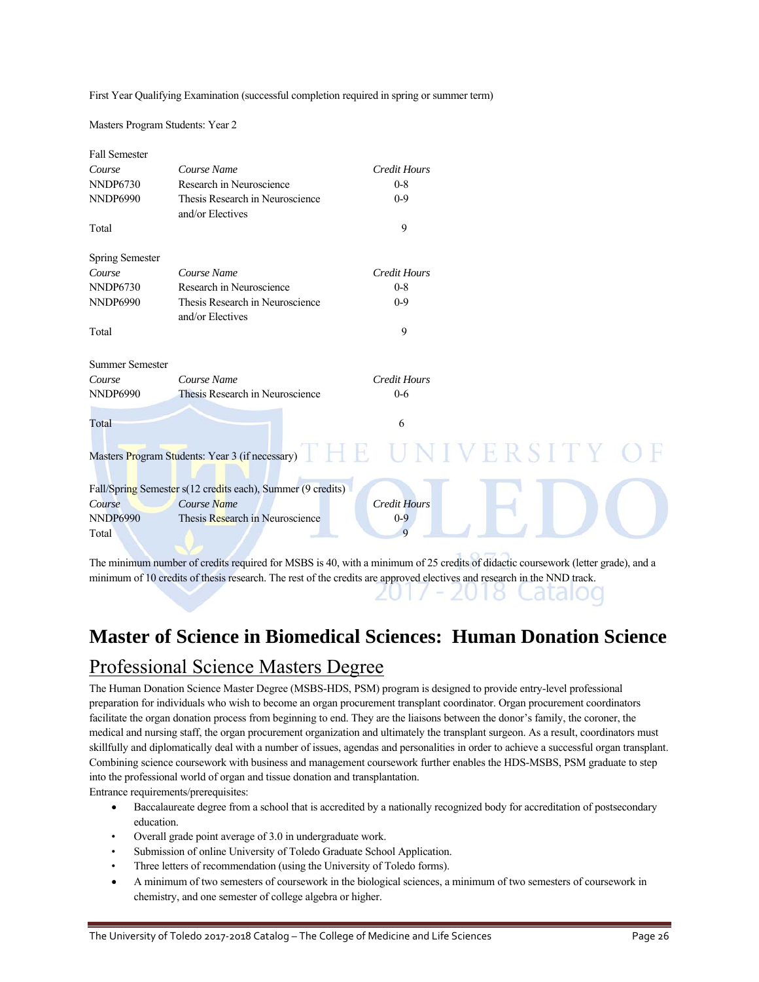First Year Qualifying Examination (successful completion required in spring or summer term)

Masters Program Students: Year 2

| <b>Fall Semester</b>   |                                                             |                     |                      |
|------------------------|-------------------------------------------------------------|---------------------|----------------------|
| Course                 | Course Name                                                 | <b>Credit Hours</b> |                      |
| <b>NNDP6730</b>        | Research in Neuroscience                                    | $0 - 8$             |                      |
| <b>NNDP6990</b>        | Thesis Research in Neuroscience<br>and/or Electives         | $0 - 9$             |                      |
| Total                  |                                                             | 9                   |                      |
| Spring Semester        |                                                             |                     |                      |
| Course                 | Course Name                                                 | <b>Credit Hours</b> |                      |
| <b>NNDP6730</b>        | Research in Neuroscience                                    | $0 - 8$             |                      |
| <b>NNDP6990</b>        | Thesis Research in Neuroscience<br>and/or Electives         | $0 - 9$             |                      |
| Total                  |                                                             | 9                   |                      |
| <b>Summer Semester</b> |                                                             |                     |                      |
| Course                 | Course Name                                                 | <b>Credit Hours</b> |                      |
| <b>NNDP6990</b>        | Thesis Research in Neuroscience                             | $0 - 6$             |                      |
| Total                  |                                                             | 6                   |                      |
|                        | Masters Program Students: Year 3 (if necessary)             |                     | ERSITY               |
|                        | Fall/Spring Semester s(12 credits each), Summer (9 credits) |                     |                      |
| Course                 | Course Name                                                 | <b>Credit Hours</b> |                      |
| <b>NNDP6990</b>        | Thesis Research in Neuroscience                             | $0 - 9$             |                      |
| Total                  |                                                             | $\mathbf Q$         |                      |
|                        |                                                             |                     | $\sim$ $\sim$ $\sim$ |

The minimum number of credits required for MSBS is 40, with a minimum of 25 credits of didactic coursework (letter grade), and a minimum of 10 credits of thesis research. The rest of the credits are approved electives and research in the NND track. 2017 - 2018 Catalog

# **Master of Science in Biomedical Sciences: Human Donation Science**

# Professional Science Masters Degree

The Human Donation Science Master Degree (MSBS-HDS, PSM) program is designed to provide entry-level professional preparation for individuals who wish to become an organ procurement transplant coordinator. Organ procurement coordinators facilitate the organ donation process from beginning to end. They are the liaisons between the donor's family, the coroner, the medical and nursing staff, the organ procurement organization and ultimately the transplant surgeon. As a result, coordinators must skillfully and diplomatically deal with a number of issues, agendas and personalities in order to achieve a successful organ transplant. Combining science coursework with business and management coursework further enables the HDS-MSBS, PSM graduate to step into the professional world of organ and tissue donation and transplantation.

Entrance requirements/prerequisites:

- Baccalaureate degree from a school that is accredited by a nationally recognized body for accreditation of postsecondary education.
- Overall grade point average of 3.0 in undergraduate work.
- Submission of online University of Toledo Graduate School Application.
- Three letters of recommendation (using the University of Toledo forms).
- A minimum of two semesters of coursework in the biological sciences, a minimum of two semesters of coursework in chemistry, and one semester of college algebra or higher.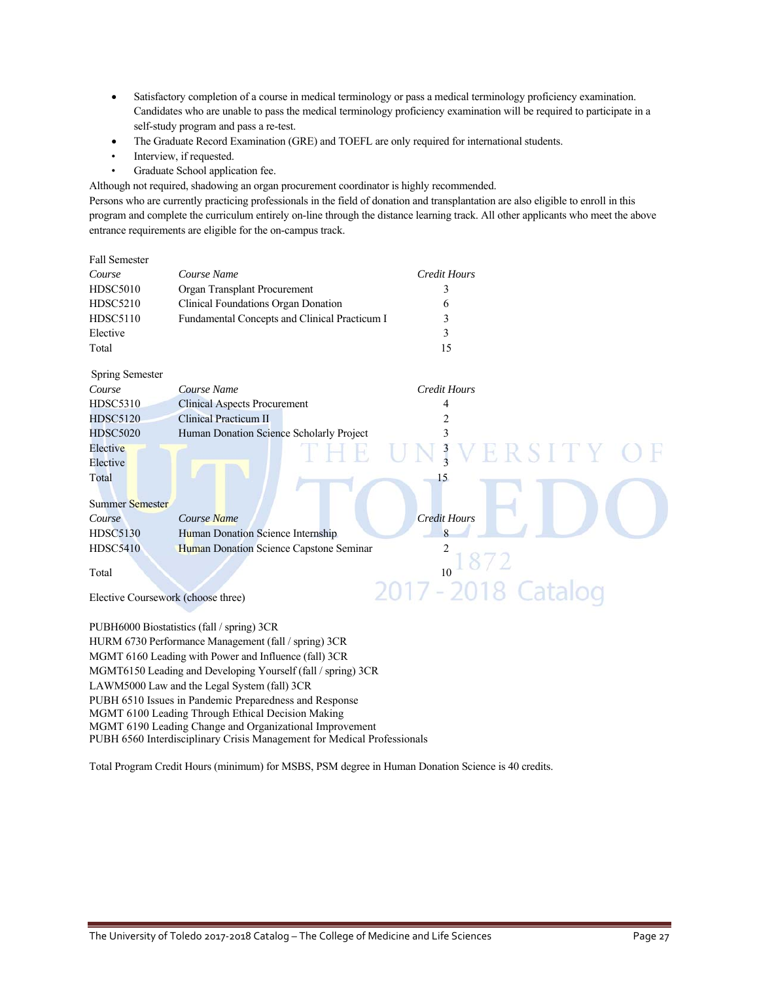- Satisfactory completion of a course in medical terminology or pass a medical terminology proficiency examination. Candidates who are unable to pass the medical terminology proficiency examination will be required to participate in a self-study program and pass a re-test.
- The Graduate Record Examination (GRE) and TOEFL are only required for international students.
- Interview, if requested.
- Graduate School application fee.

Although not required, shadowing an organ procurement coordinator is highly recommended.

Persons who are currently practicing professionals in the field of donation and transplantation are also eligible to enroll in this program and complete the curriculum entirely on-line through the distance learning track. All other applicants who meet the above entrance requirements are eligible for the on-campus track.

| <b>Fall Semester</b>               |                                                                                                                                                                                                             |                     |          |
|------------------------------------|-------------------------------------------------------------------------------------------------------------------------------------------------------------------------------------------------------------|---------------------|----------|
| Course                             | Course Name                                                                                                                                                                                                 | <b>Credit Hours</b> |          |
| <b>HDSC5010</b>                    | Organ Transplant Procurement                                                                                                                                                                                | 3                   |          |
| <b>HDSC5210</b>                    | Clinical Foundations Organ Donation                                                                                                                                                                         | 6                   |          |
| <b>HDSC5110</b>                    | Fundamental Concepts and Clinical Practicum I                                                                                                                                                               | 3                   |          |
| Elective                           |                                                                                                                                                                                                             | 3                   |          |
| Total                              |                                                                                                                                                                                                             | 15                  |          |
| <b>Spring Semester</b>             |                                                                                                                                                                                                             |                     |          |
| Course                             | Course Name                                                                                                                                                                                                 | <b>Credit Hours</b> |          |
| <b>HDSC5310</b>                    | <b>Clinical Aspects Procurement</b>                                                                                                                                                                         | 4                   |          |
| <b>HDSC5120</b>                    | <b>Clinical Practicum II</b>                                                                                                                                                                                |                     |          |
| <b>HDSC5020</b>                    | Human Donation Science Scholarly Project                                                                                                                                                                    |                     |          |
| Elective                           |                                                                                                                                                                                                             |                     | ERSITY C |
| Elective                           |                                                                                                                                                                                                             |                     |          |
| Total                              |                                                                                                                                                                                                             | 15                  |          |
|                                    |                                                                                                                                                                                                             |                     |          |
| Summer Semester                    |                                                                                                                                                                                                             |                     |          |
| Course                             | Course Name                                                                                                                                                                                                 | <b>Credit Hours</b> |          |
| <b>HDSC5130</b>                    | Human Donation Science Internship                                                                                                                                                                           | 8                   |          |
| <b>HDSC5410</b>                    | Human Donation Science Capstone Seminar                                                                                                                                                                     |                     |          |
| Total                              |                                                                                                                                                                                                             | 10                  |          |
|                                    |                                                                                                                                                                                                             | 2017 - 2018 Catalog |          |
| Elective Coursework (choose three) |                                                                                                                                                                                                             |                     |          |
|                                    |                                                                                                                                                                                                             |                     |          |
|                                    | PUBH6000 Biostatistics (fall / spring) 3CR                                                                                                                                                                  |                     |          |
|                                    | HURM 6730 Performance Management (fall / spring) 3CR                                                                                                                                                        |                     |          |
|                                    | MGMT 6160 Leading with Power and Influence (fall) 3CR                                                                                                                                                       |                     |          |
|                                    | MGMT6150 Leading and Developing Yourself (fall / spring) 3CR<br>$\mathbf{r} = \mathbf{r} \times \mathbf{r}$ and $\mathbf{r} = \mathbf{r} \times \mathbf{r}$ and $\mathbf{r} = \mathbf{r} \times \mathbf{r}$ |                     |          |
|                                    |                                                                                                                                                                                                             |                     |          |

LAWM5000 Law and the Legal System (fall) 3CR

PUBH 6510 Issues in Pandemic Preparedness and Response

MGMT 6100 Leading Through Ethical Decision Making

MGMT 6190 Leading Change and Organizational Improvement

PUBH 6560 Interdisciplinary Crisis Management for Medical Professionals

Total Program Credit Hours (minimum) for MSBS, PSM degree in Human Donation Science is 40 credits.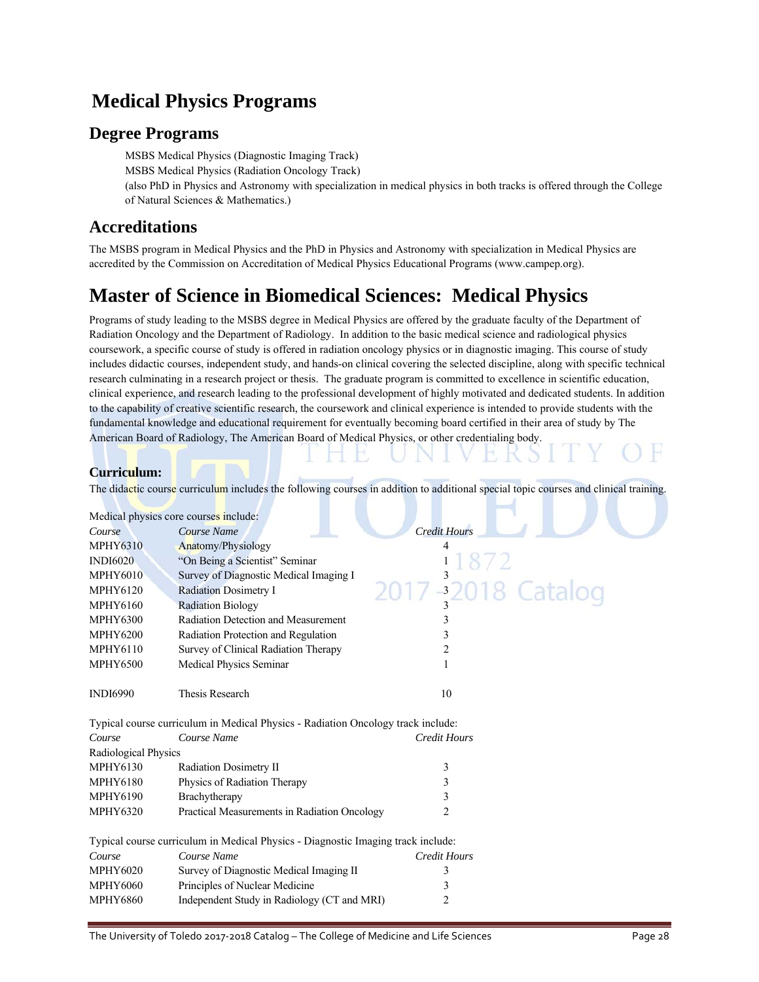# **Medical Physics Programs**

### **Degree Programs**

 MSBS Medical Physics (Diagnostic Imaging Track) MSBS Medical Physics (Radiation Oncology Track) (also PhD in Physics and Astronomy with specialization in medical physics in both tracks is offered through the College of Natural Sciences & Mathematics.)

### **Accreditations**

 The MSBS program in Medical Physics and the PhD in Physics and Astronomy with specialization in Medical Physics are accredited by the Commission on Accreditation of Medical Physics Educational Programs (www.campep.org).

# **Master of Science in Biomedical Sciences: Medical Physics**

Programs of study leading to the MSBS degree in Medical Physics are offered by the graduate faculty of the Department of Radiation Oncology and the Department of Radiology. In addition to the basic medical science and radiological physics coursework, a specific course of study is offered in radiation oncology physics or in diagnostic imaging. This course of study includes didactic courses, independent study, and hands-on clinical covering the selected discipline, along with specific technical research culminating in a research project or thesis. The graduate program is committed to excellence in scientific education, clinical experience, and research leading to the professional development of highly motivated and dedicated students. In addition to the capability of creative scientific research, the coursework and clinical experience is intended to provide students with the fundamental knowledge and educational requirement for eventually becoming board certified in their area of study by The American Board of Radiology, The American Board of Medical Physics, or other credentialing body.

### **Curriculum:**

The didactic course curriculum includes the following courses in addition to additional special topic courses and clinical training.

| Medical physics core courses include: |                                                                                  |                     |
|---------------------------------------|----------------------------------------------------------------------------------|---------------------|
| Course                                | Course Name                                                                      | <b>Credit Hours</b> |
| <b>MPHY6310</b>                       | Anatomy/Physiology                                                               | 4                   |
| <b>INDI6020</b>                       | "On Being a Scientist" Seminar                                                   |                     |
| <b>MPHY6010</b>                       | Survey of Diagnostic Medical Imaging I                                           | 2017 32018 Catalog  |
| <b>MPHY6120</b>                       | <b>Radiation Dosimetry I</b>                                                     |                     |
| <b>MPHY6160</b>                       | <b>Radiation Biology</b>                                                         |                     |
| <b>MPHY6300</b>                       | Radiation Detection and Measurement                                              | 3                   |
| <b>MPHY6200</b>                       | Radiation Protection and Regulation                                              | 3                   |
| <b>MPHY6110</b>                       | Survey of Clinical Radiation Therapy                                             | 2                   |
| <b>MPHY6500</b>                       | Medical Physics Seminar                                                          | 1                   |
| <b>INDI6990</b>                       | <b>Thesis Research</b>                                                           | 10                  |
|                                       | Typical course curriculum in Medical Physics - Radiation Oncology track include: |                     |
| Course                                | Course Name                                                                      | <b>Credit Hours</b> |
| Radiological Physics                  |                                                                                  |                     |
| <b>MPHY6130</b>                       | Radiation Dosimetry II                                                           | 3                   |
| <b>MPHY6180</b>                       | Physics of Radiation Therapy                                                     | 3                   |
| <b>MPHY6190</b>                       | Brachytherapy                                                                    | 3                   |
| <b>MPHY6320</b>                       | Practical Measurements in Radiation Oncology                                     | 2                   |
|                                       | Typical course curriculum in Medical Physics - Diagnostic Imaging track include: |                     |
| Course                                | Course Name                                                                      | <b>Credit Hours</b> |
| <b>MPHY6020</b>                       | Survey of Diagnostic Medical Imaging II                                          | 3                   |
| <b>MPHY6060</b>                       | Principles of Nuclear Medicine                                                   | 3                   |
| <b>MPHY6860</b>                       | Independent Study in Radiology (CT and MRI)                                      | 2                   |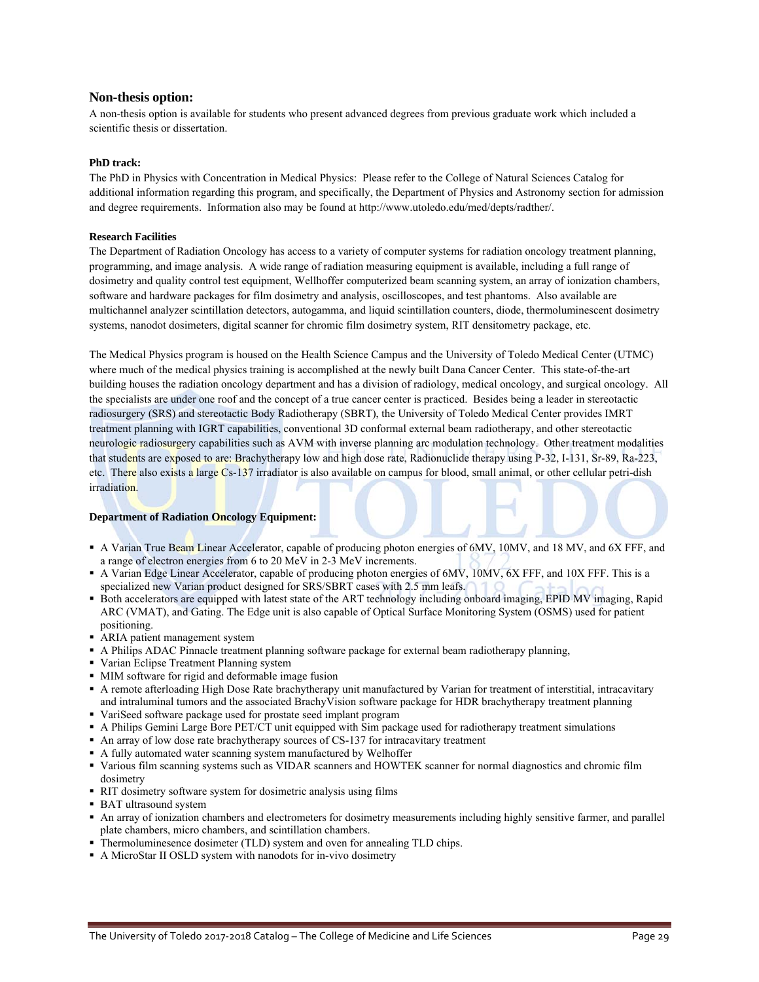### **Non-thesis option:**

A non-thesis option is available for students who present advanced degrees from previous graduate work which included a scientific thesis or dissertation.

### **PhD track:**

The PhD in Physics with Concentration in Medical Physics: Please refer to the College of Natural Sciences Catalog for additional information regarding this program, and specifically, the Department of Physics and Astronomy section for admission and degree requirements. Information also may be found at http://www.utoledo.edu/med/depts/radther/.

### **Research Facilities**

The Department of Radiation Oncology has access to a variety of computer systems for radiation oncology treatment planning, programming, and image analysis. A wide range of radiation measuring equipment is available, including a full range of dosimetry and quality control test equipment, Wellhoffer computerized beam scanning system, an array of ionization chambers, software and hardware packages for film dosimetry and analysis, oscilloscopes, and test phantoms. Also available are multichannel analyzer scintillation detectors, autogamma, and liquid scintillation counters, diode, thermoluminescent dosimetry systems, nanodot dosimeters, digital scanner for chromic film dosimetry system, RIT densitometry package, etc.

The Medical Physics program is housed on the Health Science Campus and the University of Toledo Medical Center (UTMC) where much of the medical physics training is accomplished at the newly built Dana Cancer Center. This state-of-the-art building houses the radiation oncology department and has a division of radiology, medical oncology, and surgical oncology. All the specialists are under one roof and the concept of a true cancer center is practiced. Besides being a leader in stereotactic radiosurgery (SRS) and stereotactic Body Radiotherapy (SBRT), the University of Toledo Medical Center provides IMRT treatment planning with IGRT capabilities, conventional 3D conformal external beam radiotherapy, and other stereotactic neurologic radiosurgery capabilities such as AVM with inverse planning arc modulation technology. Other treatment modalities that students are exposed to are: Brachytherapy low and high dose rate, Radionuclide therapy using P-32, I-131, Sr-89, Ra-223, etc. There also exists a large Cs-137 irradiator is also available on campus for blood, small animal, or other cellular petri-dish irradiation.

### **Department of Radiation Oncology Equipment:**

- A Varian True Beam Linear Accelerator, capable of producing photon energies of 6MV, 10MV, and 18 MV, and 6X FFF, and a range of electron energies from 6 to 20 MeV in 2-3 MeV increments.
- A Varian Edge Linear Accelerator, capable of producing photon energies of 6MV, 10MV, 6X FFF, and 10X FFF. This is a specialized new Varian product designed for SRS/SBRT cases with 2.5 mm leafs.
- Both accelerators are equipped with latest state of the ART technology including onboard imaging, EPID MV imaging, Rapid ARC (VMAT), and Gating. The Edge unit is also capable of Optical Surface Monitoring System (OSMS) used for patient positioning.
- ARIA patient management system
- A Philips ADAC Pinnacle treatment planning software package for external beam radiotherapy planning,
- Varian Eclipse Treatment Planning system
- MIM software for rigid and deformable image fusion
- A remote afterloading High Dose Rate brachytherapy unit manufactured by Varian for treatment of interstitial, intracavitary and intraluminal tumors and the associated BrachyVision software package for HDR brachytherapy treatment planning
- VariSeed software package used for prostate seed implant program
- A Philips Gemini Large Bore PET/CT unit equipped with Sim package used for radiotherapy treatment simulations
- An array of low dose rate brachytherapy sources of CS-137 for intracavitary treatment
- A fully automated water scanning system manufactured by Welhoffer
- Various film scanning systems such as VIDAR scanners and HOWTEK scanner for normal diagnostics and chromic film dosimetry
- RIT dosimetry software system for dosimetric analysis using films
- BAT ultrasound system
- An array of ionization chambers and electrometers for dosimetry measurements including highly sensitive farmer, and parallel plate chambers, micro chambers, and scintillation chambers.
- Thermoluminesence dosimeter (TLD) system and oven for annealing TLD chips.
- A MicroStar II OSLD system with nanodots for in-vivo dosimetry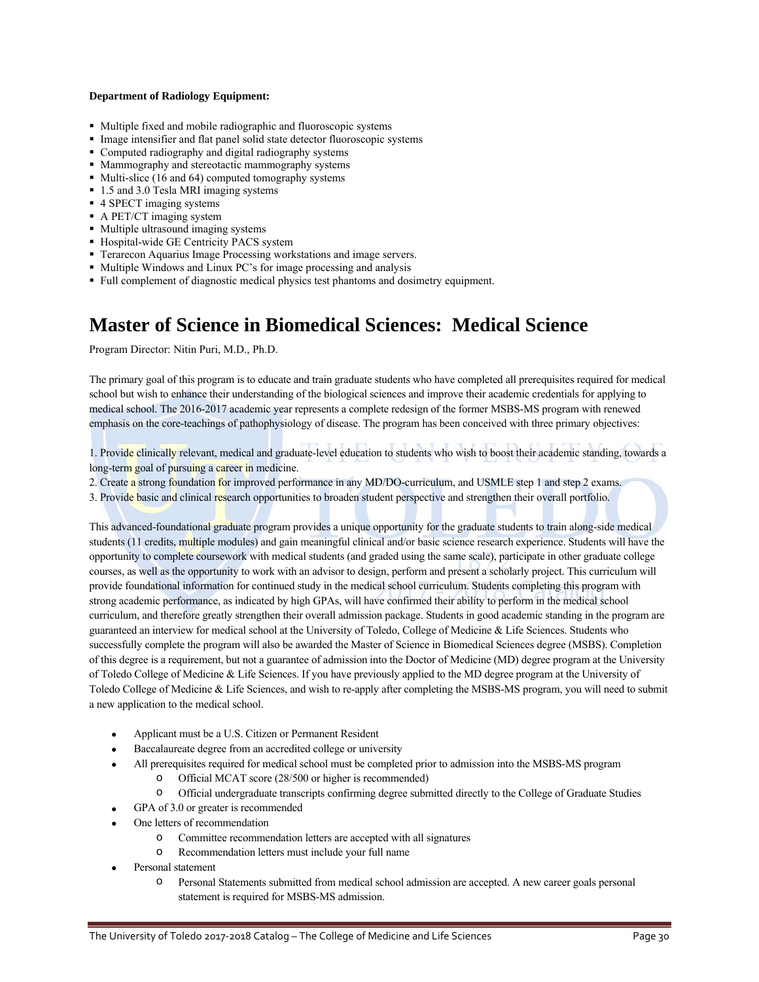### **Department of Radiology Equipment:**

- Multiple fixed and mobile radiographic and fluoroscopic systems
- Image intensifier and flat panel solid state detector fluoroscopic systems
- Computed radiography and digital radiography systems
- **Mammography and stereotactic mammography systems**
- $\blacksquare$  Multi-slice (16 and 64) computed tomography systems
- 1.5 and 3.0 Tesla MRI imaging systems
- 4 SPECT imaging systems
- A PET/CT imaging system
- Multiple ultrasound imaging systems
- Hospital-wide GE Centricity PACS system
- Terarecon Aquarius Image Processing workstations and image servers.
- Multiple Windows and Linux PC's for image processing and analysis
- Full complement of diagnostic medical physics test phantoms and dosimetry equipment.

## **Master of Science in Biomedical Sciences: Medical Science**

Program Director: Nitin Puri, M.D., Ph.D.

The primary goal of this program is to educate and train graduate students who have completed all prerequisites required for medical school but wish to enhance their understanding of the biological sciences and improve their academic credentials for applying to medical school. The 2016-2017 academic year represents a complete redesign of the former MSBS-MS program with renewed emphasis on the core-teachings of pathophysiology of disease. The program has been conceived with three primary objectives:

1. Provide clinically relevant, medical and graduate-level education to students who wish to boost their academic standing, towards a long-term goal of pursuing a career in medicine.

2. Create a strong foundation for improved performance in any MD/DO-curriculum, and USMLE step 1 and step 2 exams.

3. Provide basic and clinical research opportunities to broaden student perspective and strengthen their overall portfolio.

This advanced-foundational graduate program provides a unique opportunity for the graduate students to train along-side medical students (11 credits, multiple modules) and gain meaningful clinical and/or basic science research experience. Students will have the opportunity to complete coursework with medical students (and graded using the same scale), participate in other graduate college courses, as well as the opportunity to work with an advisor to design, perform and present a scholarly project. This curriculum will provide foundational information for continued study in the medical school curriculum. Students completing this program with strong academic performance, as indicated by high GPAs, will have confirmed their ability to perform in the medical school curriculum, and therefore greatly strengthen their overall admission package. Students in good academic standing in the program are guaranteed an interview for medical school at the University of Toledo, College of Medicine & Life Sciences. Students who successfully complete the program will also be awarded the Master of Science in Biomedical Sciences degree (MSBS). Completion of this degree is a requirement, but not a guarantee of admission into the Doctor of Medicine (MD) degree program at the University of Toledo College of Medicine & Life Sciences. If you have previously applied to the MD degree program at the University of Toledo College of Medicine & Life Sciences, and wish to re-apply after completing the MSBS-MS program, you will need to submit a new application to the medical school.

- Applicant must be a U.S. Citizen or Permanent Resident
- Baccalaureate degree from an accredited college or university
- All prerequisites required for medical school must be completed prior to admission into the MSBS-MS program
	- Official MCAT score (28/500 or higher is recommended)
	- o Official undergraduate transcripts confirming degree submitted directly to the College of Graduate Studies
- GPA of 3.0 or greater is recommended
- One letters of recommendation
	- o Committee recommendation letters are accepted with all signatures
	- o Recommendation letters must include your full name
- Personal statement
	- o Personal Statements submitted from medical school admission are accepted. A new career goals personal statement is required for MSBS-MS admission.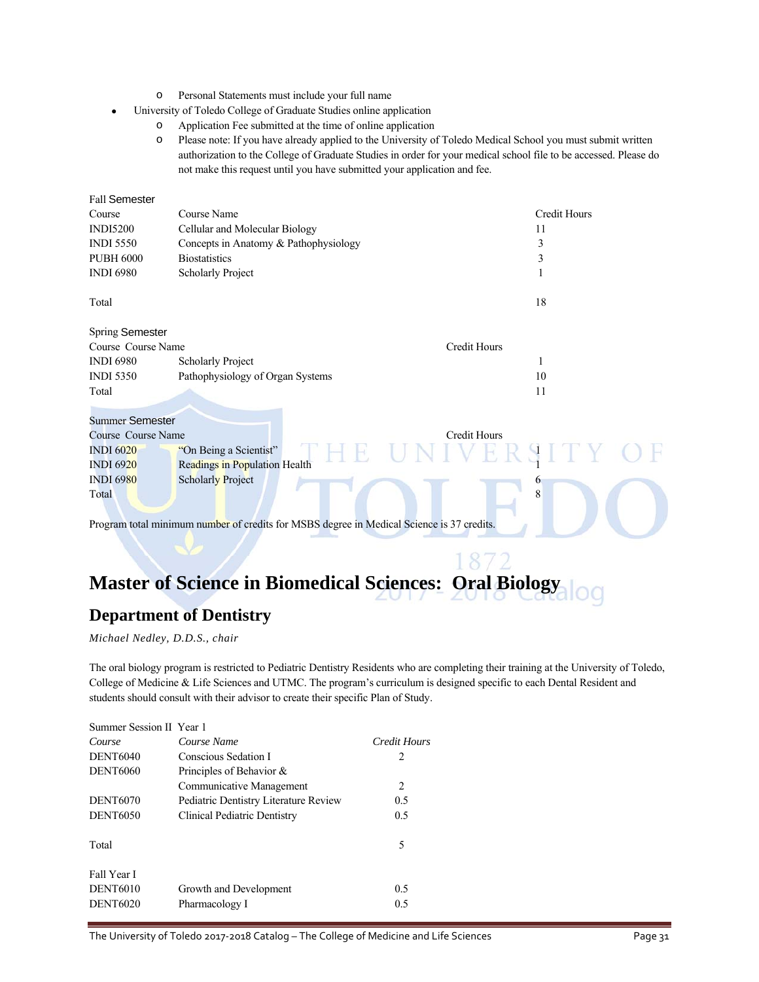- o Personal Statements must include your full name
- University of Toledo College of Graduate Studies online application
	- o Application Fee submitted at the time of online application
	- o Please note: If you have already applied to the University of Toledo Medical School you must submit written authorization to the College of Graduate Studies in order for your medical school file to be accessed. Please do not make this request until you have submitted your application and fee.

| <b>Fall Semester</b>   |                                                                                           |                     |
|------------------------|-------------------------------------------------------------------------------------------|---------------------|
| Course                 | Course Name                                                                               | <b>Credit Hours</b> |
| <b>INDI5200</b>        | Cellular and Molecular Biology                                                            | 11                  |
| <b>INDI 5550</b>       | Concepts in Anatomy & Pathophysiology                                                     | 3                   |
| <b>PUBH 6000</b>       | <b>Biostatistics</b>                                                                      | 3                   |
| <b>INDI 6980</b>       | <b>Scholarly Project</b>                                                                  | 1                   |
| Total                  |                                                                                           | 18                  |
| <b>Spring Semester</b> |                                                                                           |                     |
| Course Course Name     |                                                                                           | <b>Credit Hours</b> |
| <b>INDI 6980</b>       | <b>Scholarly Project</b>                                                                  | 1                   |
| <b>INDI 5350</b>       | Pathophysiology of Organ Systems                                                          | 10                  |
| Total                  |                                                                                           | 11                  |
| <b>Summer Semester</b> |                                                                                           |                     |
| Course Course Name     |                                                                                           | <b>Credit Hours</b> |
| <b>INDI 6020</b>       | "On Being a Scientist"                                                                    | ERSIIY              |
| <b>INDI 6920</b>       | Readings in Population Health                                                             |                     |
| <b>INDI 6980</b>       | <b>Scholarly Project</b>                                                                  | 6                   |
| Total                  |                                                                                           | 8                   |
|                        | Program total minimum number of credits for MSBS degree in Medical Science is 37 credits. |                     |

# **Master of Science in Biomedical Sciences: Oral Biology**

### **Department of Dentistry**

*Michael Nedley, D.D.S., chair* 

The oral biology program is restricted to Pediatric Dentistry Residents who are completing their training at the University of Toledo, College of Medicine & Life Sciences and UTMC. The program's curriculum is designed specific to each Dental Resident and students should consult with their advisor to create their specific Plan of Study.

| Summer Session II Year 1 |                                       |              |
|--------------------------|---------------------------------------|--------------|
| Course                   | Course Name                           | Credit Hours |
| <b>DENT6040</b>          | Conscious Sedation I                  | 2            |
| <b>DENT6060</b>          | Principles of Behavior $\&$           |              |
|                          | Communicative Management              | 2            |
| <b>DENT6070</b>          | Pediatric Dentistry Literature Review | 0.5          |
| <b>DENT6050</b>          | Clinical Pediatric Dentistry          | 0.5          |
| Total                    |                                       | 5            |
| Fall Year I              |                                       |              |
| <b>DENT6010</b>          | Growth and Development                | 0.5          |
| <b>DENT6020</b>          | Pharmacology I                        | 0.5          |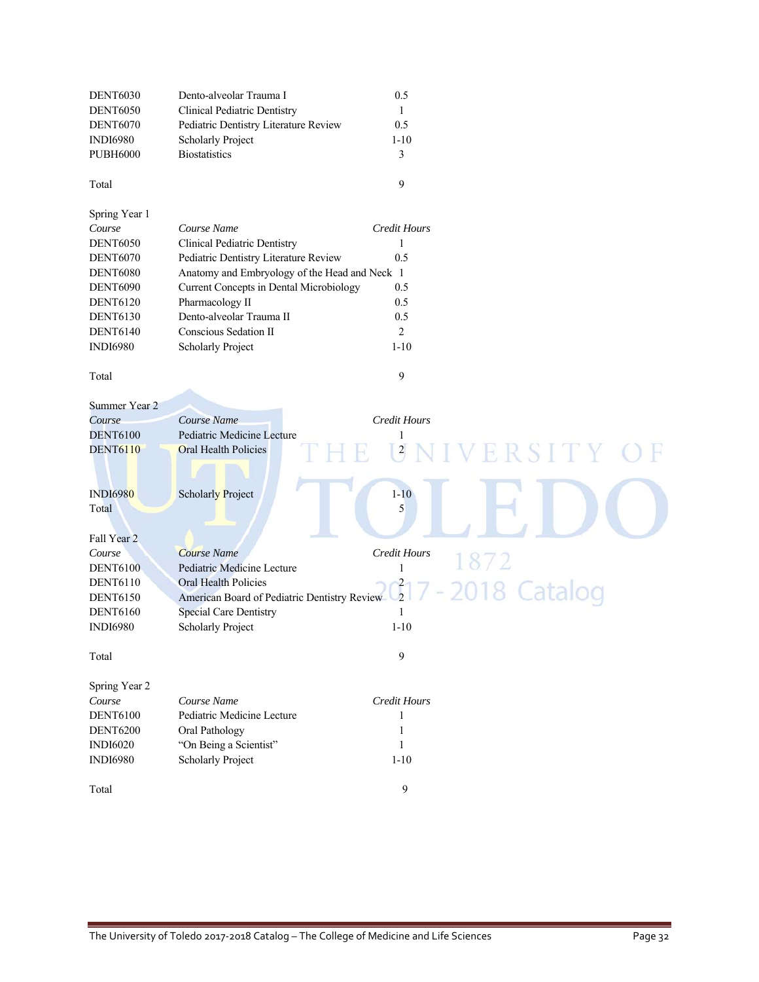| <b>DENT6030</b> | Dento-alveolar Trauma I                        | 0.5                           |
|-----------------|------------------------------------------------|-------------------------------|
| <b>DENT6050</b> | <b>Clinical Pediatric Dentistry</b>            | $\mathbf{1}$                  |
| <b>DENT6070</b> | Pediatric Dentistry Literature Review          | 0.5                           |
| <b>INDI6980</b> | <b>Scholarly Project</b>                       | $1 - 10$                      |
| <b>PUBH6000</b> | <b>Biostatistics</b>                           | 3                             |
|                 |                                                |                               |
| Total           |                                                | 9                             |
| Spring Year 1   |                                                |                               |
| Course          | Course Name                                    | <b>Credit Hours</b>           |
| <b>DENT6050</b> | <b>Clinical Pediatric Dentistry</b>            | 1                             |
| <b>DENT6070</b> | Pediatric Dentistry Literature Review          | 0.5                           |
| <b>DENT6080</b> | Anatomy and Embryology of the Head and Neck 1  |                               |
| <b>DENT6090</b> | <b>Current Concepts in Dental Microbiology</b> | 0.5                           |
| <b>DENT6120</b> | Pharmacology II                                | 0.5                           |
| <b>DENT6130</b> | Dento-alveolar Trauma II                       | 0.5                           |
| <b>DENT6140</b> | Conscious Sedation II                          | $\overline{2}$                |
| <b>INDI6980</b> |                                                | $1 - 10$                      |
|                 | Scholarly Project                              |                               |
| Total           |                                                | 9                             |
|                 |                                                |                               |
| Summer Year 2   |                                                |                               |
| Course          | Course Name                                    | <b>Credit Hours</b>           |
| <b>DENT6100</b> | Pediatric Medicine Lecture                     | 1                             |
| <b>DENT6110</b> | Oral Health Policies                           | ERSITY<br>$\overline{c}$      |
|                 |                                                |                               |
| <b>INDI6980</b> | <b>Scholarly Project</b>                       | $1 - 10$                      |
| Total           |                                                | 5                             |
|                 |                                                |                               |
| Fall Year 2     |                                                |                               |
| Course          | <b>Course Name</b>                             | Credit Hours                  |
| <b>DENT6100</b> | Pediatric Medicine Lecture                     | 1872<br>1                     |
| <b>DENT6110</b> | Oral Health Policies                           |                               |
| <b>DENT6150</b> | American Board of Pediatric Dentistry Review   | $\frac{2}{2}$<br>2018 Catalog |
| <b>DENT6160</b> | <b>Special Care Dentistry</b>                  | 1                             |
| <b>INDI6980</b> | <b>Scholarly Project</b>                       | $1 - 10$                      |
|                 |                                                |                               |
| Total           |                                                | 9                             |
|                 |                                                |                               |
| Spring Year 2   |                                                |                               |
| Course          | Course Name                                    | Credit Hours                  |
| <b>DENT6100</b> | Pediatric Medicine Lecture                     | 1                             |
| <b>DENT6200</b> | Oral Pathology                                 | 1                             |
| <b>INDI6020</b> | "On Being a Scientist"                         | 1                             |
| <b>INDI6980</b> | <b>Scholarly Project</b>                       | $1 - 10$                      |
|                 |                                                |                               |
| Total           |                                                | 9                             |
|                 |                                                |                               |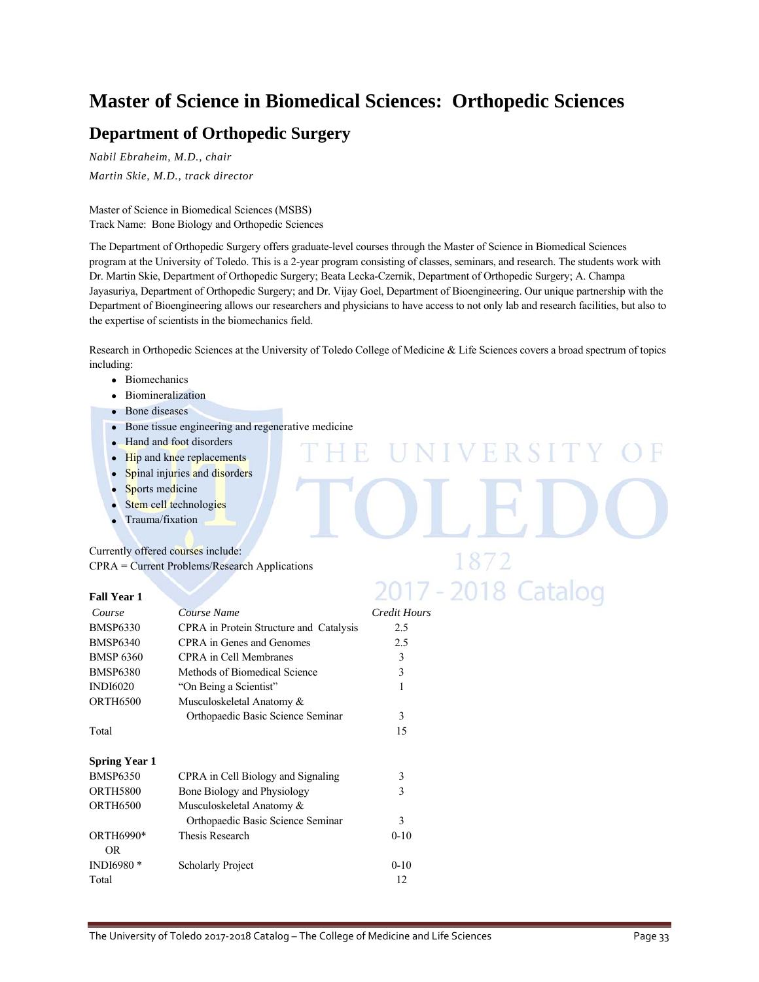# **Master of Science in Biomedical Sciences: Orthopedic Sciences**

### **Department of Orthopedic Surgery**

*Nabil Ebraheim, M.D., chair Martin Skie, M.D., track director* 

Master of Science in Biomedical Sciences (MSBS) Track Name: Bone Biology and Orthopedic Sciences

The Department of Orthopedic Surgery offers graduate-level courses through the Master of Science in Biomedical Sciences program at the University of Toledo. This is a 2-year program consisting of classes, seminars, and research. The students work with Dr. Martin Skie, Department of Orthopedic Surgery; Beata Lecka-Czernik, Department of Orthopedic Surgery; A. Champa Jayasuriya, Department of Orthopedic Surgery; and Dr. Vijay Goel, Department of Bioengineering. Our unique partnership with the Department of Bioengineering allows our researchers and physicians to have access to not only lab and research facilities, but also to the expertise of scientists in the biomechanics field.

Research in Orthopedic Sciences at the University of Toledo College of Medicine & Life Sciences covers a broad spectrum of topics including:

**IVERSIT** 

1872

2017 - 2018 Catalog

- Biomechanics
- Biomineralization
- Bone diseases
- Bone tissue engineering and regenerative medicine
- Hand and foot disorders • Hip and knee replacements
- Spinal injuries and disorders
- Sports medicine
- Stem cell technologies
- Trauma/fixation

Currently offered courses include: CPRA = Current Problems/Research Applications

### **Fall Year 1**

| Course                | Course Name                             | Credit Hours |
|-----------------------|-----------------------------------------|--------------|
| <b>BMSP6330</b>       | CPRA in Protein Structure and Catalysis | 2.5          |
| <b>BMSP6340</b>       | CPRA in Genes and Genomes               | 2.5          |
| <b>BMSP 6360</b>      | <b>CPRA</b> in Cell Membranes           | 3            |
| <b>BMSP6380</b>       | Methods of Biomedical Science           | 3            |
| <b>INDI6020</b>       | "On Being a Scientist"                  | 1            |
| <b>ORTH6500</b>       | Musculoskeletal Anatomy &               |              |
|                       | Orthopaedic Basic Science Seminar       | 3            |
| Total                 |                                         | 15           |
| <b>Spring Year 1</b>  |                                         |              |
| <b>BMSP6350</b>       | CPRA in Cell Biology and Signaling      | 3            |
| <b>ORTH5800</b>       | Bone Biology and Physiology             | 3            |
| <b>ORTH6500</b>       | Musculoskeletal Anatomy &               |              |
|                       | Orthopaedic Basic Science Seminar       | 3            |
| ORTH6990*<br>OR.      | Thesis Research                         | $0 - 10$     |
| INDI6980 <sup>*</sup> | <b>Scholarly Project</b>                | $0 - 10$     |
| Total                 |                                         | 12           |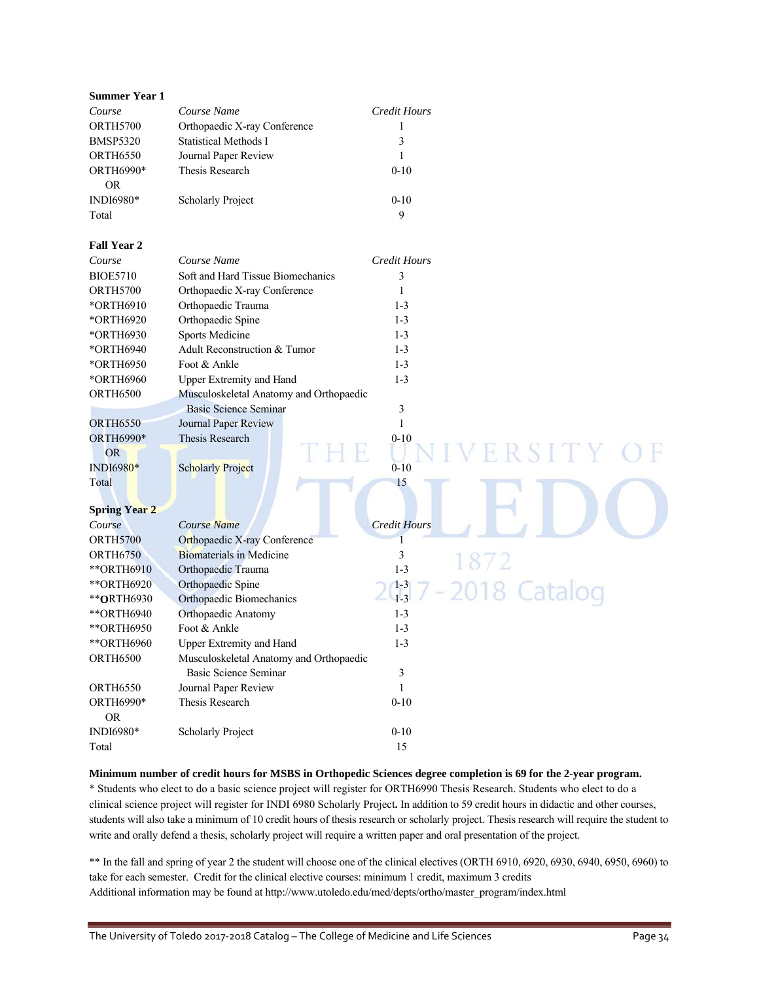| <b>Summer Year 1</b> |                                         |                        |  |
|----------------------|-----------------------------------------|------------------------|--|
| Course               | Course Name                             | <b>Credit Hours</b>    |  |
| <b>ORTH5700</b>      | Orthopaedic X-ray Conference            | 1                      |  |
| <b>BMSP5320</b>      | <b>Statistical Methods I</b>            | 3                      |  |
| <b>ORTH6550</b>      | Journal Paper Review                    | $\mathbf{1}$           |  |
| ORTH6990*            | Thesis Research                         | $0 - 10$               |  |
| <b>OR</b>            |                                         |                        |  |
| INDI6980*            | Scholarly Project                       | $0 - 10$               |  |
| Total                |                                         | 9                      |  |
|                      |                                         |                        |  |
| <b>Fall Year 2</b>   |                                         |                        |  |
| Course               | Course Name                             | <b>Credit Hours</b>    |  |
| <b>BIOE5710</b>      | Soft and Hard Tissue Biomechanics       | 3                      |  |
| ORTH5700             | Orthopaedic X-ray Conference            | 1                      |  |
| *ORTH6910            | Orthopaedic Trauma                      | $1 - 3$                |  |
| *ORTH6920            | Orthopaedic Spine                       | $1 - 3$                |  |
| *ORTH6930            | Sports Medicine                         | $1 - 3$                |  |
| *ORTH6940            | Adult Reconstruction & Tumor            | $1 - 3$                |  |
| *ORTH6950            | Foot & Ankle                            | $1 - 3$                |  |
| *ORTH6960            | Upper Extremity and Hand                | $1 - 3$                |  |
| <b>ORTH6500</b>      | Musculoskeletal Anatomy and Orthopaedic |                        |  |
|                      | <b>Basic Science Seminar</b>            | $\mathfrak{Z}$         |  |
| <b>ORTH6550</b>      | Journal Paper Review                    | $\mathbf{1}$           |  |
| ORTH6990*            | Thesis Research                         | $0 - 10$               |  |
| <b>OR</b>            |                                         | RSITY.                 |  |
| INDI6980*            | <b>Scholarly Project</b>                | $0 - 10$               |  |
| Total                |                                         | 15                     |  |
|                      |                                         |                        |  |
| <b>Spring Year 2</b> |                                         |                        |  |
| Course               | <b>Course Name</b>                      | <b>Credit Hours</b>    |  |
| <b>ORTH5700</b>      | Orthopaedic X-ray Conference            | 1                      |  |
| <b>ORTH6750</b>      | <b>Biomaterials in Medicine</b>         | 3                      |  |
| ** ORTH6910          | Orthopaedic Trauma                      | $1 - 3$                |  |
| ** ORTH6920          | Orthopaedic Spine                       | $1 - 3$<br>018 Catalog |  |
| ** ORTH6930          | Orthopaedic Biomechanics                | $1 - 3$                |  |
| ** ORTH6940          | Orthopaedic Anatomy                     | $1 - 3$                |  |
| ** ORTH6950          | Foot & Ankle                            | $1 - 3$                |  |
| ** ORTH6960          | <b>Upper Extremity and Hand</b>         | $1 - 3$                |  |
| ORTH6500             | Musculoskeletal Anatomy and Orthopaedic |                        |  |
|                      | <b>Basic Science Seminar</b>            | 3                      |  |
| <b>ORTH6550</b>      | Journal Paper Review                    | 1                      |  |
| ORTH6990*            | Thesis Research                         | $0 - 10$               |  |
| <b>OR</b>            |                                         |                        |  |
| INDI6980*            | Scholarly Project                       | $0 - 10$               |  |
| Total                |                                         | 15                     |  |

**Minimum number of credit hours for MSBS in Orthopedic Sciences degree completion is 69 for the 2-year program.**  \* Students who elect to do a basic science project will register for ORTH6990 Thesis Research. Students who elect to do a clinical science project will register for INDI 6980 Scholarly Project**.** In addition to 59 credit hours in didactic and other courses, students will also take a minimum of 10 credit hours of thesis research or scholarly project. Thesis research will require the student to write and orally defend a thesis, scholarly project will require a written paper and oral presentation of the project.

\*\* In the fall and spring of year 2 the student will choose one of the clinical electives (ORTH 6910, 6920, 6930, 6940, 6950, 6960) to take for each semester. Credit for the clinical elective courses: minimum 1 credit, maximum 3 credits Additional information may be found at http://www.utoledo.edu/med/depts/ortho/master\_program/index.html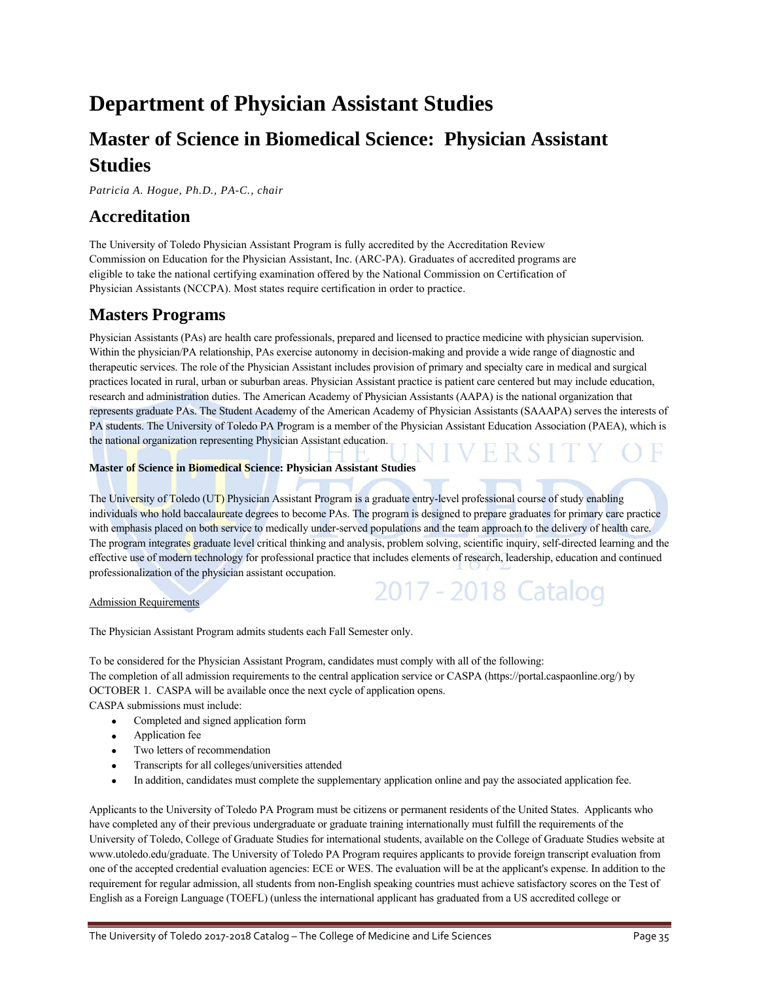# **Department of Physician Assistant Studies**

# **Master of Science in Biomedical Science: Physician Assistant Studies**

*Patricia A. Hogue, Ph.D., PA-C., chair* 

### **Accreditation**

The University of Toledo Physician Assistant Program is fully accredited by the Accreditation Review Commission on Education for the Physician Assistant, Inc. (ARC-PA). Graduates of accredited programs are eligible to take the national certifying examination offered by the National Commission on Certification of Physician Assistants (NCCPA). Most states require certification in order to practice.

### **Masters Programs**

Physician Assistants (PAs) are health care professionals, prepared and licensed to practice medicine with physician supervision. Within the physician/PA relationship, PAs exercise autonomy in decision-making and provide a wide range of diagnostic and therapeutic services. The role of the Physician Assistant includes provision of primary and specialty care in medical and surgical practices located in rural, urban or suburban areas. Physician Assistant practice is patient care centered but may include education, research and administration duties. The American Academy of Physician Assistants (AAPA) is the national organization that represents graduate PAs. The Student Academy of the American Academy of Physician Assistants (SAAAPA) serves the interests of PA students. The University of Toledo PA Program is a member of the Physician Assistant Education Association (PAEA), which is the national organization representing Physician Assistant education.

### **Master of Science in Biomedical Science: Physician Assistant Studies**

The University of Toledo (UT) Physician Assistant Program is a graduate entry-level professional course of study enabling individuals who hold baccalaureate degrees to become PAs. The program is designed to prepare graduates for primary care practice with emphasis placed on both service to medically under-served populations and the team approach to the delivery of health care. The program integrates graduate level critical thinking and analysis, problem solving, scientific inquiry, self-directed learning and the effective use of modern technology for professional practice that includes elements of research, leadership, education and continued professionalization of the physician assistant occupation. 2017 - 2018 Catalog

### Admission Requirements

The Physician Assistant Program admits students each Fall Semester only.

To be considered for the Physician Assistant Program, candidates must comply with all of the following: The completion of all admission requirements to the central application service or CASPA (https://portal.caspaonline.org/) by OCTOBER 1. CASPA will be available once the next cycle of application opens.

CASPA submissions must include:

- Completed and signed application form
- Application fee
- Two letters of recommendation
- Transcripts for all colleges/universities attended
- In addition, candidates must complete the supplementary application online and pay the associated application fee.

Applicants to the University of Toledo PA Program must be citizens or permanent residents of the United States. Applicants who have completed any of their previous undergraduate or graduate training internationally must fulfill the requirements of the University of Toledo, College of Graduate Studies for international students, available on the College of Graduate Studies website at www.utoledo.edu/graduate. The University of Toledo PA Program requires applicants to provide foreign transcript evaluation from one of the accepted credential evaluation agencies: ECE or WES. The evaluation will be at the applicant's expense. In addition to the requirement for regular admission, all students from non-English speaking countries must achieve satisfactory scores on the Test of English as a Foreign Language (TOEFL) (unless the international applicant has graduated from a US accredited college or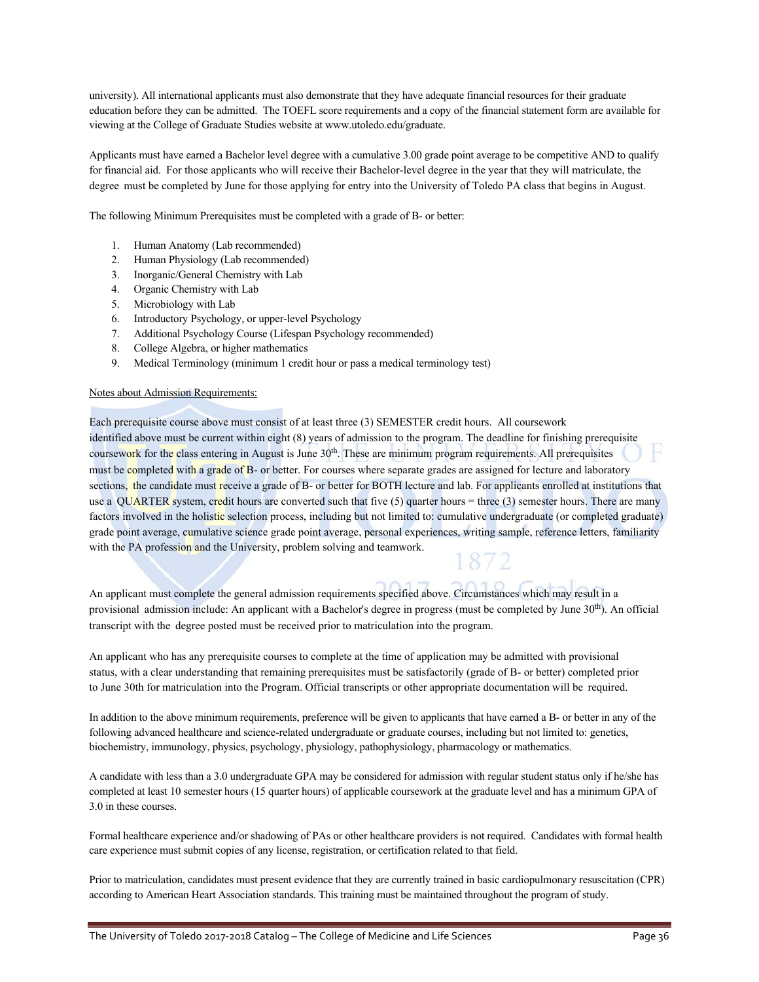university). All international applicants must also demonstrate that they have adequate financial resources for their graduate education before they can be admitted. The TOEFL score requirements and a copy of the financial statement form are available for viewing at the College of Graduate Studies website at www.utoledo.edu/graduate.

Applicants must have earned a Bachelor level degree with a cumulative 3.00 grade point average to be competitive AND to qualify for financial aid. For those applicants who will receive their Bachelor-level degree in the year that they will matriculate, the degree must be completed by June for those applying for entry into the University of Toledo PA class that begins in August.

The following Minimum Prerequisites must be completed with a grade of B- or better:

- 1. Human Anatomy (Lab recommended)
- 2. Human Physiology (Lab recommended)
- 3. Inorganic/General Chemistry with Lab
- 4. Organic Chemistry with Lab
- 5. Microbiology with Lab
- 6. Introductory Psychology, or upper-level Psychology
- 7. Additional Psychology Course (Lifespan Psychology recommended)
- 8. College Algebra, or higher mathematics
- 9. Medical Terminology (minimum 1 credit hour or pass a medical terminology test)

### Notes about Admission Requirements:

Each prerequisite course above must consist of at least three (3) SEMESTER credit hours. All coursework identified above must be current within eight (8) years of admission to the program. The deadline for finishing prerequisite coursework for the class entering in August is June  $30<sup>th</sup>$ . These are minimum program requirements. All prerequisites must be completed with a grade of B- or better. For courses where separate grades are assigned for lecture and laboratory sections, the candidate must receive a grade of B- or better for BOTH lecture and lab. For applicants enrolled at institutions that use a QUARTER system, credit hours are converted such that five  $(5)$  quarter hours = three  $(3)$  semester hours. There are many factors involved in the holistic selection process, including but not limited to: cumulative undergraduate (or completed graduate) grade point average, cumulative science grade point average, personal experiences, writing sample, reference letters, familiarity with the PA profession and the University, problem solving and teamwork.

An applicant must complete the general admission requirements specified above. Circumstances which may result in a provisional admission include: An applicant with a Bachelor's degree in progress (must be completed by June  $30<sup>th</sup>$ ). An official transcript with the degree posted must be received prior to matriculation into the program.

An applicant who has any prerequisite courses to complete at the time of application may be admitted with provisional status, with a clear understanding that remaining prerequisites must be satisfactorily (grade of B- or better) completed prior to June 30th for matriculation into the Program. Official transcripts or other appropriate documentation will be required.

In addition to the above minimum requirements, preference will be given to applicants that have earned a B- or better in any of the following advanced healthcare and science-related undergraduate or graduate courses, including but not limited to: genetics, biochemistry, immunology, physics, psychology, physiology, pathophysiology, pharmacology or mathematics.

A candidate with less than a 3.0 undergraduate GPA may be considered for admission with regular student status only if he/she has completed at least 10 semester hours (15 quarter hours) of applicable coursework at the graduate level and has a minimum GPA of 3.0 in these courses.

Formal healthcare experience and/or shadowing of PAs or other healthcare providers is not required. Candidates with formal health care experience must submit copies of any license, registration, or certification related to that field.

Prior to matriculation, candidates must present evidence that they are currently trained in basic cardiopulmonary resuscitation (CPR) according to American Heart Association standards. This training must be maintained throughout the program of study.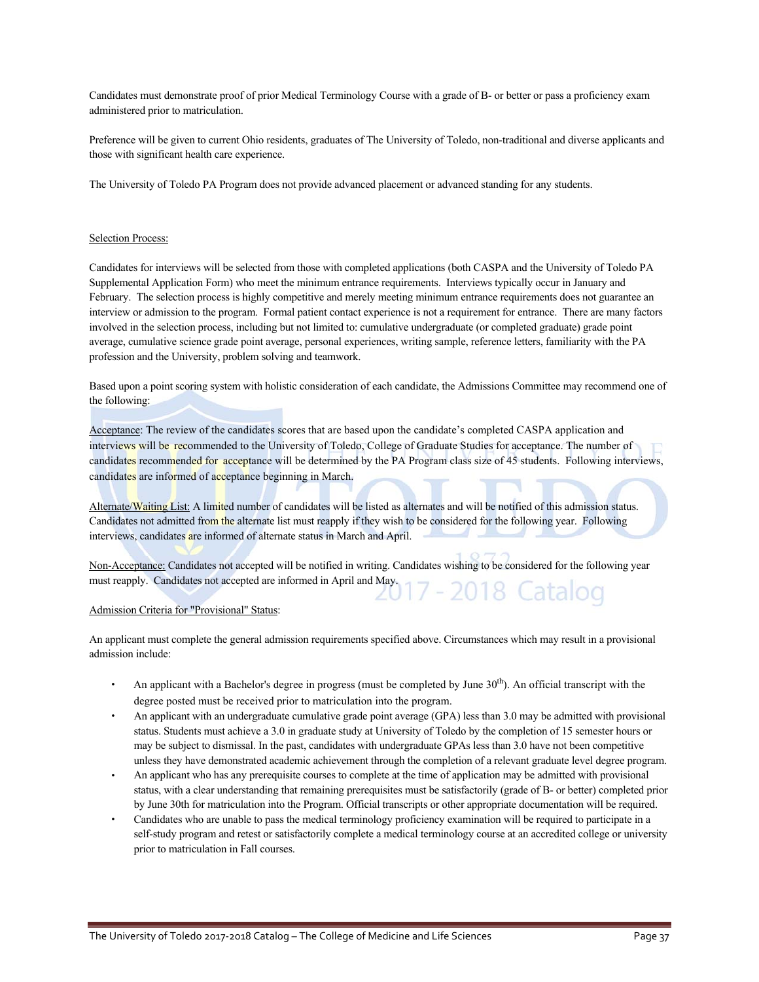Candidates must demonstrate proof of prior Medical Terminology Course with a grade of B- or better or pass a proficiency exam administered prior to matriculation.

Preference will be given to current Ohio residents, graduates of The University of Toledo, non-traditional and diverse applicants and those with significant health care experience.

The University of Toledo PA Program does not provide advanced placement or advanced standing for any students.

#### Selection Process:

Candidates for interviews will be selected from those with completed applications (both CASPA and the University of Toledo PA Supplemental Application Form) who meet the minimum entrance requirements. Interviews typically occur in January and February. The selection process is highly competitive and merely meeting minimum entrance requirements does not guarantee an interview or admission to the program. Formal patient contact experience is not a requirement for entrance. There are many factors involved in the selection process, including but not limited to: cumulative undergraduate (or completed graduate) grade point average, cumulative science grade point average, personal experiences, writing sample, reference letters, familiarity with the PA profession and the University, problem solving and teamwork.

Based upon a point scoring system with holistic consideration of each candidate, the Admissions Committee may recommend one of the following:

Acceptance: The review of the candidates scores that are based upon the candidate's completed CASPA application and interviews will be recommended to the University of Toledo, College of Graduate Studies for acceptance. The number of candidates recommended for acceptance will be determined by the PA Program class size of 45 students. Following interviews, candidates are informed of acceptance beginning in March.

Alternate/Waiting List: A limited number of candidates will be listed as alternates and will be notified of this admission status. Candidates not admitted from the alternate list must reapply if they wish to be considered for the following year. Following interviews, candidates are informed of alternate status in March and April.

Non-Acceptance: Candidates not accepted will be notified in writing. Candidates wishing to be considered for the following year must reapply. Candidates not accepted are informed in April and May. 7 - 2018 Catalog

#### Admission Criteria for "Provisional" Status:

An applicant must complete the general admission requirements specified above. Circumstances which may result in a provisional admission include:

- An applicant with a Bachelor's degree in progress (must be completed by June 30<sup>th</sup>). An official transcript with the degree posted must be received prior to matriculation into the program.
- An applicant with an undergraduate cumulative grade point average (GPA) less than 3.0 may be admitted with provisional status. Students must achieve a 3.0 in graduate study at University of Toledo by the completion of 15 semester hours or may be subject to dismissal. In the past, candidates with undergraduate GPAs less than 3.0 have not been competitive unless they have demonstrated academic achievement through the completion of a relevant graduate level degree program.
- An applicant who has any prerequisite courses to complete at the time of application may be admitted with provisional status, with a clear understanding that remaining prerequisites must be satisfactorily (grade of B- or better) completed prior by June 30th for matriculation into the Program. Official transcripts or other appropriate documentation will be required.
- Candidates who are unable to pass the medical terminology proficiency examination will be required to participate in a self-study program and retest or satisfactorily complete a medical terminology course at an accredited college or university prior to matriculation in Fall courses.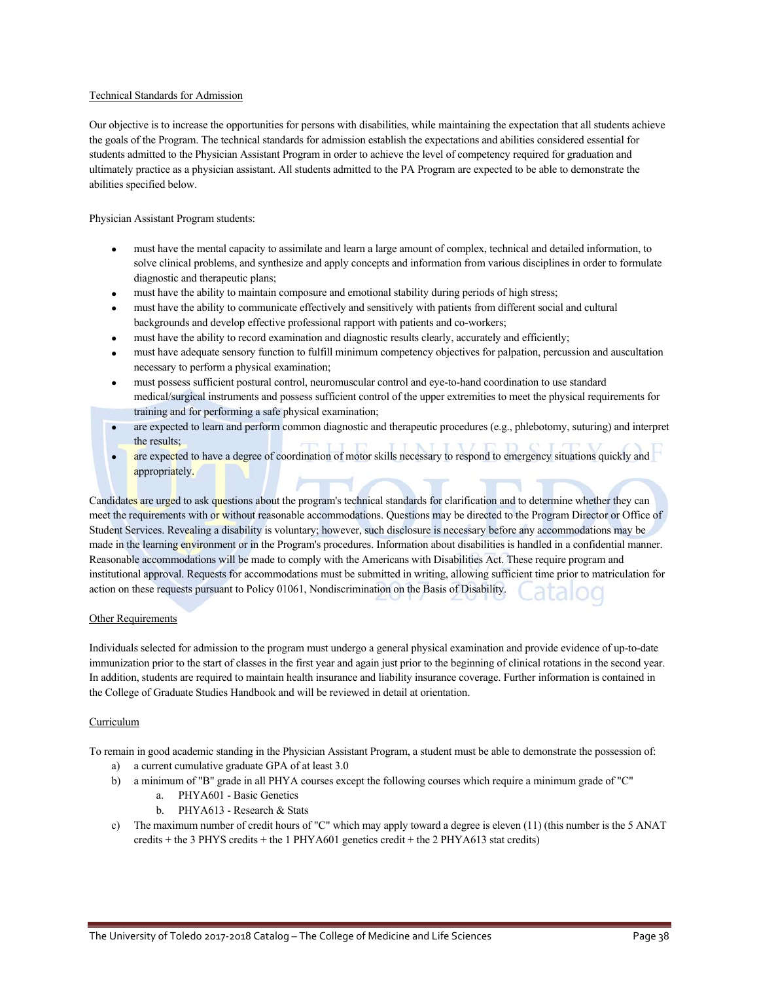### Technical Standards for Admission

Our objective is to increase the opportunities for persons with disabilities, while maintaining the expectation that all students achieve the goals of the Program. The technical standards for admission establish the expectations and abilities considered essential for students admitted to the Physician Assistant Program in order to achieve the level of competency required for graduation and ultimately practice as a physician assistant. All students admitted to the PA Program are expected to be able to demonstrate the abilities specified below.

Physician Assistant Program students:

- must have the mental capacity to assimilate and learn a large amount of complex, technical and detailed information, to solve clinical problems, and synthesize and apply concepts and information from various disciplines in order to formulate diagnostic and therapeutic plans;
- must have the ability to maintain composure and emotional stability during periods of high stress;
- must have the ability to communicate effectively and sensitively with patients from different social and cultural backgrounds and develop effective professional rapport with patients and co-workers;
- must have the ability to record examination and diagnostic results clearly, accurately and efficiently;
- must have adequate sensory function to fulfill minimum competency objectives for palpation, percussion and auscultation necessary to perform a physical examination;
- must possess sufficient postural control, neuromuscular control and eye-to-hand coordination to use standard medical/surgical instruments and possess sufficient control of the upper extremities to meet the physical requirements for training and for performing a safe physical examination;
- $\bullet$  are expected to learn and perform common diagnostic and therapeutic procedures (e.g., phlebotomy, suturing) and interpret the results;
- are expected to have a degree of coordination of motor skills necessary to respond to emergency situations quickly and appropriately.

Candidates are urged to ask questions about the program's technical standards for clarification and to determine whether they can meet the requirements with or without reasonable accommodations. Questions may be directed to the Program Director or Office of Student Services. Revealing a disability is voluntary; however, such disclosure is necessary before any accommodations may be made in the learning environment or in the Program's procedures. Information about disabilities is handled in a confidential manner. Reasonable accommodations will be made to comply with the Americans with Disabilities Act. These require program and institutional approval. Requests for accommodations must be submitted in writing, allowing sufficient time prior to matriculation for action on these requests pursuant to Policy 01061, Nondiscrimination on the Basis of Disability.

#### Other Requirements

Individuals selected for admission to the program must undergo a general physical examination and provide evidence of up-to-date immunization prior to the start of classes in the first year and again just prior to the beginning of clinical rotations in the second year. In addition, students are required to maintain health insurance and liability insurance coverage. Further information is contained in the College of Graduate Studies Handbook and will be reviewed in detail at orientation.

#### Curriculum

To remain in good academic standing in the Physician Assistant Program, a student must be able to demonstrate the possession of:

- a) a current cumulative graduate GPA of at least 3.0
- b) a minimum of "B" grade in all PHYA courses except the following courses which require a minimum grade of "C"
	- a. PHYA601 Basic Genetics
	- b. PHYA613 Research & Stats
- c) The maximum number of credit hours of "C" which may apply toward a degree is eleven  $(11)$  (this number is the 5 ANAT credits + the 3 PHYS credits + the 1 PHYA601 genetics credit + the 2 PHYA613 stat credits)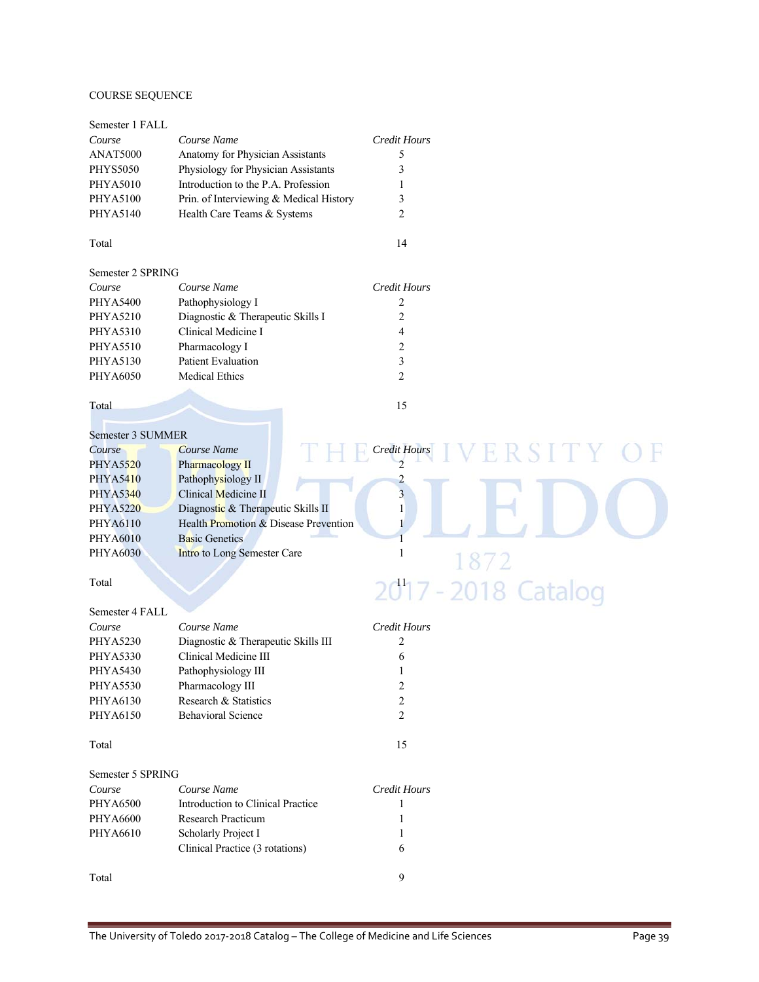### COURSE SEQUENCE

| Semester 1 FALL   |                                         |                                       |
|-------------------|-----------------------------------------|---------------------------------------|
| Course            | Course Name                             | <b>Credit Hours</b>                   |
| ANAT5000          | Anatomy for Physician Assistants        | 5                                     |
| <b>PHYS5050</b>   | Physiology for Physician Assistants     | 3                                     |
| <b>PHYA5010</b>   | Introduction to the P.A. Profession     | 1                                     |
| <b>PHYA5100</b>   | Prin. of Interviewing & Medical History | 3                                     |
| PHYA5140          | Health Care Teams & Systems             | 2                                     |
| Total             |                                         | 14                                    |
| Semester 2 SPRING |                                         |                                       |
| Course            | Course Name                             | <b>Credit Hours</b>                   |
| <b>PHYA5400</b>   | Pathophysiology I                       | 2                                     |
| <b>PHYA5210</b>   | Diagnostic & Therapeutic Skills I       | $\overline{c}$                        |
| <b>PHYA5310</b>   | Clinical Medicine I                     | 4                                     |
| <b>PHYA5510</b>   | Pharmacology I                          | $\overline{c}$                        |
| PHYA5130          | Patient Evaluation                      | 3                                     |
| PHYA6050          | <b>Medical Ethics</b>                   | 2                                     |
| Total             |                                         | 15                                    |
| Semester 3 SUMMER |                                         |                                       |
| Course            | Course Name                             | <b>Credit Hours</b><br>R S LT Y<br>Н. |
| <b>PHYA5520</b>   | Pharmacology II                         | $\overline{2}$                        |
| <b>PHYA5410</b>   | Pathophysiology II                      | $\overline{\mathbf{c}}$               |
| <b>PHYA5340</b>   | Clinical Medicine II                    | $\overline{\mathbf{3}}$               |
| <b>PHYA5220</b>   | Diagnostic & Therapeutic Skills II      | $\mathbf{1}$                          |
| <b>PHYA6110</b>   | Health Promotion & Disease Prevention   |                                       |
| <b>PHYA6010</b>   | <b>Basic Genetics</b>                   |                                       |
| <b>PHYA6030</b>   | Intro to Long Semester Care             | $\mathbf{1}$<br>1872                  |
|                   |                                         |                                       |
| Total             |                                         | 2017 - 2018 Catalog                   |
| Semester 4 FALL   |                                         |                                       |
| Course            | Course Name                             | <b>Credit Hours</b>                   |
| <b>PHYA5230</b>   | Diagnostic & Therapeutic Skills III     | 2                                     |
| <b>PHYA5330</b>   | Clinical Medicine III                   | 6                                     |
| <b>PHYA5430</b>   | Pathophysiology III                     | 1                                     |
| PHYA5530          | Pharmacology III                        | $\overline{\mathbf{c}}$               |
| PHYA6130          | Research & Statistics                   | $\overline{c}$                        |
| PHYA6150          | <b>Behavioral Science</b>               | $\overline{c}$                        |
| Total             |                                         | 15                                    |
| Semester 5 SPRING |                                         |                                       |
| Course            | Course Name                             | <b>Credit Hours</b>                   |
| <b>PHYA6500</b>   | Introduction to Clinical Practice       | 1                                     |
| <b>PHYA6600</b>   | Research Practicum                      | 1                                     |
| PHYA6610          | Scholarly Project I                     | 1                                     |
|                   | Clinical Practice (3 rotations)         | 6                                     |
| Total             |                                         | 9                                     |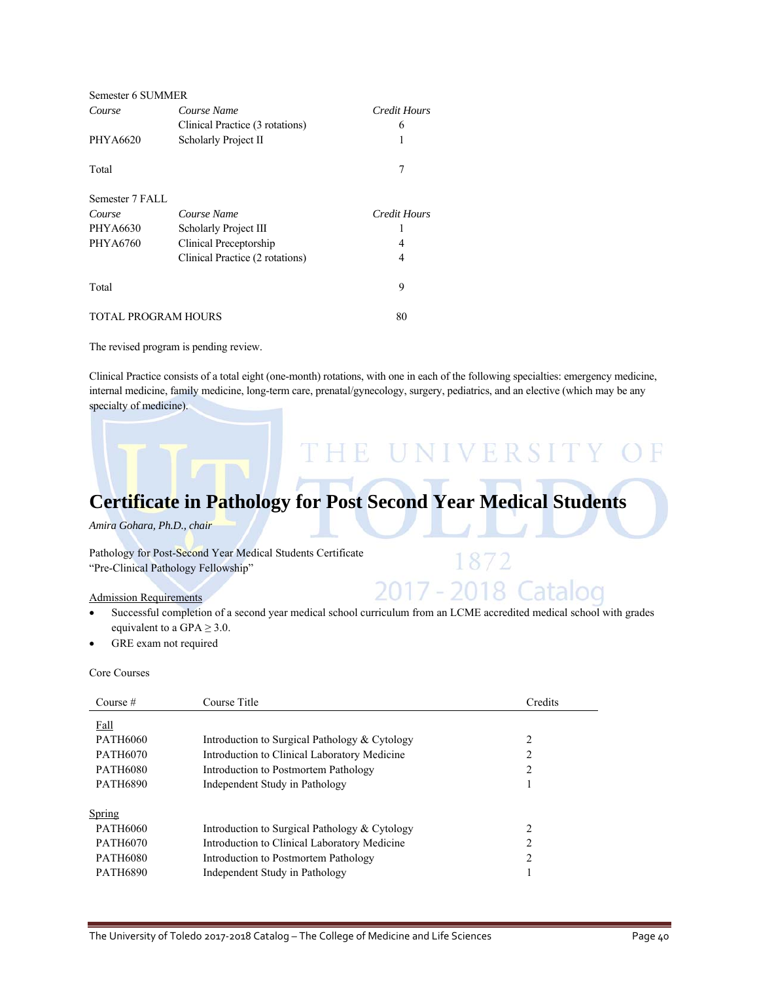| Semester 6 SUMMER          |                                 |              |
|----------------------------|---------------------------------|--------------|
| Course                     | Course Name                     | Credit Hours |
|                            | Clinical Practice (3 rotations) | 6            |
| PHYA6620                   | Scholarly Project II            | 1            |
| Total                      |                                 | 7            |
| Semester 7 FALL            |                                 |              |
| Course                     | Course Name                     | Credit Hours |
| PHYA6630                   | Scholarly Project III           |              |
| PHYA6760                   | Clinical Preceptorship          | 4            |
|                            | Clinical Practice (2 rotations) | 4            |
| Total                      |                                 | 9            |
| <b>TOTAL PROGRAM HOURS</b> |                                 | 80           |

The revised program is pending review.

Clinical Practice consists of a total eight (one-month) rotations, with one in each of the following specialties: emergency medicine, internal medicine, family medicine, long-term care, prenatal/gynecology, surgery, pediatrics, and an elective (which may be any specialty of medicine).

# **Certificate in Pathology for Post Second Year Medical Students**

THE UNIVERSITY

1872

2017 - 2018 Catalog

*Amira Gohara, Ph.D., chair* 

Pathology for Post-Second Year Medical Students Certificate "Pre-Clinical Pathology Fellowship"

### Admission Requirements

### Successful completion of a second year medical school curriculum from an LCME accredited medical school with grades equivalent to a GPA  $\geq$  3.0.

GRE exam not required

#### Core Courses

| Course $#$      | Course Title                                  | Credits        |
|-----------------|-----------------------------------------------|----------------|
| Fall            |                                               |                |
| <b>PATH6060</b> | Introduction to Surgical Pathology & Cytology | $\overline{c}$ |
| <b>PATH6070</b> | Introduction to Clinical Laboratory Medicine  | 2              |
| <b>PATH6080</b> | Introduction to Postmortem Pathology          | 2              |
| <b>PATH6890</b> | Independent Study in Pathology                |                |
| Spring          |                                               |                |
| <b>PATH6060</b> | Introduction to Surgical Pathology & Cytology | 2              |
| <b>PATH6070</b> | Introduction to Clinical Laboratory Medicine  | າ              |
| <b>PATH6080</b> | Introduction to Postmortem Pathology          | 2              |
| <b>PATH6890</b> | Independent Study in Pathology                |                |